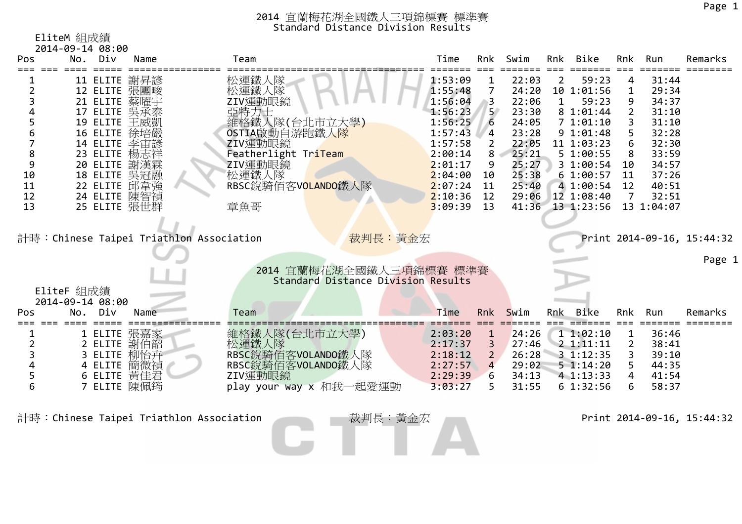#### EliteM 組成績 2014‐09‐14 08:00

| Pos            | No.              | Div     | Name                                     | Team                                         |                                    | Time               | Rnk            | Swim           | Rnk          | Bike                            | <b>Rnk</b>     | Run            | Remarks                    |
|----------------|------------------|---------|------------------------------------------|----------------------------------------------|------------------------------------|--------------------|----------------|----------------|--------------|---------------------------------|----------------|----------------|----------------------------|
|                |                  |         | 11 ELITE 謝昇諺                             | 松運鐵人隊                                        |                                    | 1:53:09            |                | 22:03          | 2            | 59:23                           | 4              | 31:44          |                            |
| $\overline{2}$ |                  |         | 12 ELITE 張團畯                             | 松運鐵人隊                                        |                                    | 1:55:48            | 7              | 24:20          |              | 10 1:01:56                      |                | 29:34          |                            |
|                |                  |         | 21 ELITE 蔡曜宇                             | ZIV運動眼鏡                                      |                                    | 1:56:04            |                | 22:06          | $\mathbf{1}$ | 59:23                           | 9              | 34:37          |                            |
|                |                  |         | 17 ELITE 吳承泰                             | 亞特力士                                         |                                    | 1:56:23            | 5 <sup>o</sup> | 23:30          |              | 8 1:01:44                       | $\overline{2}$ | 31:10          |                            |
| 6              |                  |         | 19 ELITE 王威凱<br>16 ELITE 徐培嚴             | 維格鐵人隊(台北市立大學)<br>OSTIA啟動自游跑鐵人 <mark>隊</mark> |                                    | 1:56:25<br>1:57:43 | 6<br>4         | 24:05<br>23:28 |              | 71:01:10<br>9 1:01:48           | 3              | 31:10<br>32:28 |                            |
| 7              |                  |         | 14 ELITE 李宙諺                             | ZIV運動眼鏡                                      |                                    | 1:57:58            | 2              | 22:05          |              | 11 1:03:23                      | 6              | 32:30          |                            |
| 8              |                  |         | 23 ELITE 楊志祥                             | Featherlight TriTeam                         |                                    | 2:00:14            | 8              | 25:21          |              | 51:00:55                        | 8              | 33:59          |                            |
| 9              |                  |         | 20 ELITE 謝漢霖                             | ZIV運動眼鏡                                      |                                    | 2:01:17            | 9              | 25:27          |              | 3 1:00:54                       | 10             | 34:57          |                            |
| 10             |                  |         | 18 ELITE 吳冠融                             | 松運鐵人隊                                        |                                    | 2:04:00            | 10             | 25:38          |              | 61:00:57                        | 11             | 37:26          |                            |
| 11<br>12       |                  |         | 22 ELITE 邱韋強<br>24 ELITE 陳智禎             | RBSC銳騎佰客VOLANDO鐵人隊                           |                                    | 2:07:24<br>2:10:36 | 11<br>12       | 25:40<br>29:06 |              | 4 1:00:54<br>12 1:08:40         | 12<br>7        | 40:51<br>32:51 |                            |
| 13             |                  |         | 25 ELITE 張世群                             | 章魚哥                                          |                                    | 3:09:39            | 13             | 41:36          |              | 13 1:23:56                      |                | 13 1:04:07     |                            |
|                |                  |         |                                          |                                              |                                    |                    |                |                |              |                                 |                |                |                            |
|                |                  |         |                                          |                                              |                                    |                    |                |                |              |                                 |                |                |                            |
|                |                  |         | 計時: Chinese Taipei Triathlon Association |                                              | 裁判長:黃金宏                            |                    |                |                |              |                                 |                |                | Print 2014-09-16, 15:44:32 |
|                |                  |         |                                          |                                              |                                    |                    |                |                |              |                                 |                |                | Page 1                     |
|                |                  |         |                                          |                                              | 2014 宜蘭梅花湖全國鐵人三項錦標賽 標準賽            |                    |                |                |              |                                 |                |                |                            |
|                | EliteF 組成績       |         |                                          |                                              | Standard Distance Division Results |                    |                |                |              |                                 |                |                |                            |
|                | 2014-09-14 08:00 |         |                                          |                                              |                                    |                    |                |                |              |                                 |                |                |                            |
| Pos            | No.              | Div     | Name                                     | Team                                         |                                    | Time               | Rnk            | Swim           | Rnk          | Bike                            | Rnk            | Run            | Remarks                    |
|                |                  |         |                                          |                                              |                                    |                    |                |                |              |                                 |                |                |                            |
|                |                  |         |                                          |                                              |                                    |                    |                |                |              |                                 |                |                |                            |
|                |                  |         | 1 ELITE 張嘉家                              | 維格鐵人隊(台北市立大學)                                |                                    | 2:03:20            | $\mathbf{1}$   | 24:26          |              | 11:02:10                        | 1              | 36:46          |                            |
|                |                  |         | 2 ELITE 謝伯韶                              | 松運鐵人隊                                        |                                    | 2:17:37            | 3              | 27:46          |              | 2 1:11:11                       | 2              | 38:41          |                            |
| 4              |                  | 4 ELITE | 3 ELITE 柳怡卉<br>簡微禎                       | RBSC銳騎佰客VOLANDO鐵人隊<br>RBSC銳騎佰客VOLANDO鐵人隊     |                                    | 2:18:12<br>2:27:57 | 4              | 26:28<br>29:02 |              | $3 \t1:12:35$<br>$5 \; 1:14:20$ | 5.             | 39:10<br>44:35 |                            |
| 5              |                  |         | 6 ELITE 黃佳君                              | ZIV運動眼鏡                                      |                                    | 2:29:39            | 6              | 34:13          |              | 4 1:13:33                       | 4              | 41:54          |                            |
| 6              |                  |         | 7 ELITE 陳佩筠                              | play your way x 和我一起愛運動                      |                                    | 3:03:27            | 5.             | 31:55          |              | 61:32:56                        | 6              | 58:37          |                            |

計時:Chinese Taipei Triathlon Association 裁判長:黃金宏 Print 2014-09-16, 15:44:32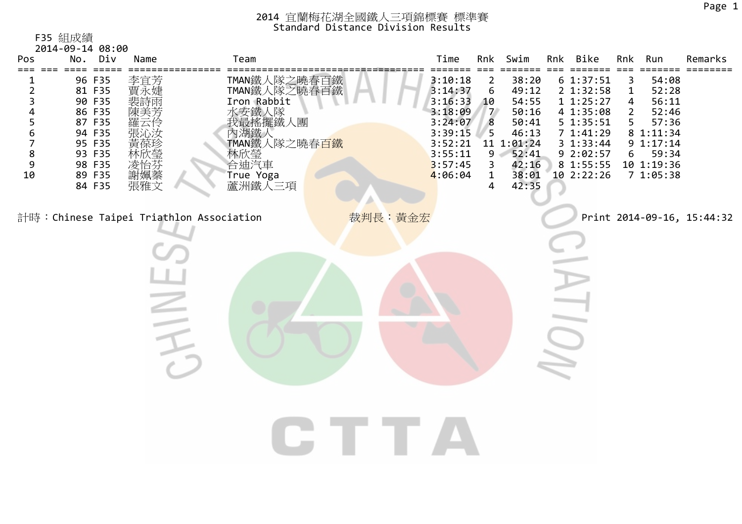| F35 組成績          |  |
|------------------|--|
| 2014-09-14 08:00 |  |

| Pos                                                                              | Div<br>No.                                                                                                 | Name                                              | Team                                                                                                                                               | Time<br>Swim<br>Rnk                                                                                                                                                                                                                                                                             | Rnk Bike                                                                                                                       | Run<br>Rnk                                                                                                                                         | Remarks |
|----------------------------------------------------------------------------------|------------------------------------------------------------------------------------------------------------|---------------------------------------------------|----------------------------------------------------------------------------------------------------------------------------------------------------|-------------------------------------------------------------------------------------------------------------------------------------------------------------------------------------------------------------------------------------------------------------------------------------------------|--------------------------------------------------------------------------------------------------------------------------------|----------------------------------------------------------------------------------------------------------------------------------------------------|---------|
| 2<br>3<br>4<br>5<br>$\frac{6}{7}$<br>$\begin{array}{c} 8 \\ 9 \end{array}$<br>10 | 96 F35<br>81 F35<br>90 F35<br>86 F35<br>87 F35<br>94 F35<br>95 F35<br>93 F35<br>98 F35<br>89 F35<br>84 F35 | 李宜永<br>贾永詩<br>陳美芳<br>羅云伶<br>張沁汝<br>黃林凌謝張<br>葆欣怡姵雅 | TMAN鐵人隊之曉春百鐵<br>TMAN鐵人隊之曉春百鐵<br>………<br>Iron Rabbit<br>水安鐵人隊<br>我最搖擺鐵人團<br>內湖鐵人<br>TMAN鐵人隊之曉春 <mark>百鐵</mark><br>林欣瑩<br>合迪汽車<br>True Yoga<br>蘆洲鐵人三項 | 3:10:18<br>$\overline{2}$<br>38:20<br>3:14:37<br>49:12<br>6<br>3:16:33<br>54:55<br>10<br>3:18:09<br>$\overline{7}$<br>50:16<br>3:24:07<br>8<br>50:41<br>3:39:15<br>46:13<br>5<br>11 1:01:24<br>3:52:21<br>3:55:11<br>52:41<br>9<br>3:57:45<br>42:16<br>3<br>4:06:04<br>38:01<br>1<br>42:35<br>4 | 61:37:51<br>2 1:32:58<br>1 1:25:27<br>4 1:35:08<br>5 1:35:51<br>7 1:41:29<br>3 1:33:44<br>9 2:02:57<br>8 1:55:55<br>10 2:22:26 | 54:08<br>3<br>52:28<br>1<br>56:11<br>4<br>$\overline{2}$<br>52:46<br>5<br>57:36<br>8 1:11:34<br>9 1:17:14<br>59:34<br>6<br>10 1:19:36<br>7 1:05:38 | ====    |
|                                                                                  |                                                                                                            |                                                   | 計時: Chinese Taipei Triathlon Association                                                                                                           | 裁判長:黃金宏                                                                                                                                                                                                                                                                                         |                                                                                                                                | Print 2014-09-16, 15:44:32                                                                                                                         |         |
|                                                                                  |                                                                                                            |                                                   |                                                                                                                                                    |                                                                                                                                                                                                                                                                                                 |                                                                                                                                |                                                                                                                                                    |         |
|                                                                                  |                                                                                                            |                                                   |                                                                                                                                                    |                                                                                                                                                                                                                                                                                                 |                                                                                                                                |                                                                                                                                                    |         |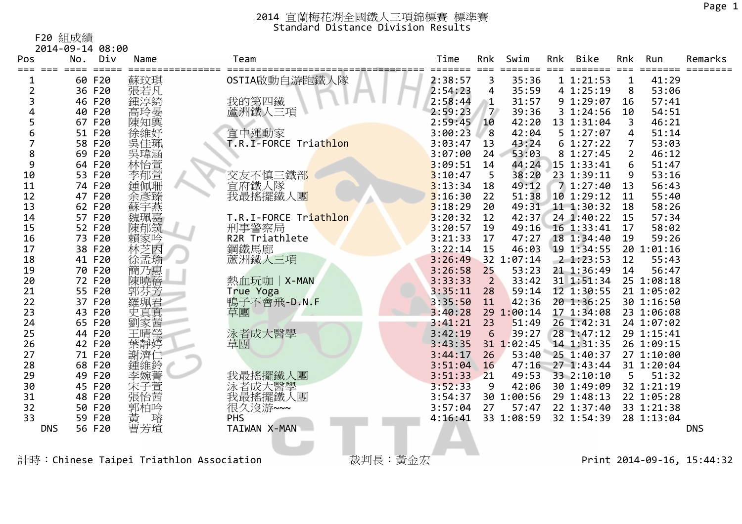F20 組成績

| Pos            | No.        | Div    | Name               | Team                                               | Time    | Rnk            | Swim       | Rnk | Bike       | Rnk            | Run        | Remarks                    |
|----------------|------------|--------|--------------------|----------------------------------------------------|---------|----------------|------------|-----|------------|----------------|------------|----------------------------|
|                |            | 60 F20 | 蘇玟琪                | OSTIA啟動自游跑鐵人隊                                      | 2:38:57 | 3              | 35:36      |     | 11:21:53   | $\mathbf{1}$   | 41:29      |                            |
| $\overline{2}$ |            | 36 F20 | 張若凡                |                                                    | 2:54:23 | 4              | 35:59      |     | 4 1:25:19  | 8              | 53:06      |                            |
| 3              |            | 46 F20 | 鍾淳綺                | 我的第四鐵                                              | 2:58:44 | 1              | 31:57      |     | 91:29:07   | 16             | 57:41      |                            |
| Δ              |            | 40 F20 | 高玲晏                | 蘆洲鐵人三項                                             | 2:59:23 | $\overline{7}$ | 39:36      |     | 31:24:56   | 10             | 54:51      |                            |
| 5              |            | 67 F20 | 陳知輿                |                                                    | 2:59:45 | 10             | 42:20      |     | 13 1:31:04 | 3              | 46:21      |                            |
| 6              |            | 51 F20 | 徐維妤                | 宜中運動家                                              | 3:00:23 | 8              | 42:04      |     | 5 1:27:07  | $\overline{4}$ | 51:14      |                            |
| $\overline{7}$ |            | 58 F20 | 吳佳珮                | T.R.I-FORCE Triathlon                              | 3:03:47 | 13             | 43:24      |     | 61:27:22   | 7              | 53:03      |                            |
| $\bf 8$        |            | 69 F20 | (吳ง神經)<br>林治<br>李朝 |                                                    | 3:07:00 | 24             | 53:03      |     | 8 1:27:45  | $\overline{2}$ | 46:12      |                            |
| 9              |            | 64 F20 |                    |                                                    | 3:09:51 | 14             | 44:24      |     | 15 1:33:41 | 6              | 51:47      |                            |
| 10             |            | 53 F20 |                    |                                                    | 3:10:47 | 5              | 38:20      |     | 23 1:39:11 | 9              | 53:16      |                            |
| 11             |            | 74 F20 | 鍾佩珊                |                                                    | 3:13:34 | 18             | 49:12      |     | 71:27:40   | 13             | 56:43      |                            |
| 12             |            | 47 F20 | 余彥臻                | 交友不慎三鐵部<br>宜府鐵人隊<br>我最搖擺鐵人團                        | 3:16:30 | 22             | 51:38      |     | 10 1:29:12 | 11             | 55:40      |                            |
| 13             |            | 62 F20 | 蘇宇燕                |                                                    | 3:18:29 | 20             | 49:31      |     | 11 1:30:32 | 18             | 58:26      |                            |
| 14             |            | 57 F20 |                    | T.R.I-FORCE Triathlon                              | 3:20:32 | 12             | 42:37      |     | 24 1:40:22 | 15             | 57:34      |                            |
| 15             |            | 52 F20 | 陳郁筑                | 刑事警察局                                              | 3:20:57 | 19             | 49:16      |     | 16 1:33:41 | 17             | 58:02      |                            |
| 16             |            | 73 F20 | 賴家吟                | R2R Triathlete                                     | 3:21:33 | 17             | 47:27      |     | 18 1:34:40 | 19             | 59:26      |                            |
| 17             |            | 38 F20 | 林芝因                | 鋼鐵馬廊                                               | 3:22:14 | 15             | 46:03      |     | 19 1:34:55 |                | 20 1:01:16 |                            |
| 18             |            | 41 F20 | 徐孟瑜                | 蘆洲鐵人三項                                             | 3:26:49 |                | 32 1:07:14 |     | 2 1:23:53  | 12             | 55:43      |                            |
| 19             |            | 70 F20 | 簡乃惠                |                                                    | 3:26:58 | 25             | 53:23      |     | 21 1:36:49 | 14             | 56:47      |                            |
| 20             |            | 72 F20 | 陳曉蓓                | 熱血玩咖   X-MAN                                       | 3:33:33 | $\overline{2}$ | 33:42      |     | 31 1:51:34 |                | 25 1:08:18 |                            |
| 21             |            | 55 F20 | 郭芬芳                | True Yoga                                          | 3:35:11 | 28             | 59:14      |     | 12 1:30:55 |                | 21 1:05:02 |                            |
| 22             |            | 37 F20 | 羅珮君                | 鴨子不會飛-D.N.F                                        | 3:35:50 | 11             | 42:36      |     | 20 1:36:25 |                | 30 1:16:50 |                            |
| 23             |            | 43 F20 | 史真真                | 草團                                                 | 3:40:28 |                | 29 1:00:14 |     | 17 1:34:08 |                | 23 1:06:08 |                            |
| 24             |            | 65 F20 | 劉家茜                |                                                    | 3:41:21 | 23             | 51:49      |     | 26 1:42:31 |                | 24 1:07:02 |                            |
| 25             |            | 44 F20 | 王晴瑩                | 泳者成大醫學                                             | 3:42:19 | 6              | 39:27      |     | 28 1:47:12 |                | 29 1:15:41 |                            |
| 26             |            | 42 F20 | 葉靜婷                | 草團                                                 | 3:43:35 |                | 31 1:02:45 |     | 14 1:31:35 |                | 26 1:09:15 |                            |
| 27             |            | 71 F20 | 謝濟仁                |                                                    | 3:44:17 | 26             | 53:40      |     | 25 1:40:37 |                | 27 1:10:00 |                            |
| 28             |            | 68 F20 | 鍾維鈴                |                                                    | 3:51:04 | 16             | 47:16      |     | 27 1:43:44 |                | 31 1:20:04 |                            |
| 29             |            | 49 F20 | 李婉菁                | 我最搖擺鐵人團                                            | 3:51:33 | 21             | 49:53      |     | 33 2:10:10 | 5.             | 51:32      |                            |
| 30             |            | 45 F20 | 宋子萱                | 、、若成大醫學<br>我最搖擺鐵人團                                 | 3:52:33 | 9              | 42:06      |     | 30 1:49:09 |                | 32 1:21:19 |                            |
| 31             |            | 48 F20 | 張怡茜                |                                                    | 3:54:37 |                | 30 1:00:56 |     | 29 1:48:13 |                | 22 1:05:28 |                            |
| 32             |            | 50 F20 | 郭柏吟                | 很久沒游~~~                                            | 3:57:04 | 27             | 57:47      |     | 22 1:37:40 |                | 33 1:21:38 |                            |
| 33             |            | 59 F20 | 黃 璿                | <b>PHS</b>                                         | 4:16:41 |                | 33 1:08:59 |     | 32 1:54:39 |                | 28 1:13:04 |                            |
|                | <b>DNS</b> | 56 F20 | 曹芳瑄                | TAIWAN X-MAN                                       |         |                |            |     |            |                |            | <b>DNS</b>                 |
|                |            |        |                    |                                                    |         |                |            |     |            |                |            |                            |
|                |            |        |                    | 裁判長:黃金宏<br>計時:Chinese Taipei Triathlon Association |         |                |            |     |            |                |            | Print 2014-09-16, 15:44:32 |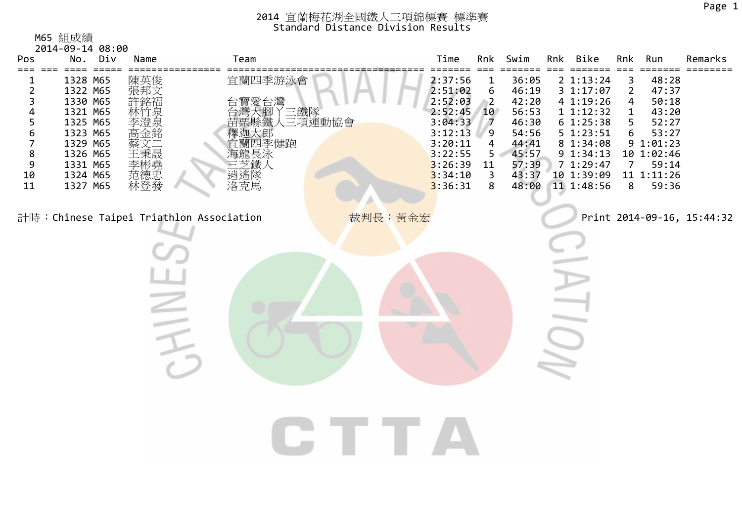| Pos                                                                                | M65 組成績<br>2014-09-14 08:00<br>Div<br>No.                                                                                                                             | Name                                                 | Team                                                                                                                                            | Time                                                                                                                  | Rnk                                                                                                      | Swim                                                                                            | Rnk Bike                                                                                                                                      | Rnk                                                                       | Run                                                                                                           | Remarks                    |
|------------------------------------------------------------------------------------|-----------------------------------------------------------------------------------------------------------------------------------------------------------------------|------------------------------------------------------|-------------------------------------------------------------------------------------------------------------------------------------------------|-----------------------------------------------------------------------------------------------------------------------|----------------------------------------------------------------------------------------------------------|-------------------------------------------------------------------------------------------------|-----------------------------------------------------------------------------------------------------------------------------------------------|---------------------------------------------------------------------------|---------------------------------------------------------------------------------------------------------------|----------------------------|
| ===<br>1<br>$\overline{\mathbf{c}}$<br>3<br>4<br>5<br>6<br>7<br>8<br>9<br>10<br>11 | $=$ $=$ $=$ $=$<br>$====$<br>$==$<br>1328 M65<br>1322 M65<br>1330 M65<br>1321 M65<br>1325 M65<br>1323 M65<br>1329 M65<br>1326 M65<br>1331 M65<br>1324 M65<br>1327 M65 | 陳英俊<br>張邦文<br>許銘福<br>林竹泉<br>·高蔡王李范#<br>金文秉彬德*<br>林登發 | 宜蘭四季游泳會<br>台音,<br>台湾天縣鐵人三項運動協會<br><br>薄票縣鐵人三項運動協會<br>羅迦太郎<br>秦地國聯合<br>海龍芝鐵隊<br>三道隊馬<br>三道隊馬<br>三道隊馬<br>三道隊馬<br>三道隊長<br>三種馬<br>三種の一種一種一種一種一種一種一種 | 2:37:56<br>2:51:02<br>2:52:03<br>2:52:45<br>3:04:33<br>3:12:13<br>3:20:11<br>3:22:55<br>3:26:39<br>3:34:10<br>3:36:31 | $\mathbf 1$<br>$\boldsymbol{6}$<br>$\overline{2}$<br>10<br>$\overline{7}$<br>9<br>4<br>5<br>11<br>3<br>8 | 36:05<br>46:19<br>42:20<br>56:53<br>46:30<br>54:56<br>44:41<br>45:57<br>57:39<br>43:37<br>48:00 | 2 1:13:24<br>3 1:17:07<br>4 1:19:26<br>1 1:12:32<br>6 1:25:38<br>5 1:23:51<br>8 1:34:08<br>9 1:34:13<br>7 1:29:47<br>10 1:39:09<br>11 1:48:56 | 3<br>$\overline{2}$<br>4<br>$\mathbf{1}$<br>5<br>6<br>$\overline{7}$<br>8 | 48:28<br>47:37<br>50:18<br>43:20<br>52:27<br>53:27<br>9 1:01:23<br>10 1:02:46<br>59:14<br>11 1:11:26<br>59:36 |                            |
|                                                                                    |                                                                                                                                                                       |                                                      | 計時: Chinese Taipei Triathlon Association<br>ミて                                                                                                  | 裁判長:黃金宏                                                                                                               |                                                                                                          |                                                                                                 |                                                                                                                                               |                                                                           |                                                                                                               | Print 2014-09-16, 15:44:32 |
|                                                                                    |                                                                                                                                                                       |                                                      |                                                                                                                                                 |                                                                                                                       |                                                                                                          |                                                                                                 |                                                                                                                                               |                                                                           |                                                                                                               |                            |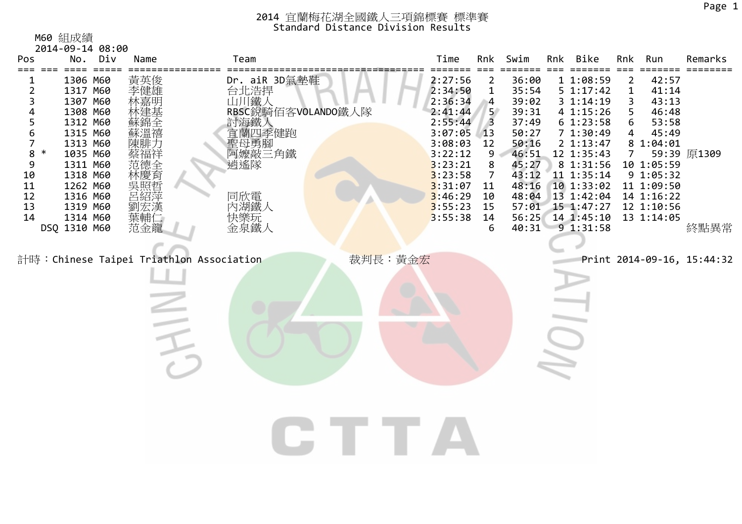M60 組成績

| 2014-09-14 08:00                                                                                                                                                                                                                                                                                                                                   |                                                                                      |                                                                                                                                    |                                                                                                                                                        |                                                                                                                                |                                                                                                                                     |                                                                                                                                                                                                       |                                                        |                                                                                                                                                    |                                                   |
|----------------------------------------------------------------------------------------------------------------------------------------------------------------------------------------------------------------------------------------------------------------------------------------------------------------------------------------------------|--------------------------------------------------------------------------------------|------------------------------------------------------------------------------------------------------------------------------------|--------------------------------------------------------------------------------------------------------------------------------------------------------|--------------------------------------------------------------------------------------------------------------------------------|-------------------------------------------------------------------------------------------------------------------------------------|-------------------------------------------------------------------------------------------------------------------------------------------------------------------------------------------------------|--------------------------------------------------------|----------------------------------------------------------------------------------------------------------------------------------------------------|---------------------------------------------------|
| No. Div<br>Pos<br>===<br>$==$<br>$=$ $=$ $=$ $=$                                                                                                                                                                                                                                                                                                   | Name                                                                                 | Team                                                                                                                               | Time                                                                                                                                                   | Rnk                                                                                                                            | Swim                                                                                                                                | Rnk Bike                                                                                                                                                                                              | Rnk                                                    | Run                                                                                                                                                | Remarks                                           |
| 1306 M60<br>$\mathbf 1$<br>$\overline{2}$<br>1317 M60<br>1307 M60<br>3<br>1308 M60<br>4<br>5<br>1312 M60<br>6<br>1315 M60<br>7<br>1313 M60<br>$\bf 8$<br>$\ast$<br>1035 M60<br>9<br>1311 M60<br>10<br>1318 M60<br>1262 M60<br>11<br>12<br>1316 M60<br>13<br>1319 M60<br>1314 M60<br>14<br>DSQ 1310 M60<br>計時: Chinese Taipei Triathlon Association | 黃英俊<br>李健雄<br>林嘉明<br>穌錦全<br>溫禧<br>陳腓力<br>福祥<br><b>范林吳呂當德慶照紹</b><br>劉宏漢<br>葉輔仁<br>范金龍 | Dr. aiR 3D氣墊鞋<br>台北浩捍<br>山川鐵人<br>RBSC銳騎佰客VOLANDO鐵人隊<br>討海鐵人<br>宜蘭四季健跑<br>聖母勇腳<br>阿嬤敲三角鐵<br>逍遙隊<br>同欣電<br>·内湖鐵玩<br>快樂玩鐵人<br>裁判長:黃金宏 | 2:27:56<br>2:34:50<br>2:36:34<br>2:41:44<br>2:55:44<br>3:07:05<br>3:08:03<br>3:22:12<br>3:23:21<br>3:23:58<br>3:31:07<br>3:46:29<br>3:55:23<br>3:55:38 | 2<br>$\mathbf 1$<br>4<br>5 <sup>7</sup><br>$\overline{3}$<br>13<br>12<br>9<br>8<br>$\overline{7}$<br>11<br>10<br>15<br>14<br>6 | 36:00<br>35:54<br>39:02<br>39:31<br>37:49<br>50:27<br>50:16<br>46:51<br>45:27<br>43:12<br>48:16<br>48:04<br>57:01<br>56:25<br>40:31 | 1 1:08:59<br>5 1:17:42<br>3 1:14:19<br>4 1:15:26<br>61:23:58<br>71:30:49<br>2 1:13:47<br>12 1:35:43<br>$8$ 1:31:56<br>11 1:35:14<br>10 1:33:02<br>13 1:42:04<br>15 1:47:27<br>14 1:45:10<br>9 1:31:58 | $\overline{2}$<br>$\mathbf 1$<br>3<br>5<br>6<br>4<br>7 | 42:57<br>41:14<br>43:13<br>46:48<br>53:58<br>45:49<br>8 1:04:01<br>10 1:05:59<br>9 1:05:32<br>11 1:09:50<br>14 1:16:22<br>12 1:10:56<br>13 1:14:05 | 59:39 原1309<br>終點異常<br>Print 2014-09-16, 15:44:32 |
|                                                                                                                                                                                                                                                                                                                                                    |                                                                                      |                                                                                                                                    |                                                                                                                                                        |                                                                                                                                |                                                                                                                                     |                                                                                                                                                                                                       |                                                        |                                                                                                                                                    |                                                   |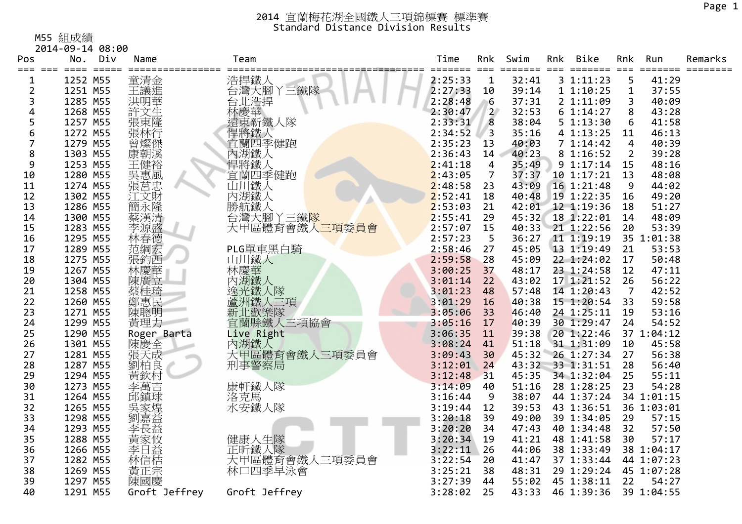#### 2014 宜蘭梅花湖全國鐵人三項錦標賽 標準賽 Standardd Distance Division Results

<sup>1293</sup> M55 李長益 3:20:20 <sup>34</sup> 47:43 <sup>40</sup> 1:34:48 <sup>32</sup> 57:50

<sup>1288</sup> M55 黃家攸 健康人生隊 3:20:34 <sup>19</sup> 41:21 <sup>48</sup> 1:41:58 <sup>30</sup> 57:17

<sup>1266</sup> M55 李日益 正昕鐵人隊 3:22:11 <sup>26</sup> 44:06 <sup>38</sup> 1:33:49 <sup>38</sup> 1:04:17

<sup>1282</sup> M55 林信桔 大甲區體育會鐵人三項委員會 3:22:54 <sup>20</sup> 41:47 <sup>37</sup> 1:33:44 <sup>44</sup> 1:07:23

<sup>1269</sup> M55 黃正宗 林口四季早泳會 3:25:21 <sup>38</sup> 48:31 <sup>29</sup> 1:29:24 <sup>45</sup> 1:07:28

|            |                  |             | Standard Distance Division Results |         |                |       |     |            |     |            |         |
|------------|------------------|-------------|------------------------------------|---------|----------------|-------|-----|------------|-----|------------|---------|
|            | M55 組成績          |             |                                    |         |                |       |     |            |     |            |         |
|            | 2014-09-14 08:00 |             |                                    |         |                |       |     |            |     |            |         |
| <b>Pos</b> | No. Div          | Name        | Team                               | Time    | Rnk            | Swim  | Rnk | Bike       | Rnk | Run        | Remarks |
|            |                  |             |                                    |         |                | ===== |     |            |     | =====      |         |
| 1          | 1252 M55         | 童清金         | 浩捍鐵人                               | 2:25:33 | 1              | 32:41 |     | 31:11:23   | 5   | 41:29      |         |
| 2          | 1251 M55         | 王議進         | 台灣大腳丫三鐵隊                           | 2:27:33 | 10             | 39:14 |     | 11:10:25   | 1   | 37:55      |         |
| 3          | 1285 M55         | 洪明華         | 台北浩捍                               | 2:28:48 | 6              | 37:31 |     | 21:11:09   |     | 40:09      |         |
| 4          | 1268 M55         | 許文生         | 林慶華                                | 2:30:47 | $2^{\circ}$    | 32:53 |     | 61:14:27   | 8   | 43:28      |         |
| 5          | 1257 M55         | 張東隆         | 遠東新鐵人隊                             | 2:33:31 | 8              | 38:04 |     | 51:13:30   | 6   | 41:58      |         |
| 6          | 1272 M55         | 張林行         | 悍將鐵人                               | 2:34:52 | <b>3</b>       | 35:16 |     | 41:13:25   | 11  | 46:13      |         |
| 7          | 1279 M55         | 曾燦傑         | 宜蘭四季健跑                             | 2:35:23 | 13             | 40:03 |     | 71:14:42   | 4   | 40:39      |         |
| 8          | 1303 M55         | 康朝溪         | 內湖鐵人                               | 2:36:43 | 14             | 40:23 |     | 8 1:16:52  | 2   | 39:28      |         |
| 9          | 1253 M55         | 王健裕         | 悍將鐵人                               | 2:41:18 | 4              | 35:49 |     | 91:17:14   | 15  | 48:16      |         |
| 10         | 1280 M55         | 吳惠風         | 宜蘭四季健跑                             | 2:43:05 | $\overline{7}$ | 37:37 |     | 10 1:17:21 | 13  | 48:08      |         |
| 11         | 1274 M55         | 張莒忠         | 山川鐵人                               | 2:48:58 | 23             | 43:09 |     | 16 1:21:48 | 9   | 44:02      |         |
| 12         | 1302 M55         | 江文財         | 內湖鐵人                               | 2:52:41 | 18             | 40:48 |     | 19 1:22:35 | 16  | 49:20      |         |
| 13         | 1286 M55         | 簡永隆         | 勝航鐵人                               | 2:53:03 | 21             | 42:01 |     | 12 1:19:36 | 18  | 51:27      |         |
| 14         | 1300 M55         | 蔡漢清         | 台灣大腳丫三鐵隊                           | 2:55:41 | 29             | 45:32 |     | 18 1:22:01 | 14  | 48:09      |         |
| 15         | 1283 M55         | 李源盛         | 大甲區體育會鐵人三項委員會                      | 2:57:07 | 15             | 40:33 |     | 21 1:22:56 | 20  | 53:39      |         |
| 16         | 1295 M55         | 林春德         |                                    | 2:57:23 | 5              | 36:27 |     | 11 1:19:19 |     | 35 1:01:38 |         |
| 17         | 1289 M55         | 范綱宏         | PLG單車黑白騎                           | 2:58:46 | 27             | 45:05 |     | 13 1:19:49 | 21  | 53:53      |         |
| 18         | 1275 M55         | 張鈞西         | 山川鐵人                               | 2:59:58 | 28             | 45:09 |     | 22 1:24:02 | 17  | 50:48      |         |
| 19         | 1267 M55         | 林慶華         | 林慶華                                | 3:00:25 | 37             | 48:17 |     | 23 1:24:58 | 12  | 47:11      |         |
| 20         | 1304 M55         | 陳廣立         | 內湖鐵人                               | 3:01:14 | 22             | 43:02 |     | 17 1:21:52 | 26  | 56:22      |         |
| 21         | 1258 M55         | 蔡桂琦         | 光鐵人隊                               | 3:01:23 | 48             | 57:48 |     | 14 1:20:43 | 7   | 42:52      |         |
| 22         | 1260 M55         | 鄭惠民         | #鐵人三項                              | 3:01:29 | 16             | 40:38 |     | 15 1:20:54 | 33  | 59:58      |         |
| 23         | 1271 M55         | 陳聰明         | 新北歡樂隊                              | 3:05:06 | 33             | 46:40 |     | 24 1:25:11 | 19  | 53:16      |         |
| 24         | 1299 M55         | 黃理力         | 宜蘭縣鐵人三項協會                          | 3:05:16 | 17             | 40:39 |     | 30 1:29:47 | 24  | 54:52      |         |
| 25         | 1290 M55         | Roger Barta | Live Right                         | 3:06:35 | 11             | 39:38 |     | 20 1:22:46 |     | 37 1:04:12 |         |
| 26         | 1301 M55         | 陳慶全         | 內湖鐵人                               | 3:08:24 | 41             | 51:18 |     | 31 1:31:09 | 10  | 45:58      |         |
| 27         | 1281 M55         | 張天成         | 大甲區體育會鐵人三項委員會                      | 3:09:43 | 30             | 45:32 |     | 26 1:27:34 | 27  | 56:38      |         |
| 28         | 1287 M55         | 劉柏良         | 刑事警察局                              | 3:12:01 | 24             | 43:32 |     | 33 1:31:51 | 28  | 56:40      |         |
| 29         | 1294 M55         | 黃欽村         |                                    | 3:12:48 | 31             | 45:35 |     | 34 1:32:04 | 25  | 55:11      |         |
| 30         | 1273 M55         | 李萬吉         | 康軒鐵人隊                              | 3:14:09 | 40             | 51:16 |     | 28 1:28:25 | 23  | 54:28      |         |
| 31         | 1264 M55         | 邱鎮球         | 洛克馬                                | 3:16:44 | 9              | 38:07 |     | 44 1:37:24 |     | 34 1:01:15 |         |
| 32         | 1265 M55         |             | 水安鐵人隊                              | 3:19:44 | 12             | 39:53 |     | 43 1:36:51 |     | 36 1:03:01 |         |
| 33         | 1298 M55         | 吳家煌<br>劉嘉益  |                                    | 3:20:18 | 39             | 49:00 |     | 39 1:34:05 | 29  | 57:15      |         |

9 1297 M55 陳國慶 3:27:39 44 55:02 45 1:38:11 22 54:27 1291 M55 Groft Jeffrey Groft Jeffrey 3:28:02 25 43:33 46 1:39:36 39 1:04:55

34

35

36

37

38

39

40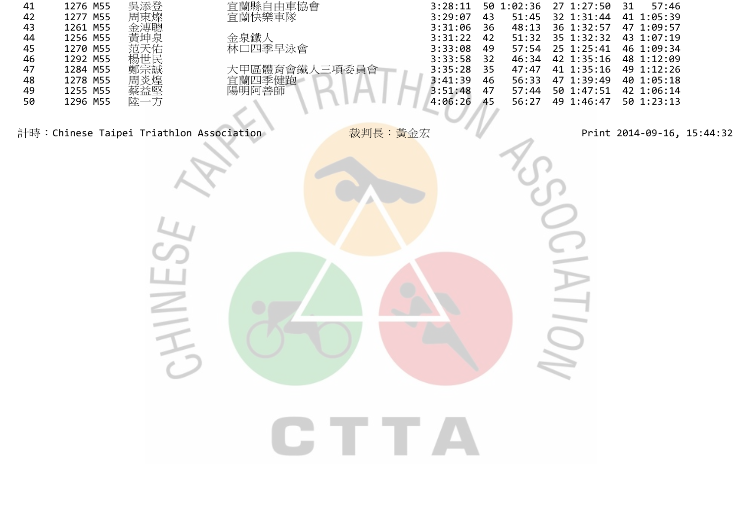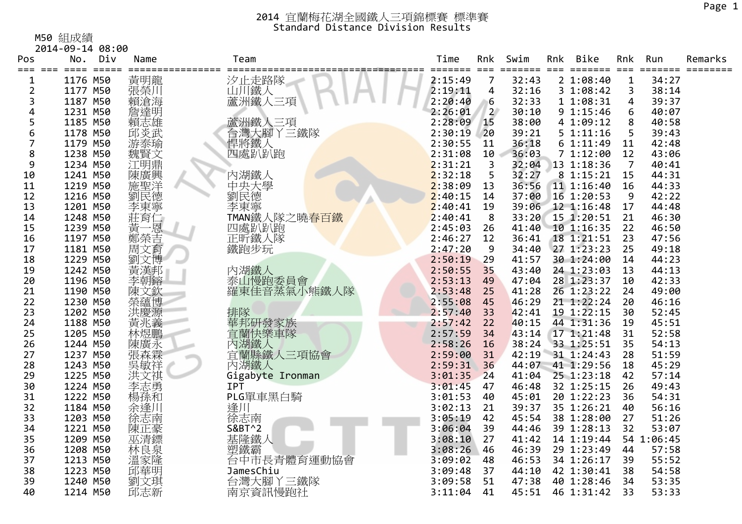M50 組成績

|                | 2014-09-14 08:00  |               |                            |                   |                        |               |      |                                     |                       |                |         |
|----------------|-------------------|---------------|----------------------------|-------------------|------------------------|---------------|------|-------------------------------------|-----------------------|----------------|---------|
| Pos            | Div<br>No.        | Name          | Team                       | Time              | Rnk                    | Swim          | Rnk  | Bike                                | Rnk                   | Run            | Remarks |
| ===<br>1       | $===$<br>1176 M50 | 黃明龍           | ============<br>汐止走路隊      | ======<br>2:15:49 | $==$<br>$\overline{7}$ | ====<br>32:43 | $==$ | $=$ $=$ $=$ $=$ $=$ $=$<br>21:08:40 | $===$<br>$\mathbf{1}$ | =====<br>34:27 |         |
| $\overline{2}$ | 1177 M50          | 張榮川           | 山川鐵人                       | 2:19:11           | 4                      | 32:16         |      | 3 1:08:42                           | 3                     | 38:14          |         |
| 3              | 1187 M50          |               | 蘆洲鐵人三項                     | 2:20:40           | 6                      | 32:33         |      | 1 1:08:31                           | 4                     | 39:37          |         |
|                | 1231 M50          | 賴滄海           |                            | 2:26:01           | $\overline{2}$         | 30:10         |      | 91:15:46                            | 6                     | 40:07          |         |
| 4              | 1185 M50          | 詹達明           |                            | 2:28:09           | 15                     | 38:00         |      | 4 1:09:12                           | 8                     | 40:58          |         |
| 5              |                   | 賴志雄           | 蘆洲鐵人三項<br>台灣大腳丫三鐵隊<br>悍將鐵人 |                   |                        |               |      |                                     |                       |                |         |
| 6              | 1178 M50          | 邱炎武           |                            | 2:30:19           | 20                     | 39:21         |      | 51:11:16                            | 5                     | 39:43          |         |
| 7              | 1179 M50          | 游泰瑜           |                            | 2:30:55           | 11                     | 36:18         |      | 61:11:49                            | 11                    | 42:48          |         |
| 8              | 1238 M50          | 魏賢文<br>江明鼎    |                            | 2:31:08           | 10                     | 36:03         |      | 71:12:00                            | 12                    | 43:06          |         |
| 9              | 1234 M50          |               |                            | 2:31:21           | 3                      | 32:04         |      | 13 1:18:36                          | $\overline{7}$        | 40:41          |         |
| 10             | 1241 M50          | 陳廣興           | 內湖鐵人                       | 2:32:18           | 5                      | 32:27         |      | 81:15:21                            | 15                    | 44:31          |         |
| 11             | 1219 M50          | 施聖洋           | 中央大學                       | 2:38:09           | 13                     | 36:56         |      | 11 1:16:40                          | 16                    | 44:33          |         |
| 12             | 1216 M50          | 劉民德           | 劉民德                        | 2:40:15           | 14                     | 37:00         |      | 16 1:20:53                          | 9                     | 42:22          |         |
| 13             | 1201 M50          | 李東寧           | 李東寧                        | 2:40:41           | 19                     | 39:06         |      | 12 1:16:48                          | 17                    | 44:48          |         |
| 14             | 1248 M50          | 莊育仁           | TMAN鐵人隊之曉 <mark>春百鐵</mark> | 2:40:41           | 8                      | 33:20         |      | 15 1:20:51                          | 21                    | 46:30          |         |
| 15             | 1239 M50          |               | 四處趴趴跑                      | 2:45:03           | 26                     | 41:40         |      | 10 1:16:35                          | 22                    | 46:50          |         |
| 16             | 1197 M50          |               | 正昕鐵人隊                      | 2:46:27           | 12                     | 36:41         |      | 18 1:21:51                          | 23                    | 47:56          |         |
| 17             | 1181 M50          | #黃鄭周<br>(一榮文) | 鐵跑步玩                       | 2:47:20           | 9                      | 34:40         |      | 27 1:23:23                          | 25                    | 49:18          |         |
| 18             | 1229 M50          | 劉文博           |                            | 2:50:19           | 29                     | 41:57         |      | 30 1:24:00                          | 14                    | 44:23          |         |
| 19             | 1242 M50          | 黃漢邦           | 內湖鐵人                       | 2:50:55           | 35                     | 43:40         |      | 24 1:23:03                          | 13                    | 44:13          |         |
| 20             | 1196 M50          | 李朝鎔           | 泰山慢跑委員會                    | 2:53:13           | 49                     | 47:04         |      | 28 1:23:37                          | 10                    | 42:33          |         |
| 21             | 1190 M50          | 陳文欽           | 羅東佳音蒸氣小熊鐵人隊                | 2:53:48           | 25                     | 41:28         |      | 26 1:23:22                          | 24                    | 49:00          |         |
| 22             | 1230 M50          | 榮蘊博           |                            | 2:55:08           | 45                     | 46:29         |      | 21 1:22:24                          | 20                    | 46:16          |         |
| 23             | 1202 M50          | 洪慶源           | 排隊                         | 2:57:40           | 33                     | 42:41         |      | 19 1:22:15                          | 30                    | 52:45          |         |
| 24             | 1188 M50          | 黃兆義           |                            | 2:57:42           | 22                     | 40:15         |      | 44 1:31:36                          | 19                    | 45:51          |         |
| 25             | 1205 M50          | 林煜鵬           | 華邦研發家族<br>宜蘭快樂車隊           | 2:57:59           | 34                     | 43:14         |      | 17 1:21:48                          | 31                    | 52:58          |         |
| 26             | 1244 M50          | 陳廣永           | 內湖鐵人                       | 2:58:26           | 16                     | 38:24         |      | 33 1:25:51                          | 35                    | 54:13          |         |
| 27             | 1237 M50          |               | 宜蘭縣鐵人三項協會                  | 2:59:00           | 31                     | 42:19         |      | 31 1:24:43                          | 28                    | 51:59          |         |
| 28             | 1243 M50          | ·張森霖<br>吳敏祥   | 內湖鐵人                       | 2:59:31           | 36                     | 44:07         |      | 41 1:29:56                          | 18                    | 45:29          |         |
| 29             | 1225 M50          | 洪文祺           | Gigabyte Ironman           | 3:01:35           | 24                     | 41:04         |      | 25 1:23:18                          | 42                    | 57:14          |         |
| 30             | 1224 M50          | 李志勇           | IPT                        | 3:01:45           | 47                     | 46:48         |      | 32 1:25:15                          | 26                    | 49:43          |         |
| 31             | 1222 M50          | 楊孫和           | PLG單車黑白騎                   | 3:01:53           | 40                     | 45:01         |      | 20 1:22:23                          | 36                    | 54:31          |         |
| 32             | 1184 M50          | 余逢川           | 逢川                         | 3:02:13           | 21                     | 39:37         |      | 35 1:26:21                          | 40                    | 56:16          |         |
| 33             | 1203 M50          | 徐志南           | 徐志南                        | 3:05:19           | 42                     | 45:54         |      | 38 1:28:00                          | 27                    | 51:26          |         |
| 34             | 1221 M50          |               | S&BT^2                     |                   | 39                     | 44:46         |      | 39 1:28:13                          | 32                    | 53:07          |         |
|                |                   | 陳正豪           |                            | 3:06:04           | 27                     |               |      |                                     |                       |                |         |
| 35             | 1209 M50          | 巫清鏢           | 基隆鐵人                       | 3:08:10           |                        | 41:42         |      | 14 1:19:44                          |                       | 54 1:06:45     |         |
| 36             | 1208 M50          | 林良泉           | 塑鐵霸                        | 3:08:26           | 46                     | 46:39         |      | 29 1:23:49                          | 44                    | 57:58          |         |
| 37             | 1213 M50          |               | 台中市長青體育運動協會                | 3:09:02           | 48                     | 46:53         |      | 34 1:26:17                          | 39                    | 55:52          |         |
| 38             | 1223 M50          | 邱華明           | JamesChiu                  | 3:09:48           | 37                     | 44:10         |      | 42 1:30:41                          | 38                    | 54:58          |         |
| 39             | 1240 M50          | 劉文琪           | 台灣大腳丫三鐵隊                   | 3:09:58           | 51                     | 47:38         |      | 40 1:28:46                          | 34                    | 53:35          |         |
| 40             | 1214 M50          | 邱志新           | 南京資訊慢跑社                    | 3:11:04           | 41                     | 45:51         |      | 46 1:31:42                          | 33                    | 53:33          |         |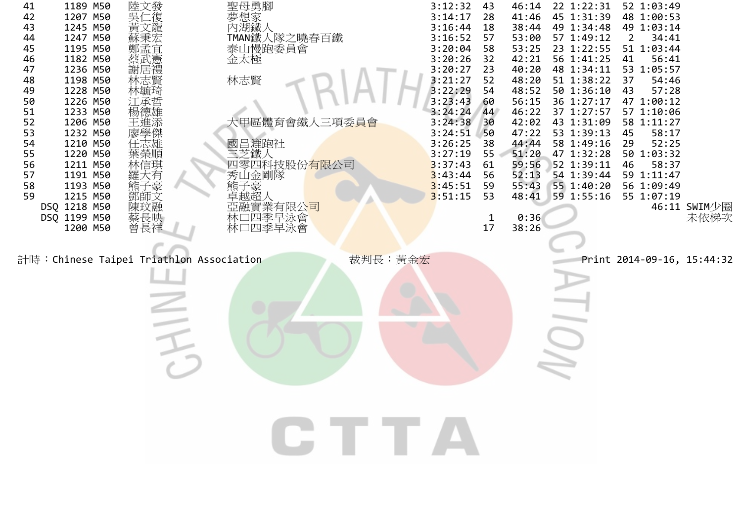| 1189 M50<br>41<br>1207 M50<br>42<br>43<br>1245 M50<br>44<br>1247 M50<br>45<br>1195 M50<br>46<br>1182 M50<br>47<br>1236 M50<br>48<br>1198 M50<br>49<br>1228 M50<br>50<br>1226 M50<br>51<br>1233 M50<br>52<br>1206 M50<br>53<br>1232 M50<br>54<br>1210 M50<br>55<br>1220 M50<br>56<br>1211 M50<br>57<br>1191 M50<br>58<br>1193 M50 | 陸文發<br>吳仁復<br>黃文龍<br>林志賢<br>林毓琦<br>江承哲<br>楊德雄<br>王進添<br>廖學傑<br>任志雄<br>葉榮順<br>林信琪<br>羅大有<br>子豪 | 聖母勇腳<br>夢想家人<br>內湖鐵人<br>泰山慢跑委員會<br>金太極<br>林志賢<br>國昌漉跑社<br>三芝鐵人<br>秀山金剛隊<br>熊子豪 | TMAN鐵人隊之曉春百鐵<br>大甲區體育會鐵人三項委員會<br>四零四科技股份有限公司 |         | 3:12:32<br>3:14:17<br>3:16:44<br>3:16:52<br>3:20:04<br>3:20:26<br>3:20:27<br>3:21:27<br>3:22:29<br>3:23:43<br>3:24:24<br>3:24:38<br>3:24:51<br>3:26:25<br>3:27:19<br>3:37:43<br>3:43:44<br>3:45:51 | 43<br>28<br>18<br>57<br>58<br>32<br>23<br>52<br>54<br>60<br>44<br>30<br>50<br>38<br>55<br>61<br>56<br>59 | 46:14<br>41:46<br>38:44<br>53:00<br>53:25<br>42:21<br>40:20<br>48:20<br>48:52<br>56:15<br>46:22<br>42:02<br>47:22<br>44:44<br>51:20<br>59:56<br>52:13<br>55:43 | 22 1:22:31<br>45 1:31:39<br>49 1:34:48<br>57 1:49:12<br>23 1:22:55<br>56 1:41:25<br>48 1:34:11<br>51 1:38:22<br>50 1:36:10<br>36 1:27:17<br>37 1:27:57<br>43 1:31:09<br>53 1:39:13<br>58 1:49:16<br>47 1:32:28<br>52 1:39:11<br>54 1:39:44<br>55 1:40:20 | $\overline{2}$<br>41<br>37<br>43<br>45<br>29<br>46 | 52 1:03:49<br>48 1:00:53<br>49 1:03:14<br>34:41<br>51 1:03:44<br>56:41<br>53 1:05:57<br>54:46<br>57:28<br>47 1:00:12<br>57 1:10:06<br>58 1:11:27<br>58:17<br>52:25<br>50 1:03:32<br>58:37<br>59 1:11:47<br>56 1:09:49 |                            |
|----------------------------------------------------------------------------------------------------------------------------------------------------------------------------------------------------------------------------------------------------------------------------------------------------------------------------------|-----------------------------------------------------------------------------------------------|--------------------------------------------------------------------------------|----------------------------------------------|---------|----------------------------------------------------------------------------------------------------------------------------------------------------------------------------------------------------|----------------------------------------------------------------------------------------------------------|----------------------------------------------------------------------------------------------------------------------------------------------------------------|----------------------------------------------------------------------------------------------------------------------------------------------------------------------------------------------------------------------------------------------------------|----------------------------------------------------|-----------------------------------------------------------------------------------------------------------------------------------------------------------------------------------------------------------------------|----------------------------|
| 59<br>1215 M50<br>DSQ 1218 M50<br>DSQ 1199 M50<br>1200 M50                                                                                                                                                                                                                                                                       | 鄧師文<br>陳玟融<br>蔡長映<br>曾長祥                                                                      | 卓越超人<br>亞融實業有限公 <mark>司</mark><br>林口四季早泳會<br>林口四季早泳會                           |                                              |         | 3:51:15                                                                                                                                                                                            | 53<br>$\mathbf{1}$<br>17                                                                                 | 48:41<br>0:36<br>38:26                                                                                                                                         | 59 1:55:16                                                                                                                                                                                                                                               |                                                    | 55 1:07:19                                                                                                                                                                                                            | 46:11 SWIM少圈<br>未依梯次       |
|                                                                                                                                                                                                                                                                                                                                  | 計時: Chinese Taipei Triathlon Association                                                      |                                                                                |                                              | 裁判長:黃金宏 |                                                                                                                                                                                                    |                                                                                                          |                                                                                                                                                                |                                                                                                                                                                                                                                                          |                                                    |                                                                                                                                                                                                                       | Print 2014-09-16, 15:44:32 |
|                                                                                                                                                                                                                                                                                                                                  |                                                                                               |                                                                                | CITTA                                        |         |                                                                                                                                                                                                    |                                                                                                          |                                                                                                                                                                |                                                                                                                                                                                                                                                          |                                                    |                                                                                                                                                                                                                       |                            |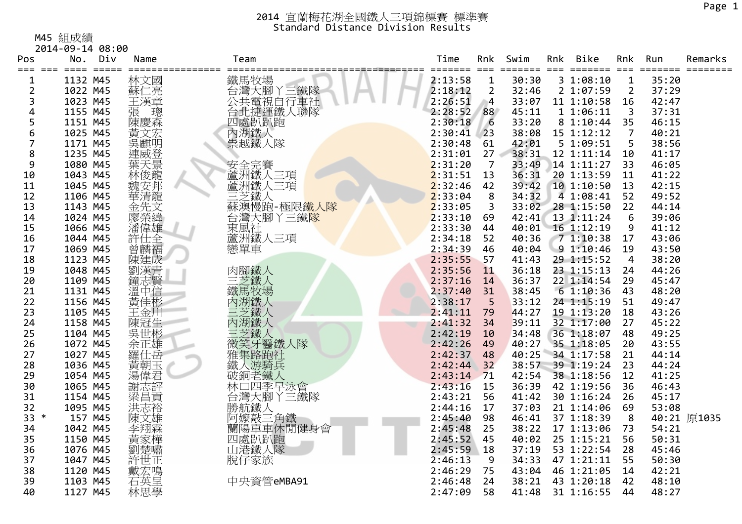M45 組成績

|                | 2014-09-14 08:00            |                             |                                  |                                |                       |               |     |                                     |                      |                |             |
|----------------|-----------------------------|-----------------------------|----------------------------------|--------------------------------|-----------------------|---------------|-----|-------------------------------------|----------------------|----------------|-------------|
| Pos            | No.<br>Div                  | Name                        | Team                             | Time                           | Rnk                   | Swim          | Rnk | Bike                                | Rnk                  | Run            | Remarks     |
| $==$<br>1      | =====<br>$====$<br>1132 M45 | 林文國                         | 鐵馬牧場<br>台灣大腳丫三鐵隊<br>公共電視自行車社     | $=$ $=$ $=$ $=$ $=$<br>2:13:58 | $===$<br>$\mathbf{1}$ | ====<br>30:30 |     | $=$ $=$ $=$ $=$ $=$ $=$<br>31:08:10 | $==$<br>$\mathbf{1}$ | =====<br>35:20 |             |
| $\overline{2}$ | 1022 M45                    | 蘇仁亮                         |                                  | 2:18:12                        | $\overline{2}$        | 32:46         |     | 21:07:59                            | $\overline{2}$       | 37:29          |             |
| 3              | 1023 M45                    | 王漢章                         |                                  | 2:26:51                        | $\overline{4}$        | 33:07         |     | 11 1:10:58                          | 16                   | 42:47          |             |
| 4              | 1155 M45                    |                             |                                  | 2:28:52                        | 88                    | 45:11         |     | 1 1:06:11                           | 3                    | 37:31          |             |
| 5              | 1151 M45                    | 張 璁森                        | 台北捷運鐵人聯隊<br>四處趴趴跑                | 2:30:18                        | 6                     | 33:20         |     | 8 1:10:44                           | 35                   | 46:15          |             |
| 6              | 1025 M45                    | 黃文宏                         |                                  | 2:30:41                        | 23                    | 38:08         |     | 15 1:12:12                          | $\overline{7}$       | 40:21          |             |
| 7              | 1171 M45                    | 吳麒明                         | 二、湖鐵人<br>崇越鐵人隊                   | 2:30:48                        | 61                    | 42:01         |     | 51:09:51                            | 5                    | 38:56          |             |
| 8              | 1235 M45                    | 連威登                         |                                  | 2:31:01                        | 27                    | 38:31         |     | 12 1:11:14                          | 10                   | 41:17          |             |
| 9              | 1080 M45                    |                             |                                  | 2:31:20                        | $\overline{7}$        | 33:49         |     | 14 1:11:27                          | 33                   | 46:05          |             |
| 10             | 1043 M45                    | 葉天景<br>林俊龍                  | 安全完賽<br>蘆洲鐵人三項                   | 2:31:51                        | 13                    | 36:31         |     | 20 1:13:59                          | 11                   | 41:22          |             |
| 11             | 1045 M45                    | 魏安邦                         | 蘆洲鐵人三項                           | 2:32:46                        | 42                    | 39:42         |     | 10 1:10:50                          | 13                   | 42:15          |             |
| 12             | 1106 M45                    | 華清龍                         | 三芝鐵人<br>蘇澳慢跑-極限鐵人隊<br>台灣大腳丫三鐵隊   | 2:33:04                        | 8                     | 34:32         |     | 4 1:08:41                           | 52                   | 49:52          |             |
| 13             | 1143 M45                    | 金先文                         |                                  | 2:33:05                        | $\overline{3}$        | 33:02         |     | 28 1:15:50                          | 22                   | 44:14          |             |
| 14             | 1024 M45                    | 廖榮緯                         |                                  | 2:33:10                        | 69                    | 42:41         |     | 13 1:11:24                          | 6                    | 39:06          |             |
| 15             | 1066 M45                    | 潘偉雄                         |                                  | 2:33:30                        | 44                    | 40:01         |     | 16 1:12:19                          | 9                    | 41:12          |             |
| 16             | 1044 M45                    | 許仕全                         | 東風社<br>蘆洲鐵人三項                    | 2:34:18                        | 52                    | 40:36         |     | 7 1:10:38                           | 17                   | 43:06          |             |
| 17             | 1069 M45                    | 曾麟福                         | 戀單車                              | 2:34:39                        | 46                    | 40:04         |     | 91:10:46                            | 19                   | 43:50          |             |
| 18             | 1123 M45                    | 陳建成                         |                                  | 2:35:55                        | 57                    | 41:43         |     | 29 1:15:52                          | 4                    | 38:20          |             |
| 19             | 1048 M45                    | 劉漢青                         | 肉腳鐵人                             | 2:35:56                        | 11                    | 36:18         |     | 23 1:15:13                          | 24                   | 44:26          |             |
| 20             | 1109 M45                    | 《鐘溫黃』<br>《志中佳》              | 三芝鐵大場<br>國語<br>內湖鐵:              | 2:37:16                        | 14                    | 36:37         |     | 22 1:14:54                          | 29                   | 45:47          |             |
| 21             | 1131 M45                    |                             |                                  | 2:37:40                        | 31                    | 38:45         |     | 61:10:36                            | 43                   | 48:20          |             |
| 22             | 1156 M45                    |                             |                                  | 2:38:17                        | 5                     | 33:12         |     | 24 1:15:19                          | 51                   | 49:47          |             |
| 23             | 1105 M45                    | 王金川                         | 三芝鐵人                             | 2:41:11                        | 79                    | 44:27         |     | 19 1:13:20                          | 18                   | 43:26          |             |
| 24             | 1158 M45                    | 陳冠生彬                        | 內湖鐵人                             | 2:41:32                        | 34                    | 39:11         |     | 32 1:17:00                          | 27                   | 45:22          |             |
| 25             | 1104 M45                    |                             | 三芝鐵人<br>微笑牙醫鐵人隊                  | 2:42:19                        | 10                    | 34:48         |     | 36 1:18:07                          | 48                   | 49:25          |             |
| 26             | 1072 M45                    | 余正雄                         |                                  | 2:42:26                        | 49                    | 40:27         |     | 35 1:18:05                          | 20                   | 43:55          |             |
| 27             | 1027 M45                    | 羅仕岳                         | 雅集路跑社                            | 2:42:37                        | 48                    | 40:25         |     | 34 1:17:58                          | 21                   | 44:14          |             |
| 28             | 1036 M45                    | 一<br>漫<br>漫<br><sup>漫</sup> | 鐵人游騎兵                            | 2:42:44                        | 32                    | 38:57         |     | 39 1:19:24                          | 23                   | 44:24          |             |
| 29             | 1054 M45                    |                             | (破銅老鐵人<br>林口四季早泳會                | 2:43:14                        | 71                    | 42:54         |     | 38 1:18:56                          | 12                   | 41:25          |             |
| 30             | 1065 M45                    | 謝志評                         |                                  | 2:43:16                        | 15                    | 36:39         |     | 42 1:19:56                          | 36                   | 46:43          |             |
| 31             | 1154 M45                    | 梁昌貢                         | 台灣大腳丫三鐵隊                         | 2:43:21                        | 56                    | 41:42         |     | 30 1:16:24                          | 26                   | 45:17          |             |
| 32             | 1095 M45                    | 洪志裕                         |                                  | 2:44:16                        | 17                    | 37:03         |     | 21 1:14:06                          | 69                   | 53:08          |             |
| $\ast$<br>33   | 157 M45                     | 陳文雄                         | 勝航鐵人  <br> 阿嬤敲三角鐵<br> 蘭陽  車体閒健身會 | 2:45:40                        | 98                    | 46:41         |     | 37 1:18:39                          | 8                    |                | 40:21 原1035 |
| 34             | 1042 M45                    | 李翔霖                         |                                  | 2:45:48                        | 25                    | 38:22         |     | 17 1:13:06                          | 73                   | 54:21          |             |
| 35             | 1150 M45                    | 黃家樺                         | 四處趴趴跑                            | 2:45:52                        | 45                    | 40:02         |     | 25 1:15:21                          | 56                   | 50:31          |             |
| 36             | 1076 M45                    | 劉楚嘯                         | 山港鐵人隊                            | 2:45:59                        | 18                    | 37:19         |     | 53 1:22:54                          | 28                   | 45:46          |             |
| 37             | 1047 M45                    | 許世正                         | 脫仔家族                             | 2:46:13                        | 9                     | 34:33         |     | 47 1:21:11                          | 55                   | 50:30          |             |
| 38             | 1120 M45                    | 戴宏鳴                         |                                  | 2:46:29                        | 75                    | 43:04         |     | 46 1:21:05                          | 14                   | 42:21          |             |
| 39             | 1103 M45                    | 石英呈                         | 中央資管eMBA91                       | 2:46:48                        | 24                    | 38:21         |     | 43 1:20:18                          | 42                   | 48:10          |             |
| 40             | 1127 M45                    | 林思學                         |                                  | 2:47:09                        | 58                    | 41:48         |     | 31 1:16:55                          | 44                   | 48:27          |             |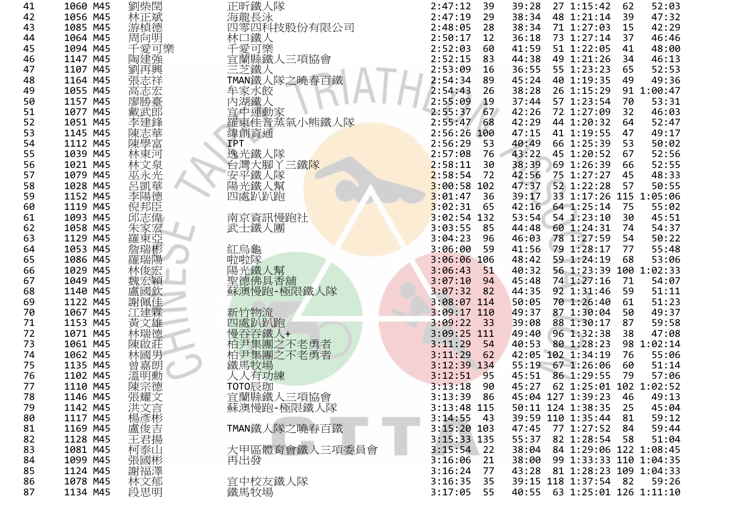| 41 | 1060 M45 | 劉柴閏    | 正昕鐵人隊         | 2:47:12<br>39    | 39:28 | 27 1:15:42             | 62 | 52:03      |
|----|----------|--------|---------------|------------------|-------|------------------------|----|------------|
| 42 | 1056 M45 | 林正斌    | 海龍長泳          | 2:47:19<br>29    | 38:34 | 48 1:21:14             | 39 | 47:32      |
| 43 | 1085 M45 | 游楨德    | 四零四科技股份有限公司   | 2:48:05<br>28    | 38:34 | 71 1:27:03             | 15 | 42:29      |
| 44 | 1064 M45 | 周向明    | 林口鐵人          | 2:50:17<br>12    | 36:18 | 73 1:27:14             | 37 | 46:46      |
| 45 | 1094 M45 | 千愛可樂   | 千愛可樂          | 2:52:03<br>60    | 41:59 | 51 1:22:05             | 41 | 48:00      |
| 46 | 1147 M45 | 陶建強    | 宜蘭縣鐵人三項協會     | 2:52:15<br>83    | 44:38 | 49 1:21:26             | 34 | 46:13      |
| 47 | 1107 M45 | 劉再興    | 三芝鐵人          | 2:53:09<br>16    | 36:55 | 55 1:23:23             | 65 | 52:53      |
| 48 | 1164 M45 | 張志祥    | TMAN鐵人隊之曉春百鐵  | 2:54:34<br>89    | 45:24 | 40 1:19:35             | 49 | 49:36      |
| 49 | 1055 M45 | 高志宏    | 牟家水餃          | 2:54:43<br>26    | 38:28 | 26 1:15:29             |    | 91 1:00:47 |
| 50 | 1157 M45 | 廖勝臺    | 內湖鐵人          | 2:55:09<br>19    | 37:44 | 57 1:23:54             | 70 | 53:31      |
| 51 | 1077 M45 | 戴武郎    | 宜中運動家         | 67<br>2:55:37    | 42:26 | 72 1:27:09             | 32 | 46:03      |
| 52 | 1051 M45 | 李建鋒    | 羅東佳音蒸氣小熊鐵人隊   | 2:55:47<br>68    | 42:29 | 44 1:20:32             | 64 | 52:47      |
|    |          |        |               |                  |       |                        |    | 49:17      |
| 53 | 1145 M45 | 陳志華    | 緯創資通          | 2:56:26<br>100   | 47:15 | 41 1:19:55             | 47 |            |
| 54 | 1112 M45 | 陳學富    | <b>IPT</b>    | 2:56:29<br>53    | 40:49 | 66 1:25:39             | 53 | 50:02      |
| 55 | 1039 M45 | 林東河    | 逸光鐵人隊         | 2:57:08<br>76    | 43:22 | 45 1:20:52             | 67 | 52:56      |
| 56 | 1021 M45 | 林文泉    | 台灣大腳丫三鐵隊      | 2:58:11<br>30    | 38:39 | 69 1:26:39             | 66 | 52:55      |
| 57 | 1079 M45 | 巫永光    | 安平鐵人隊         | 2:58:54<br>72    | 42:56 | 75 1:27:27             | 45 | 48:33      |
| 58 | 1028 M45 | 呂凱華    | 陽光鐵人幫         | $3:00:58$ 102    | 47:37 | 52 1:22:28             | 57 | 50:55      |
| 59 | 1152 M45 | 李陽德    | 四處趴趴跑         | 3:01:47<br>36    | 39:17 | 33 1:17:26 115 1:05:06 |    |            |
| 60 | 1119 M45 | 倪邦臣    |               | 3:02:31<br>65    | 42:16 | 64 1:25:14             | 75 | 55:02      |
| 61 | 1093 M45 | 邱志偉    | 南京資訊慢跑社       | $3:02:54$ 132    | 53:54 | 54 1:23:10             | 30 | 45:51      |
| 62 | 1058 M45 | 朱家宏    | 武士鐵人團         | 3:03:55<br>85    | 44:48 | 60 1:24:31             | 74 | 54:37      |
| 63 | 1129 M45 | 羅東亞    |               | 3:04:23<br>96    | 46:03 | 78 1:27:59             | 54 | 50:22      |
| 64 | 1053 M45 | 詹瑞彬    | 紅烏龜           | 3:06:00<br>59    | 41:56 | 79 1:28:17             | 77 | 55:48      |
| 65 | 1086 M45 | 羅瑞陽    | 啦啦隊           | 3:06:06 106      | 48:42 | 59 1:24:19             | 68 | 53:06      |
| 66 | 1029 M45 | 林俊宏    | 陽光鐵人幫         | 3:06:43<br>51    | 40:32 | 56 1:23:39 100 1:02:33 |    |            |
| 67 | 1049 M45 | 魏宏穎    | 聖德佛具香舖        | 3:07:10<br>94    | 45:48 | 74 1:27:16             | 71 | 54:07      |
| 68 | 1140 M45 | 盧國欽    | 蘇澳慢跑-極限鐵人隊    | 3:07:32<br>82    | 44:35 | 92 1:31:46             | 59 | 51:11      |
| 69 | 1122 M45 | 謝佩佳    |               | $3:08:07$ 114    | 50:05 | 70 1:26:40             | 61 | 51:23      |
| 70 | 1067 M45 | 江建霖    | 新竹物流          | $3:09:17$ 110    | 49:37 | 87 1:30:04             | 50 | 49:37      |
| 71 | 1153 M45 | 黃文雄    | 四處趴趴跑         | 3:09:22<br>- 33  | 39:08 | 88 1:30:17             | 87 | 59:58      |
| 72 | 1071 M45 | 林瑞德    | 慢吞吞鐵人+        | 3:09:25<br>111   | 49:40 | 96 1:32:38             | 38 | 47:08      |
| 73 | 1061 M45 | 陳啟莊    | 柏尹集團之不老勇者     | 3:11:29<br>54    | 40:53 | 80 1:28:23             |    | 98 1:02:14 |
| 74 | 1062 M45 | 林國男    | 柏尹集團之不老勇者     | 3:11:29<br>62    |       | 42:05 102 1:34:19      | 76 | 55:06      |
| 75 | 1135 M45 | 曾嘉朗    | 鐵馬牧場          | 3:12:39 134      | 55:19 | 67 1:26:06             | 60 | 51:14      |
| 76 | 1102 M45 |        |               | 3:12:51<br>$-95$ | 45:51 | 86 1:29:55             | 79 | 57:06      |
|    |          | 溫明勳    | 人人有功練         |                  |       |                        |    |            |
| 77 | 1110 M45 | 陳宗德    | TOTO辰珈        | 3:13:18<br>90    | 45:27 | 62 1:25:01 102 1:02:52 |    |            |
| 78 | 1146 M45 | 張耀文    | 宜蘭縣鐵人三項協會     | 3:13:39 86       |       | 45:04 127 1:39:23      | 46 | 49:13      |
| 79 | 1142 M45 | 洪文言    | 蘇澳慢跑-極限鐵人隊    | 3:13:48 115      |       | 50:11 124 1:38:35      | 25 | 45:04      |
| 80 | 1117 M45 | ,楊彥俊君! |               | 3:14:55<br>- 43  |       | 39:59 110 1:35:44      | 81 | 59:12      |
| 81 | 1169 M45 |        | TMAN鐵人隊之曉春百鐵  | 3:15:20 103      | 47:45 | 77 1:27:52             | 84 | 59:44      |
| 82 | 1128 M45 |        |               | 3:15:33 135      | 55:37 | 82 1:28:54             | 58 | 51:04      |
| 83 | 1081 M45 | 柯泰山    | 大甲區體育會鐵人三項委員會 | 3:15:54<br>22    | 38:04 | 84 1:29:06 122 1:08:45 |    |            |
| 84 | 1099 M45 | 張國彬    | 再出發           | 3:16:06<br>21    | 38:00 | 99 1:33:33 110 1:04:35 |    |            |
| 85 | 1124 M45 | 謝福澤    |               | 3:16:24<br>77    | 43:28 | 81 1:28:23 109 1:04:33 |    |            |
| 86 | 1078 M45 | 林文郁    | 宜中校友鐵人隊       | 3:16:35<br>35    |       | 39:15 118 1:37:54 82   |    | 59:26      |
| 87 | 1134 M45 | 段思明    | 鐵馬牧場          | 3:17:05<br>55    | 40:55 | 63 1:25:01 126 1:11:10 |    |            |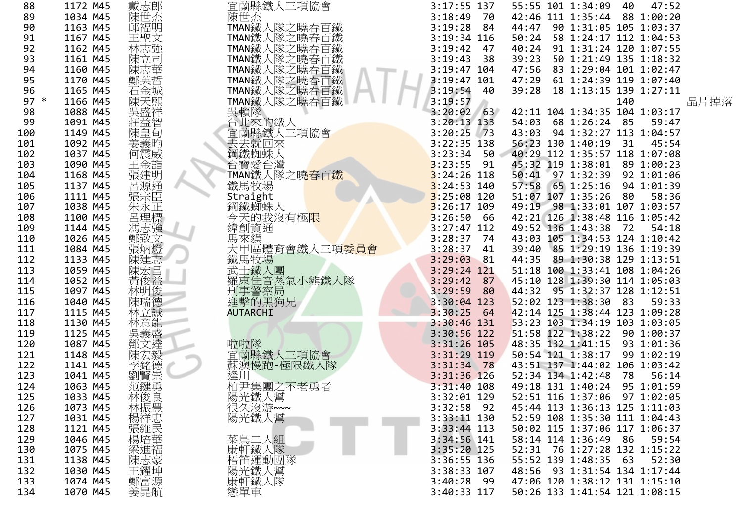| 88      | 1172 M45             | 戴志郎                                                                                | 宜蘭縣鐵人三項協會                     | 3:17:55 137     |       | 55:55 101 1:34:09 40                                           | 47:52 |      |
|---------|----------------------|------------------------------------------------------------------------------------|-------------------------------|-----------------|-------|----------------------------------------------------------------|-------|------|
| 89      | 1034 M45             |                                                                                    | 陳世杰                           | 3:18:49<br>- 70 |       | 42:46 111 1:35:44 88 1:00:20                                   |       |      |
| 90      | 1163 M45             | 陳世杰<br>邱福明                                                                         | TMAN鐵人隊之曉春百鐵                  | 3:19:28<br>84   | 44:47 | 90 1:31:05 105 1:03:37                                         |       |      |
| 91      | 1167 M45             | 王聖文                                                                                | TMAN鐵人隊之曉春百鐵                  | 3:19:34 116     | 50:24 | 58 1:24:17 112 1:04:53                                         |       |      |
| 92      | 1162 M45             | 林志強                                                                                | TMAN鐵人隊之曉春百鐵                  | 3:19:42<br>47   | 40:24 | 91 1:31:24 120 1:07:55                                         |       |      |
| 93      | 1161 M45             | 陳立司                                                                                | TMAN鐵人隊之曉春百鐵                  | 3:19:43<br>- 38 | 39:23 | 50 1:21:49 135 1:18:32                                         |       |      |
| 94      | 1160 M45             | 陳志華                                                                                | TMAN鐵人隊之曉春百鐵                  | 3:19:47 104     | 47:56 | 83 1:29:04 101 1:02:47                                         |       |      |
| 95      | 1170 M45             | 鄭英哲                                                                                | TMAN鐵人隊之曉春百鐵                  | $3:19:47$ 101   | 47:29 | 61 1:24:39 119 1:07:40                                         |       |      |
| 96      | 1165 M45             | 石金城                                                                                | TMAN鐵人隊之曉春百鐵                  | 3:19:54<br>- 40 | 39:28 | 18 1:13:15 139 1:27:11                                         |       |      |
| 97<br>∗ | 1166 M45             | 陳天熙                                                                                | TMAN鐵人隊之曉春百鐵                  | 3:19:57         |       | 140                                                            |       | 晶片掉落 |
| 98      | 1088 M45             | 吳盛祥                                                                                | 吳賴隊<br>10                     | $3:20:02$ 63    |       | 42:11 104 1:34:35 104 1:03:17                                  |       |      |
| 99      | 1091 M45             | 莊益智                                                                                | 台北來的鐵人                        | $3:20:13$ 133   |       | 54:03 68 1:26:24 85                                            | 59:47 |      |
| 100     | 1149 M45             | 陳皇甸                                                                                | 宜蘭縣鐵人三項協會                     | 3:20:25<br>73   |       | 43:03 94 1:32:27 113 1:04:57                                   |       |      |
| 101     | 1092 M45             | 姜義昀                                                                                |                               | 3:22:35 138     |       | 56:23 130 1:40:19 31                                           | 45:54 |      |
| 102     | 1037 M45             | 何震威                                                                                | 去去就回来<br>我们的 化二氯              | 3:23:34<br>50   |       | 40:29 112 1:35:57 118 1:07:08                                  |       |      |
| 103     | 1090 M45             | 王金詣                                                                                |                               | 3:23:55<br>91   |       | 45:32 119 1:38:01 89 1:00:23                                   |       |      |
| 104     | 1168 M45             |                                                                                    | TMAN鐵人隊之曉春百鐵                  | $3:24:26$ 118   |       | 50:41 97 1:32:39 92 1:01:06                                    |       |      |
| 105     | 1137 M45             | 張建明<br>呂源通                                                                         | 鐵馬牧場                          | $3:24:53$ 140   | 57:58 | 65 1:25:16 94 1:01:39                                          |       |      |
| 106     | 1111 M45             | 張宗臣                                                                                | Straight                      | $3:25:08$ 120   |       | 51:07 107 1:35:26 80                                           | 58:36 |      |
| 107     | 1038 M45             |                                                                                    | 鋼鐵蜘蛛人                         | $3:26:17$ 109   |       | 49:19 98 1:33:01 107 1:03:57                                   |       |      |
| 108     | 1100 M45             | 朱永正<br>呂理標                                                                         | 今天的我沒有極 <mark>限</mark>        | 3:26:50<br>- 66 |       | 42:21 126 1:38:48 116 1:05:42                                  |       |      |
| 109     | 1144 M45             | 馮志強                                                                                | 緯創資通                          | 3:27:47 112     |       | 49:52 136 1:43:38 72                                           | 54:18 |      |
| 110     | 1026 M45             |                                                                                    | 馬來貘                           | 3:28:37<br>74   |       | 43:03 105 1:34:53 124 1:10:42                                  |       |      |
| 111     | 1084 M45             |                                                                                    | 大甲區體育會鐵人三項 <mark>委員會</mark>   | 3:28:37<br>41   |       | 39:40 85 1:29:19 136 1:19:39                                   |       |      |
| 112     | 1133 M45             | <b>《鄭張陳陳黃』)<br/>安徽大使<br/>東東太陽</b>                                                  |                               | 3:29:03<br>81   |       | 44:35 89 1:30:38 129 1:13:51                                   |       |      |
| 113     | 1059 M45             | $\sim$                                                                             | 《鐵馬牧場<br>武士鐵人團<br>羅東佳音蒸氣小熊鐵人隊 | 3:29:24 121     |       | 51:18 100 1:33:41 108 1:04:26                                  |       |      |
| 114     | 1052 M45             |                                                                                    |                               | 3:29:42<br>87   |       | 45:10 128 1:39:30 114 1:05:03                                  |       |      |
| 115     | 1097 M45             | 林明俊                                                                                |                               | 3:29:59<br>80   |       | 44:32 95 1:32:37 128 1:12:51                                   |       |      |
| 116     | 1040 M45             | 陳瑞德                                                                                | 刑事警察局<br>進擊的黑狗兄               | 3:30:04 123     |       | 52:02 123 1:38:30 83                                           | 59:33 |      |
| 117     | 1115 M45             | 林立誠                                                                                | <b>AUTARCHI</b>               | 3:30:25<br>64   |       | 42:14 125 1:38:44 123 1:09:28                                  |       |      |
| 118     | 1130 M45             | 林意能                                                                                |                               | 3:30:46 131     |       | 53:23 103 1:34:19 103 1:03:05                                  |       |      |
| 119     | 1125 M45             | 吳義盛                                                                                |                               | 3:30:56 122     |       | 51:58 122 1:38:22 90 1:00:37                                   |       |      |
| 120     | 1087 M45             |                                                                                    | 啦啦隊                           | 3:31:26 105     |       | 48:35 132 1:41:15 93 1:01:36                                   |       |      |
| 121     | 1148 M45             | 〈鄧陳李劉#<br><br><br><br><br><br><br><br><br><br><br><br><br><br><br><br><br><br><br> | 宜蘭縣鐵人三項協會                     | 3:31:29 119     |       | 50:54 121 1:38:17 99 1:02:19                                   |       |      |
| 122     | 1141 M45             |                                                                                    | 蘇澳慢跑-極限鐵人隊                    | $3:31:34$ 78    |       | 43:51 137 1:44:02 106 1:03:42                                  |       |      |
| 123     | 1041 M45             |                                                                                    | 逢川                            | 3:31:36 126     |       | 52:34 134 1:42:48 78                                           | 56:14 |      |
| 124     | 1063 M45             | 范鍵勇                                                                                |                               | $3:31:40$ 108   |       | 49:18 131 1:40:24 95 1:01:59                                   |       |      |
| 125     |                      |                                                                                    | 柏尹集團之不老勇者                     | 3:32:01 129     |       | 52:51 116 1:37:06 97 1:02:05                                   |       |      |
|         | 1033 M45<br>1073 M45 |                                                                                    | 陽光鐵人幫<br>很久沒游~~~              |                 |       |                                                                |       |      |
| 126     | 1031 M45             |                                                                                    |                               | $3:32:58$ 92    |       | 45:44 113 1:36:13 125 1:11:03<br>52:59 108 1:35:30 111 1:04:43 |       |      |
| 127     |                      |                                                                                    | 陽光鐵人幫                         | 3:33:11 130     |       |                                                                |       |      |
| 128     | 1121 M45             | 氾林林楊張楊梁陳王鄭·美媛俊振祥維培進志耀富厚\$P\$良豊忠民華福豪坤源·                                             |                               | 3:33:44 113     |       | 50:02 115 1:37:06 117 1:06:37                                  |       |      |
| 129     | 1046 M45             |                                                                                    | 菜鳥二人組                         | 3:34:56 141     |       | 58:14 114 1:36:49 86                                           | 59:54 |      |
| 130     | 1075 M45             |                                                                                    | 康軒鐵人隊<br>梧笛運動團隊               | 3:35:20 125     |       | 52:31 76 1:27:28 132 1:15:22                                   |       |      |
| 131     | 1138 M45             |                                                                                    |                               | 3:36:55 136     |       | 55:52 139 1:48:35 63                                           | 52:30 |      |
| 132     | 1030 M45             |                                                                                    | 陽光鐵人幫                         | 3:38:33 107     |       | 48:56 93 1:31:54 134 1:17:44                                   |       |      |
| 133     | 1074 M45             |                                                                                    | 康軒鐵人隊<br>戀單車                  | 3:40:28 99      |       | 47:06 120 1:38:12 131 1:15:10                                  |       |      |
| 134     | 1070 M45             | 姜昆航                                                                                |                               | 3:40:33 117     |       | 50:26 133 1:41:54 121 1:08:15                                  |       |      |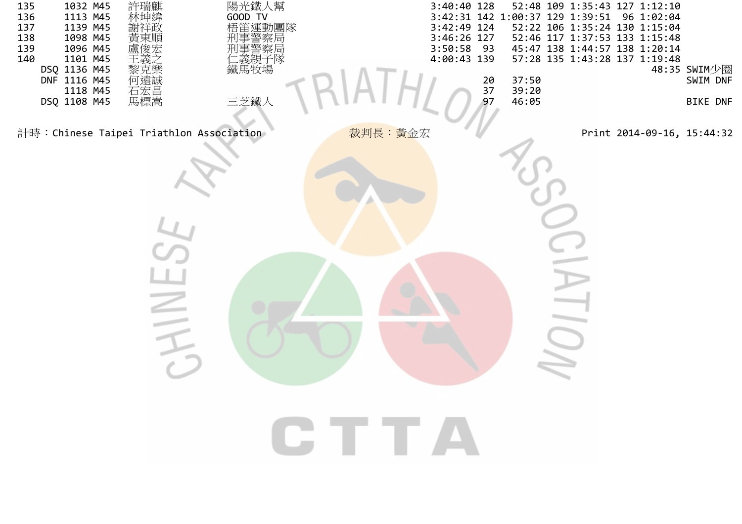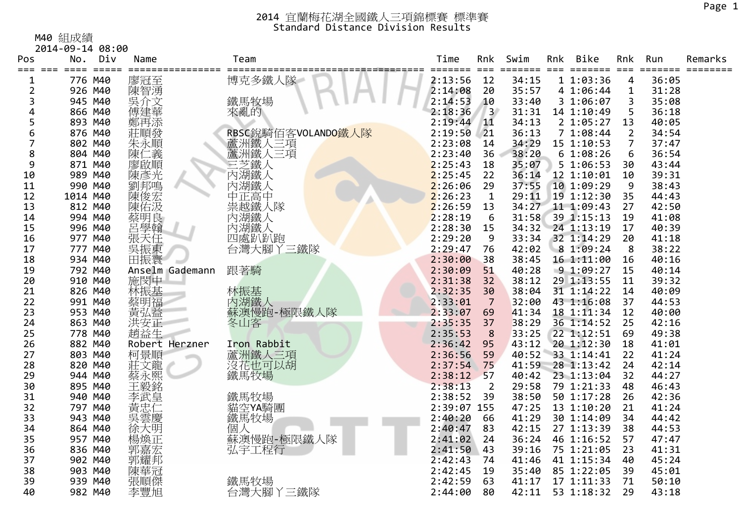M40 組成績

| Pos             | <b>2014-09-14 00.00</b><br>Div<br>No. | Name            | Team               | Time    | Rnk            | Swim  | Rnk | <b>Bike</b> | Rnk            | Run   | Remarks |
|-----------------|---------------------------------------|-----------------|--------------------|---------|----------------|-------|-----|-------------|----------------|-------|---------|
| $== =$<br>$===$ | $=$ $=$ $=$ $=$<br>$=====$            |                 |                    |         | $==$           |       |     |             |                |       |         |
| 1               | 776 M40                               | 廖冠至             | 博克多鐵人隊             | 2:13:56 | 12             | 34:15 |     | 1 1:03:36   | 4              | 36:05 |         |
| $\overline{2}$  | 926 M40                               | 陳智湧             |                    | 2:14:08 | 20             | 35:57 |     | 4 1:06:44   | $\mathbf{1}$   | 31:28 |         |
| 3               | 945 M40                               | 吳介文             | 鐵馬牧場               | 2:14:53 | 10             | 33:40 |     | 3 1:06:07   | 3              | 35:08 |         |
| 4               | 866 M40                               | 傅建華             | 來亂的                | 2:18:36 | $\overline{3}$ | 31:31 |     | 14 1:10:49  | 5              | 36:18 |         |
| 5               | 893 M40                               | 鄭再添             |                    | 2:19:44 | 11             | 34:13 |     | 2 1:05:27   | 13             | 40:05 |         |
| 6               | 876 M40                               | 莊順發             | RBSC銳騎佰客VOLANDO鐵人隊 | 2:19:50 | 21             | 36:13 |     | 71:08:44    | $\overline{2}$ | 34:54 |         |
| 7               | 802 M40                               | 朱永順             | 蘆洲鐵人三項             | 2:23:08 | 14             | 34:29 |     | 15 1:10:53  | $\overline{7}$ | 37:47 |         |
| 8               | 804 M40                               | 陳仁義             | 蘆洲鐵人三項             | 2:23:40 | 36             | 38:20 |     | 61:08:26    | 6              | 36:54 |         |
| 9               | 871 M40                               | 廖啟順             | 三芝鐵人               | 2:25:43 | 18             | 35:07 |     | 51:06:53    | 30             | 43:44 |         |
| 10              | 989 M40                               | 陳彥光             | 內湖鐵人               | 2:25:45 | 22             | 36:14 |     | 12 1:10:01  | 10             | 39:31 |         |
| 11              | 990 M40                               | 劉邦鳴             | 內湖鐵人               | 2:26:06 | 29             | 37:55 |     | 10 1:09:29  | 9              | 38:43 |         |
| 12              | 1014 M40                              |                 | 中正高中               | 2:26:23 | $\mathbf{1}$   | 29:11 |     | 19 1:12:30  | 35             | 44:43 |         |
| 13              | 812 M40                               | 陳俊宏<br>陳佑汲      | 祟越鐵人隊              | 2:26:59 | 13             | 34:27 |     | 11 1:09:43  | 27             | 42:50 |         |
| 14              | 994 M40                               |                 | 內湖鐵人               | 2:28:19 | 6              | 31:58 |     | 39 1:15:13  | 19             | 41:08 |         |
| 15              | 996 M40                               | 蔡明良             | 內湖鐵人               | 2:28:30 | 15             | 34:32 |     | 24 1:13:19  | 17             | 40:39 |         |
| 16              | 977 M40                               | 張天任             | 四處趴趴跑              | 2:29:20 | 9              | 33:34 |     | 32 1:14:29  | 20             | 41:18 |         |
| 17              | 777 M40                               | 吳振東             | 台灣大腳丫三鐵隊           | 2:29:47 | 76             | 42:02 |     | 8 1:09:24   | 8              | 38:22 |         |
| 18              | 934 M40                               | 田振寰             |                    | 2:30:00 | 38             | 38:45 |     | 16 1:11:00  | 16             | 40:16 |         |
| 19              | 792 M40                               | Anselm Gademann | 跟著騎                | 2:30:09 | 51             | 40:28 |     | 9 1:09:27   | 15             | 40:14 |         |
| 20              | 910 M40                               | 施閔中<br>林振基      |                    | 2:31:38 | 32             | 38:12 |     | 29 1:13:55  | 11             | 39:32 |         |
| 21              | 826 M40                               |                 | 林振基                | 2:32:35 | 30             | 38:04 |     | 31 1:14:22  | 14             | 40:09 |         |
| 22              | 991 M40                               | 蔡明福             | 內湖鐵人               | 2:33:01 | $\overline{7}$ | 32:00 |     | 43 1:16:08  | 37             | 44:53 |         |
| 23              | 953 M40                               | 黃弘益             | 蘇澳慢跑-極限鐵人隊         | 2:33:07 | 69             | 41:34 |     | 18 1:11:34  | 12             | 40:00 |         |
| 24              | 863 M40                               | 洪安正             | 冬山客                | 2:35:35 | 37             | 38:29 |     | 36 1:14:52  | 25             | 42:16 |         |
| 25              | 778 M40                               | 趙益生             |                    | 2:35:53 | 8              | 33:25 |     | 22 1:12:51  | 69             | 49:38 |         |
| 26              | 882 M40                               | Robert Herzner  | Iron Rabbit        | 2:36:42 | 95             | 43:12 |     | 20 1:12:30  | 18             | 41:01 |         |
| 27              | 803 M40                               | 柯景順             | 蘆洲鐵人三項             | 2:36:56 | 59             | 40:52 |     | 33 1:14:41  | 22             | 41:24 |         |
| 28              | 820 M40                               | 莊文龍             | 沒花也可以胡             | 2:37:54 | 75             | 41:59 |     | 28 1:13:42  | 24             | 42:14 |         |
| 29              | 944 M40                               | 蔡永熙             | 鐵馬牧場               | 2:38:12 | 57             | 40:42 |     | 23 1:13:04  | 32             | 44:27 |         |
| 30              | 895 M40                               | 王毅銘             |                    | 2:38:13 | $\overline{2}$ | 29:58 |     | 79 1:21:33  | 48             | 46:43 |         |
| 31              | 940 M40                               | 李武皇             | 鐵馬牧場               | 2:38:52 | 39             | 38:50 |     | 50 1:17:28  | 26             | 42:36 |         |
| 32              | 797 M40                               | 黃忠仁             | 貓空YA騎團             | 2:39:07 | 155            | 47:25 |     | 13 1:10:20  | 21             | 41:24 |         |
| 33              | 943 M40                               | 吳雲慶             | 鐵馬牧場               | 2:40:20 | 66             | 41:29 |     | 30 1:14:09  | 34             | 44:42 |         |
| 34              | 864 M40                               | 徐大明             | 個人                 | 2:40:47 | 83             | 42:15 |     | 27 1:13:39  | 38             | 44:53 |         |
| 35              | 957 M40                               | 楊煥正             | 蘇澳慢跑-極限鐵人隊         | 2:41:02 | 24             | 36:24 |     | 46 1:16:52  | 57             | 47:47 |         |
| 36              | 836 M40                               | 郭嘉宏             | 弘宇工程行              | 2:41:50 | 43             | 39:16 |     | 75 1:21:05  | 23             | 41:31 |         |
| 37              | 902 M40                               | 郭耀邦             |                    | 2:42:43 | 74             | 41:46 |     | 41 1:15:34  | 40             | 45:24 |         |
| 38              | 903 M40                               | 陳華冠             |                    | 2:42:45 | 19             | 35:40 |     | 85 1:22:05  | 39             | 45:01 |         |
| 39              | 939 M40                               | 張順傑             | 鐵馬牧場               | 2:42:59 | 63             | 41:17 |     | 17 1:11:33  | 71             | 50:10 |         |
| 40              | 982 M40                               | 李豐旭             | 台灣大腳丫三鐵隊           | 2:44:00 | 80             | 42:11 |     | 53 1:18:32  | 29             | 43:18 |         |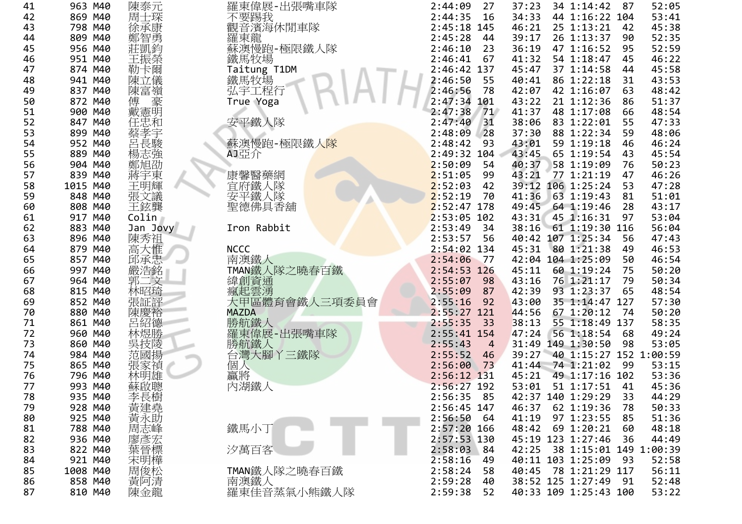| 41 | 963 M40  | 陳泰元          | 羅東偉展-出張嘴車隊               | 2:44:09<br>27   | 37:23 | 34 1:14:42            |            | 87    | 52:05                  |
|----|----------|--------------|--------------------------|-----------------|-------|-----------------------|------------|-------|------------------------|
| 42 | 869 M40  | 周士琛          | 一要踢我<br>不要踢我<br>觀音濱海休閒車隊 | 2:44:35<br>16   | 34:33 | 44 1:16:22 104        |            |       | 53:41                  |
| 43 | 798 M40  | 徐承康          |                          | 2:45:18 145     | 46:21 | 25 1:13:21            |            | 42    | 45:38                  |
| 44 | 809 M40  | 鄭智勇          | 羅東龍                      | 2:45:28<br>44   | 39:17 | 26 1:13:37            |            | 90    | 52:35                  |
| 45 | 956 M40  | 莊凱鈞          | 蘇澳慢跑-極限鐵人隊               | 2:46:10<br>23   | 36:19 | 47 1:16:52            |            | 95    | 52:59                  |
| 46 | 951 M40  | 王振榮          | 鐵馬牧場                     | 2:46:41<br>67   | 41:32 | 54 1:18:47            |            | 45    | 46:22                  |
| 47 | 874 M40  | 勒卡爾          |                          | 2:46:42 137     | 45:47 | 37 1:14:58            |            | 44    | 45:58                  |
| 48 | 941 M40  | 陳立儀          | Taitung T1DM<br>鐵馬牧場     | 2:46:50<br>55   | 40:41 | 86 1:22:18            |            | 31    | 43:53                  |
| 49 | 837 M40  | 陳富嶺          | 弘宇工程行                    | 2:46:56<br>78   | 42:07 | 42 1:16:07            |            | 63    | 48:42                  |
| 50 | 872 M40  | 豪<br>傅       | True Yoga                | 2:47:34<br>101  | 43:22 | 21 1:12:36            |            | 86    | 51:37                  |
| 51 | 900 M40  | 戴憲明          |                          | 2:47:38<br>71   | 41:37 | 48 1:17:08            |            | 66    | 48:54                  |
| 52 | 847 M40  | 任忠和          | 安平鐵人隊                    | 31<br>2:47:40   | 38:06 | 83 1:22:01            |            | 55    | 47:33                  |
| 53 | 899 M40  |              |                          | 2:48:09<br>28   | 37:30 | 88 1:22:34            |            | 59    | 48:06                  |
| 54 | 952 M40  | 蔡孝宇          | 蘇澳慢跑-極限鐵人 <mark>隊</mark> | 2:48:42<br>93   | 43:01 | 59 1:19:18            |            | 46    | 46:24                  |
| 55 | 889 M40  | 楊志強          | AJ亞介                     | 2:49:32 104     | 43:45 | 65 1:19:54            |            | 43    | 45:54                  |
| 56 | 904 M40  | 鄭旭劭          |                          | 2:50:09<br>54   | 40:37 | 58 1:19:09            |            | 76    | 50:23                  |
| 57 | 839 M40  | 蔣宇東          | 康馨醫藥網                    | 2:51:05<br>99   | 43:21 | 77 1:21:19            |            | 47    | 46:26                  |
| 58 | 1015 M40 | 王明輝          | 宜府鐵人隊                    | 2:52:03<br>42   | 39:12 | 106 1:25:24           |            | 53    | 47:28                  |
| 59 | 848 M40  | 張文議          | 安平鐵人隊                    | 2:52:19<br>70   | 41:36 | 63 1:19:43            |            | 81    | 51:01                  |
| 60 | 808 M40  | 王鉉龔          | 聖德佛具香舖                   | $2:52:47$ 178   | 49:45 | 64 1:19:46            |            | 28    | 43:17                  |
| 61 | 917 M40  | Colin        |                          | 2:53:05 102     | 43:31 | 45 1:16:31            |            | 97    | 53:04                  |
| 62 | 883 M40  | Jan Jovy     | Iron Rabbit              | 2:53:49<br>34   | 38:16 | 61 1:19:30 116        |            |       | 56:04                  |
| 63 | 896 M40  | 陳秀祖          |                          | 2:53:57<br>56   |       | 40:42 107 1:25:34     |            | 56    | 47:43                  |
| 64 | 879 M40  | 高大惟          | <b>NCCC</b>              | 2:54:02 134     | 45:31 | 80 1:21:38            |            | 49    | 46:53                  |
| 65 | 857 M40  | 邱承忠          | 南澳鐵人                     | 2:54:06<br>77   |       | 42:04 104 1:25:09     |            | 50    | 46:54                  |
| 66 | 997 M40  | 嚴浩銘          | TMAN鐵人隊之曉春百鐵             | 2:54:53 126     | 45:11 | 60 1:19:24            |            | 75    | 50:20                  |
| 67 | 964 M40  | 郭<br>二文      | 緯創資通                     | 2:55:07<br>98   | 43:16 | 76 1:21:17            |            | 79    | 50:34                  |
| 68 | 815 M40  | 林昭琦          | 瘋起雲湧                     | 2:55:09<br>87   | 42:39 | 93 1:23:37            |            | 65    | 48:54                  |
| 69 | 852 M40  | 張証評          | 大甲區體育會鐵人三項委員會            | 2:55:16<br>92   | 43:00 |                       | 35 1:14:47 | 127   | 57:30                  |
| 70 | 880 M40  | 陳慶裕          | <b>MAZDA</b>             | 2:55:27 121     | 44:56 | 67 1:20:12            |            | 74    | 50:20                  |
| 71 | 861 M40  | 呂紹德          | 勝航鐵人                     | 2:55:35<br>33   | 38:13 |                       | 55 1:18:49 | 137   | 58:35                  |
| 72 | 960 M40  | 林煜勝          | 羅東偉展-出張嘴車隊               | $2:55:41$ 154   | 47:24 | 56 1:18:54            |            | 68    | 49:24                  |
| 73 | 860 M40  | 吳技陵          | 勝航鐵人                     | 2:55:43<br>4    | 31:49 | 149 1:30:50           |            | 98    | 53:05                  |
| 74 | 984 M40  | 范國揚          | 台灣大腳丫三鐵隊                 | 2:55:52<br>46   | 39:27 |                       |            |       | 40 1:15:27 152 1:00:59 |
| 75 | 865 M40  | 張家禎          |                          | 2:56:00<br>73   | 41:44 | 74 1:21:02            |            | 99    | 53:15                  |
| 76 | 796 M40  | 林明雄          | 個人                       | 2:56:12 131     | 45:21 | 49 1:17:16 102        |            |       | 53:36                  |
| 77 | 993 M40  | 蘇啟聰          | 內湖鐵人                     | $2:56:27$ 192   | 53:01 | 51 1:17:51            |            | 41    | 45:36                  |
| 78 | 935 M40  | <b>李黃葉永志</b> |                          | 2:56:35 85      |       | 42:37 140 1:29:29     |            | $-33$ | 44:29                  |
| 79 | 928 M40  |              |                          | 2:56:45 147     | 46:37 | 62 1:19:36            |            | 78    | 50:33                  |
| 80 | 925 M40  |              |                          | 2:56:50<br>- 64 | 41:19 | 97 1:23:55            |            | 85    | 51:36                  |
| 81 | 788 M40  |              | 鐵馬小丁                     | $2:57:20$ 166   | 48:42 | 69 1:20:21            |            | 60    | 48:18                  |
| 82 | 936 M40  |              |                          | 2:57:53 130     |       | 45:19 123 1:27:46     |            | 36    | 44:49                  |
| 83 | 822 M40  |              | 汐萬百客                     | 2:58:03<br>84   | 42:25 |                       |            |       | 38 1:15:01 149 1:00:39 |
| 84 | 921 M40  |              |                          | 2:58:16<br>49   |       | 40:11 103 1:25:09     |            | 93    | 52:58                  |
| 85 | 1008 M40 |              | TMAN鐵人隊之曉春百鐵             | 2:58:24<br>58   | 40:45 | 78 1:21:29 117        |            |       | 56:11                  |
| 86 | 858 M40  |              | 南澳鐵人                     | 2:59:28<br>40   |       | 38:52 125 1:27:49     |            | 91    | 52:48                  |
| 87 | 810 M40  | 黃阿清<br>陳金龍   | 羅東佳音蒸氣小熊鐵人隊              | 2:59:38<br>52   |       | 40:33 109 1:25:43 100 |            |       | 53:22                  |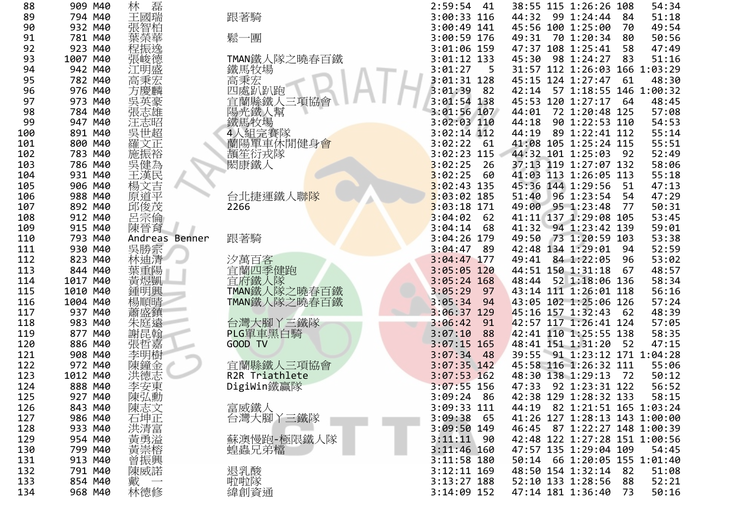| 88  | 909 M40  | 磊<br>林         |                         | 2:59:54       | 41  |       | 38:55 115 1:26:26 108         |     | 54:34 |
|-----|----------|----------------|-------------------------|---------------|-----|-------|-------------------------------|-----|-------|
| 89  | 794 M40  | 王國瑞            | 跟著騎                     | 3:00:33 116   |     | 44:32 | 99 1:24:44                    | 84  | 51:18 |
| 90  | 932 M40  | 張智柏            |                         | 3:00:49 141   |     |       | 45:56 100 1:25:00             | 70  | 49:54 |
| 91  | 781 M40  | 葉榮華            | 鬆一團                     | 3:00:59 176   |     | 49:31 | 70 1:20:34                    | 80  | 50:56 |
| 92  | 923 M40  | 程振逸            |                         | 3:01:06 159   |     |       | 47:37 108 1:25:41             | 58  | 47:49 |
| 93  | 1007 M40 | 張峻德            | TMAN鐵人隊之曉春百鐵            | 3:01:12 133   |     | 45:30 | 98 1:24:27                    | 83  | 51:16 |
| 94  | 942 M40  | 江明盛            | 鐵馬牧場                    | 3:01:27       | 5   |       | 31:57 112 1:26:03 166 1:03:29 |     |       |
| 95  | 782 M40  | 高秉宏            | 高秉宏                     | 3:01:31 128   |     |       | 45:15 124 1:27:47             | 61  | 48:30 |
| 96  | 976 M40  | 方慶麟            | 四處趴趴跑                   | 3:01:39       | 82  | 42:14 | 57 1:18:55 146 1:00:32        |     |       |
| 97  | 973 M40  | 吳英豪            | 宜蘭縣鐵人三項協會               | 3:01:54 138   |     |       | 45:53 120 1:27:17             | 64  | 48:45 |
| 98  | 784 M40  | 張志雄            | 陽光鐵人幫                   | 3:01:56 107   |     | 44:01 | 72 1:20:48 125                |     | 57:08 |
| 99  | 947 M40  | 汪志昭            | 鐵馬牧場                    | 3:02:03 110   |     | 44:18 | 90 1:22:53 110                |     | 54:53 |
| 100 | 891 M40  | 吳世超            | 4人組完賽隊                  | 3:02:14 112   |     | 44:19 | 89 1:22:41 112                |     | 55:14 |
| 101 | 800 M40  | 羅文正            | 蘭陽單車休閒健身 <mark>會</mark> | 3:02:22       | 61  |       | 41:08 105 1:25:24 115         |     | 55:51 |
| 102 | 783 M40  | 施振裕            | 頡笙衍戎隊                   | 3:02:23       | 115 |       | 44:32 101 1:25:03             | -92 | 52:49 |
| 103 | 786 M40  | 吳健為            | 閎康鐵人                    | 3:02:25       | 26  |       | 37:13 119 1:27:07 132         |     | 58:06 |
| 104 | 931 M40  | 王漢民            |                         | 3:02:25       | 60  |       | 41:03 113 1:26:05 113         |     | 55:18 |
| 105 | 906 M40  | 楊文吉            |                         | $3:02:43$ 135 |     |       | 45:36 144 1:29:56             | 51  | 47:13 |
| 106 | 988 M40  | 原道平            | 台北捷運鐵人聯隊                | $3:03:02$ 185 |     | 51:40 | 96 1:23:54                    | 54  | 47:29 |
| 107 | 892 M40  | 邱俊茂            | 2266                    | $3:03:18$ 171 |     | 49:00 | 95 1:23:48                    | 77  | 50:31 |
| 108 | 912 M40  | 呂宗倫            |                         | 3:04:02       | 62  |       | 41:11 137 1:29:08 105         |     | 53:45 |
| 109 | 915 M40  | 陳晉育            |                         | 3:04:14       | 68  |       | 41:32 94 1:23:42 139          |     | 59:01 |
| 110 | 793 M40  | Andreas Benner | 跟著騎                     | 3:04:26 179   |     | 49:50 | 73 1:20:59 103                |     | 53:38 |
| 111 | 930 M40  | 吳勝宗            |                         | 3:04:47       | 89  |       | 42:48 134 1:29:01             | 94  | 52:59 |
| 112 | 823 M40  | 林迪清            | 汐萬百客                    | 3:04:47 177   |     | 49:41 | 84 1:22:05                    | 96  | 53:02 |
| 113 | 844 M40  | 葉重陽            | 宜蘭四季健跑                  | 3:05:05 120   |     |       | 44:51 150 1:31:18             | 67  | 48:57 |
| 114 | 1017 M40 | 黃煜凱            | 宜府鐵人隊                   | $3:05:24$ 168 |     | 48:44 | 52 1:18:06 136                |     | 58:34 |
| 115 | 1010 M40 | 鍾明興            | TMAN鐵人隊之曉春百鐵            | 3:05:29       | 97  |       | 43:14 111 1:26:01 118         |     | 56:16 |
| 116 | 1004 M40 | 楊順晴            | TMAN鐵人隊之曉春百鐵            | 3:05:34       | 94  |       | 43:05 102 1:25:06 126         |     | 57:24 |
| 117 | 937 M40  | 蕭盛鎮            |                         | $3:06:37$ 129 |     |       | 45:16 157 1:32:43             | 62  | 48:39 |
| 118 | 983 M40  | 朱庭遠            | 台灣大腳丫三鐵隊                | 3:06:42       | 91  |       | 42:57 117 1:26:41 124         |     | 57:05 |
| 119 | 877 M40  | 謝昆翰            | PLG單車黑白騎                | 3:07:10       | 88  |       | 42:41 110 1:25:55 138         |     | 58:35 |
| 120 | 886 M40  | 張哲嘉            | GOOD TV                 | $3:07:15$ 165 |     |       | 48:41 151 1:31:20             | 52  | 47:15 |
| 121 | 908 M40  | 李明樹            |                         | 3:07:34       | 48  |       | 39:55 91 1:23:12 171 1:04:28  |     |       |
| 122 | 972 M40  | 陳鐘金            | 宜蘭縣鐵人三項協會               | 3:07:35 142   |     |       | 45:58 116 1:26:32 111         |     | 55:06 |
| 123 | 1012 M40 | 洪德志            | R2R Triathlete          | 3:07:53 162   |     |       | 48:30 138 1:29:13             | 72  | 50:12 |
| 124 | 888 M40  | 李安東            | DigiWin鐵贏隊              | $3:07:55$ 156 |     | 47:33 | 92 1:23:31 122                |     | 56:52 |
| 125 | 927 M40  | 陳弘勳            |                         | 3:09:24 86    |     |       | 42:38 129 1:28:32 133         |     | 58:15 |
| 126 | 843 M40  | 陳志文            | 富威鐵人                    | 3:09:33 111   |     | 44:19 | 82 1:21:51 165 1:03:24        |     |       |
| 127 | 986 M40  | 石坤正            | 台灣大腳丫三鐵隊                | 3:09:38       | -65 |       | 41:26 127 1:28:13 143 1:00:00 |     |       |
| 128 | 933 M40  | 洪清富            |                         | 3:09:50 149   |     | 46:45 | 87 1:22:27 148 1:00:39        |     |       |
| 129 | 954 M40  |                | 蘇澳慢跑-極限鐵人隊              | 3:11:11       | -90 |       | 42:48 122 1:27:28 151 1:00:56 |     |       |
| 130 | 799 M40  |                | 蝗蟲兄弟檔                   | 3:11:46 160   |     |       | 47:57 135 1:29:04 109         |     | 54:45 |
| 131 | 913 M40  | <b>、黃勇崇振。</b>  |                         | 3:11:58 180   |     | 50:14 | 66 1:20:05 155 1:01:40        |     |       |
| 132 | 791 M40  | 陳威諾            | 退乳酸                     | 3:12:11 169   |     |       | 48:50 154 1:32:14             | 82  | 51:08 |
| 133 | 854 M40  | 戴              | 啦啦隊                     | $3:13:27$ 188 |     |       | 52:10 133 1:28:56             | 88  | 52:21 |
| 134 | 968 M40  | 林德修            | 緯創資通                    | 3:14:09 152   |     |       | 47:14 181 1:36:40             | 73  | 50:16 |
|     |          |                |                         |               |     |       |                               |     |       |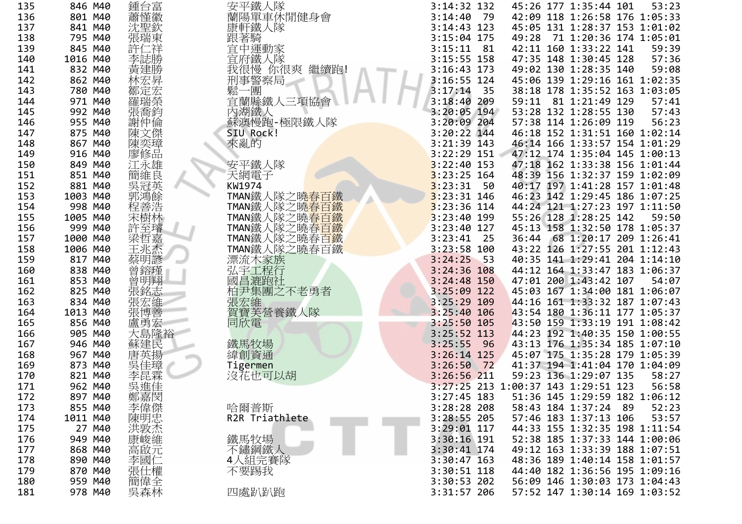| 135 | 846 M40  | 鍾台富         | 安平鐵人隊                      | 3:14:32 132   |      |  | 45:26 177 1:35:44 101               | 53:23 |
|-----|----------|-------------|----------------------------|---------------|------|--|-------------------------------------|-------|
| 136 | 801 M40  | 蕭慬徽         | 蘭陽單車休閒健身會                  | 3:14:40       | 79   |  | 42:09 118 1:26:58 176 1:05:33       |       |
| 137 | 841 M40  | 沈聖欽         | 康軒鐵人隊                      | $3:14:43$ 123 |      |  | 45:05 131 1:28:37 153 1:01:02       |       |
| 138 | 795 M40  | 張瑞東         | 跟著騎                        | $3:15:04$ 175 |      |  | 49:28 71 1:20:36 174 1:05:01        |       |
| 139 | 845 M40  | 許仁祥         | 宜中運動家                      | 3:15:11       | 81   |  | 42:11 160 1:33:22 141               | 59:39 |
| 140 | 1016 M40 | 李誌勝         | 宜府鐵人隊                      | 3:15:55 158   |      |  | 47:35 148 1:30:45 128               | 57:36 |
| 141 | 832 M40  | 黃建勝         |                            | 3:16:43 173   |      |  | 49:02 130 1:28:35 140               | 59:08 |
| 142 | 862 M40  | 林宏昇         | 我很慢 你很爽 繼續跑!<br>刑事警察局      | $3:16:55$ 124 |      |  | 45:06 139 1:29:16 161 1:02:35       |       |
| 143 | 780 M40  |             |                            | 3:17:14       | 35   |  | 38:18 178 1:35:52 163 1:03:05       |       |
| 144 | 971 M40  | 鄒定宏         | 鬆一團<br>宜蘭縣鐵人三項協會           | $3:18:40$ 209 |      |  | 59:11 81 1:21:49 129                | 57:41 |
| 145 | 992 M40  | 張喬鈞         | 內湖鐵人                       | $3:20:05$ 194 |      |  | 53:28 132 1:28:55 130               | 57:43 |
| 146 | 955 M40  | 謝仲倫         | 蘇澳慢跑-極限鐵人隊                 | 3:20:09 204   |      |  | 57:38 114 1:26:09 119               | 56:23 |
| 147 | 875 M40  | 陳文傑         | SIU Rock!                  | 3:20:22 144   |      |  | 46:18 152 1:31:51 160 1:02:14       |       |
| 148 | 867 M40  |             | 來亂的                        | $3:21:39$ 143 |      |  | 46:14 166 1:33:57 154 1:01:29       |       |
| 149 | 916 M40  | 陳奕璋         |                            | 3:22:29 151   |      |  | 47:12 174 1:35:04 145 1:00:13       |       |
| 150 | 849 M40  | 江永雄         | 安平鐵人隊                      | $3:22:40$ 153 |      |  | 47:18 162 1:33:38 156 1:01:44       |       |
| 151 | 851 M40  | 簡維良         | 天網電子                       | $3:23:25$ 164 |      |  | 48:39 156 1:32:37 159 1:02:09       |       |
| 152 | 881 M40  | 吳冠英         | KW1974                     | 3:23:31       | - 50 |  | 40:17 197 1:41:28 157 1:01:48       |       |
| 153 | 1003 M40 |             | TMAN鐵人隊之曉 <mark>春百鐵</mark> | $3:23:31$ 146 |      |  | 46:23 142 1:29:45 186 1:07:25       |       |
| 154 | 998 M40  | 郭鴻餘<br>程善浩  | TMAN鐵人隊之曉 <mark>春百鐵</mark> | $3:23:36$ 114 |      |  | 44:24 121 1:27:23 197 1:11:50       |       |
| 155 | 1005 M40 | 宋樹林         | TMAN鐵人隊之曉 <mark>春百鐵</mark> | $3:23:40$ 199 |      |  | 55:26 128 1:28:25 142               | 59:50 |
| 156 | 999 M40  | 許至璿         | TMAN鐵人隊之曉春百鐵               | 3:23:40 127   |      |  | 45:13 158 1:32:50 178 1:05:37       |       |
| 157 | 1000 M40 | 梁哲嘉         | TMAN鐵人隊之曉春百鐵               | 3:23:41       | - 25 |  | 36:44 68 1:20:17 209 1:26:41        |       |
| 158 | 1006 M40 | 王兆杰         | TMAN鐵人隊之曉春百鐵               | 3:23:58 100   |      |  | 43:22 126 1:27:55 201 1:12:43       |       |
| 159 | 817 M40  | 蔡明諺         | 漂流木家族                      | $3:24:25$ 53  |      |  | 40:35 141 1:29:41 204 1:14:10       |       |
| 160 | 838 M40  | 曾鎔瑾         | 弘宇工程行                      | 3:24:36 108   |      |  | 44:12 164 1:33:47 183 1:06:37       |       |
| 161 | 853 M40  | 曾明翔         | 國昌漉跑社                      | $3:24:48$ 150 |      |  | 47:01 200 1:43:42 107               | 54:07 |
| 162 | 825 M40  | 張銘志         | 柏尹集團之不老勇者                  | $3:25:09$ 122 |      |  | 45:03 167 1:34:00 181 1:06:07       |       |
| 163 | 834 M40  | 張宏維         | 張宏維                        | $3:25:29$ 109 |      |  | 44:16 161 1:33:32 187 1:07:43       |       |
| 164 | 1013 M40 | 張博善         | 賀寶芙營養鐵人隊                   | $3:25:40$ 106 |      |  | 43:54 180 1:36:11 177 1:05:37       |       |
| 165 | 856 M40  |             | 同欣電                        | $3:25:50$ 105 |      |  | 43:50 159 1:33:19 191 1:08:42       |       |
| 166 | 905 M40  | 蘆勇宏<br>大島隆裕 |                            | $3:25:52$ 113 |      |  | 44:23 192 1:40:35 150 1:00:55       |       |
| 167 | 946 M40  | 蘇建民         | 鐵馬牧場                       | $3:25:55$ 96  |      |  | 43:13 176 1:35:34 185 1:07:10       |       |
| 168 | 967 M40  | 唐英揚         | 緯創資通                       | $3:26:14$ 125 |      |  | 45:07 175 1:35:28 179 1:05:39       |       |
| 169 | 873 M40  | 吳佳璋         | Tigermen                   | $3:26:50$ 72  |      |  | 41:37 194 1:41:04 170 1:04:09       |       |
| 170 | 821 M40  | 李昆霖         | 沒花也可以胡                     | 3:26:56 211   |      |  | 59:23 136 1:29:07 135               | 58:27 |
| 171 | 962 M40  | 吳進佳         |                            |               |      |  | 3:27:25 213 1:00:37 143 1:29:51 123 | 56:58 |
| 172 | 897 M40  |             |                            | 3:27:45 183   |      |  | 51:36 145 1:29:59 182 1:06:12       |       |
| 173 | 855 M40  |             | 哈爾普斯                       | 3:28:28 208   |      |  | 58:43 184 1:37:24 89                | 52:23 |
| 174 | 1011 M40 |             | R2R Triathlete             | 3:28:55 205   |      |  | 57:46 183 1:37:13 106               | 53:57 |
| 175 | 27 M40   |             |                            | 3:29:01 117   |      |  | 44:33 155 1:32:35 198 1:11:54       |       |
| 176 | 949 M40  |             | 鐵馬牧場                       | 3:30:16 191   |      |  | 52:38 185 1:37:33 144 1:00:06       |       |
| 177 | 868 M40  | 高啟元         |                            | 3:30:41 174   |      |  | 49:12 163 1:33:39 188 1:07:51       |       |
| 178 | 890 M40  | 李國仁         | 不鏽鋼鐵人<br>4人組完賽隊            | 3:30:47 163   |      |  | 48:36 189 1:40:14 158 1:01:57       |       |
| 179 | 870 M40  | 張仕權         | 不要踢我                       | 3:30:51 118   |      |  | 44:40 182 1:36:56 195 1:09:16       |       |
| 180 | 959 M40  | 簡偉全         |                            | 3:30:53 202   |      |  | 56:09 146 1:30:03 173 1:04:43       |       |
| 181 | 978 M40  | 吳森林         | 四處趴趴跑                      | 3:31:57 206   |      |  | 57:52 147 1:30:14 169 1:03:52       |       |
|     |          |             |                            |               |      |  |                                     |       |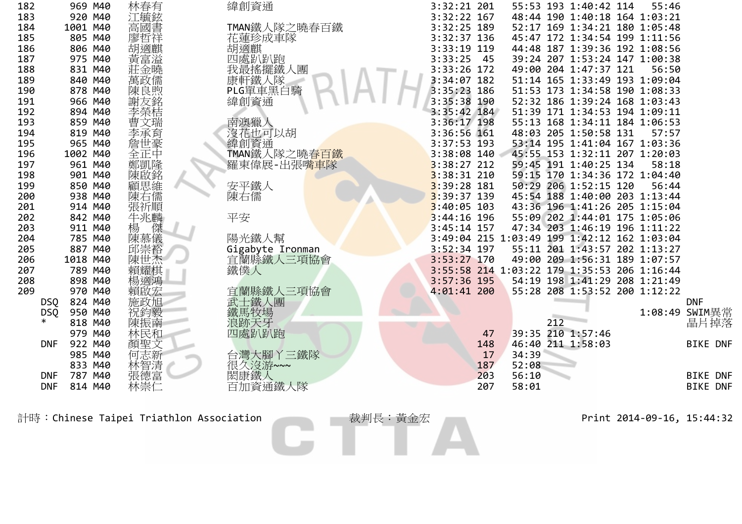| 182 |            | 969 M40  | 林春有        | 緯創資通             | 3:32:21 201   |     |       |     | 55:53 193 1:40:42 114                       | 55:46 |                 |
|-----|------------|----------|------------|------------------|---------------|-----|-------|-----|---------------------------------------------|-------|-----------------|
| 183 |            | 920 M40  | 江毓鉉        |                  | 3:32:22 167   |     |       |     | 48:44 190 1:40:18 164 1:03:21               |       |                 |
| 184 |            | 1001 M40 | 高國書        | TMAN鐵人隊之曉春百鐵     | 3:32:25 189   |     |       |     | 52:17 169 1:34:21 180 1:05:48               |       |                 |
| 185 |            | 805 M40  |            | 花蓮珍成車隊           | 3:32:37 136   |     |       |     | 45:47 172 1:34:54 199 1:11:56               |       |                 |
| 186 |            | 806 M40  |            | 胡適麒              | 3:33:19 119   |     |       |     | 44:48 187 1:39:36 192 1:08:56               |       |                 |
| 187 |            | 975 M40  | 富溢<br>亩    | 四處趴趴跑            | 3:33:25       | 45  |       |     | 39:24 207 1:53:24 147 1:00:38               |       |                 |
| 188 |            | 831 M40  | 莊金曉        | 我最搖擺鐵人團          | 3:33:26 172   |     |       |     | 49:00 204 1:47:37 121                       | 56:50 |                 |
| 189 |            | 840 M40  | 萬政儒        | 康軒鐵人隊            | 3:34:07 182   |     |       |     | 51:14 165 1:33:49 193 1:09:04               |       |                 |
| 190 |            | 878 M40  | 陳良煦        | PLG單車黑白騎         | 3:35:23 186   |     |       |     | 51:53 173 1:34:58 190 1:08:33               |       |                 |
| 191 |            | 966 M40  |            | 緯創資通             | 3:35:38 190   |     |       |     | 52:32 186 1:39:24 168 1:03:43               |       |                 |
| 192 |            | 894 M40  | 李榮桔        |                  | 3:35:42 184   |     |       |     | 51:39 171 1:34:53 194 1:09:11               |       |                 |
| 193 |            | 859 M40  | 文瑞         | 南澳獵人             | 3:36:17 198   |     |       |     | 55:13 168 1:34:11 184 1:06:53               |       |                 |
| 194 |            | 819 M40  | 李承育        | 沒花也可以胡           | 3:36:56 161   |     |       |     | 48:03 205 1:50:58 131                       | 57:57 |                 |
| 195 |            | 965 M40  | 詹世豪        | 緯創資通             | 3:37:53 193   |     |       |     | 53:14 195 1:41:04 167 1:03:36               |       |                 |
| 196 |            | 1002 M40 | 全正中        | TMAN鐵人隊之曉春百鐵     | 3:38:08 140   |     |       |     | 45:55 153 1:32:11 207 1:20:03               |       |                 |
| 197 |            | 961 M40  |            | 羅東偉展-出張嘴車隊       | $3:38:27$ 212 |     |       |     | 59:45 191 1:40:25 134                       | 58:18 |                 |
| 198 |            | 901 M40  | 鄭凱隆<br>陳啟銘 |                  | $3:38:31$ 210 |     |       |     | 59:15 170 1:34:36 172 1:04:40               |       |                 |
| 199 |            | 850 M40  |            | 安平鐵人             | 3:39:28 181   |     |       |     | 50:29 206 1:52:15 120                       | 56:44 |                 |
| 200 |            | 938 M40  | 顧思維<br>陳右儒 | 陳右儒              | $3:39:37$ 139 |     |       |     | 45:54 188 1:40:00 203 1:13:44               |       |                 |
| 201 |            | 914 M40  | 張祈順        |                  | $3:40:05$ 103 |     |       |     | 43:36 196 1:41:26 205 1:15:04               |       |                 |
| 202 |            | 842 M40  | 牛兆麟        | 平安               | $3:44:16$ 196 |     |       |     | 55:09 202 1:44:01 175 1:05:06               |       |                 |
| 203 |            | 911 M40  | 傑<br>楊     |                  | $3:45:14$ 157 |     |       |     | 47:34 203 1:46:19 196 1:11:22               |       |                 |
| 204 |            | 785 M40  | 陳慕儀        | 陽光鐵人幫            |               |     |       |     | 3:49:04 215 1:03:49 199 1:42:12 162 1:03:04 |       |                 |
| 205 |            | 887 M40  | 邱崇裕        | Gigabyte Ironman | 3:52:34 197   |     |       |     | 55:11 201 1:43:57 202 1:13:27               |       |                 |
| 206 |            | 1018 M40 |            | 宜蘭縣鐵人三項協會        | 3:53:27 170   |     |       |     | 49:00 209 1:56:31 189 1:07:57               |       |                 |
| 207 |            | 789 M40  |            | 鐵僕人              |               |     |       |     | 3:55:58 214 1:03:22 179 1:35:53 206 1:16:44 |       |                 |
| 208 |            | 898 M40  |            |                  | 3:57:36 195   |     |       |     | 54:19 198 1:41:29 208 1:21:49               |       |                 |
| 209 |            | 970 M40  | 賴啟宏        | 宜蘭縣鐵人三項協會        | 4:01:41 200   |     |       |     | 55:28 208 1:53:52 200 1:12:22               |       |                 |
|     | DSQ        | 824 M40  | 施政旭        | 武士鐵人團            |               |     |       |     |                                             |       | <b>DNF</b>      |
|     | <b>DSQ</b> | 950 M40  | 況鈞毅        | 鐵馬牧場             |               |     |       |     |                                             |       | 1:08:49 SWIM異常  |
|     |            | 818 M40  | 陳振南        | 浪跡天牙             |               |     |       | 212 |                                             |       | 晶片掉落            |
|     |            | 979 M40  | 林民和        | 四處趴趴跑            |               | 47  |       |     | 39:35 210 1:57:46                           |       |                 |
|     | <b>DNF</b> | 922 M40  | 顏聖文        |                  |               | 148 |       |     | 46:40 211 1:58:03                           |       | <b>BIKE DNF</b> |
|     |            | 985 M40  | 何志新        | 台灣大腳丫三鐵隊         |               | 17  | 34:39 |     |                                             |       |                 |
|     |            | 833 M40  | 林智清        | 很久沒游~~~          |               | 187 | 52:08 |     |                                             |       |                 |
|     | <b>DNF</b> | 787 M40  | 張德富        | 閎康鐵人             |               | 203 | 56:10 |     |                                             |       | <b>BIKE DNF</b> |
|     | <b>DNF</b> | 814 M40  | 林崇仁        | 百加資通鐵人隊          |               | 207 | 58:01 |     |                                             |       | <b>BIKE DNF</b> |
|     |            |          |            |                  |               |     |       |     |                                             |       |                 |

計時:Chinese Taipei Triathlon Association 裁判長:黃金宏 Print 2014-09-16, 15:44:32

IC EL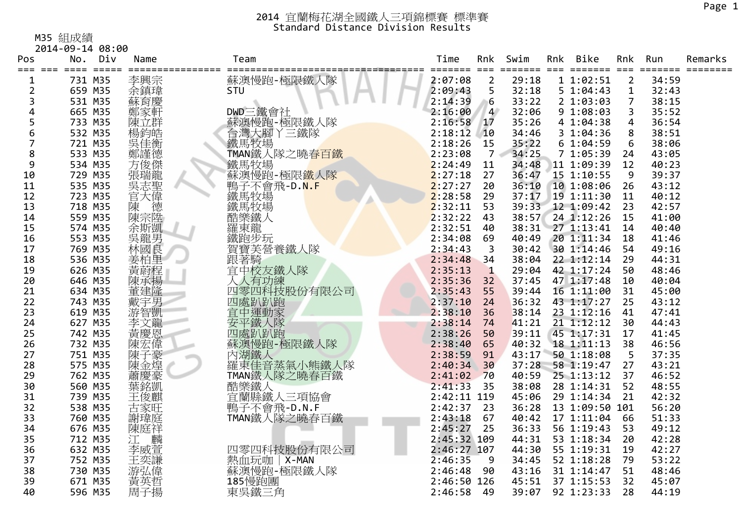M35 組成績

| Pos               | No.     | Div | Name                    | Team                                             | Time        | Rnk            | Swim                             | Rnk | Bike                        | Rnk            | Run            | Remarks          |
|-------------------|---------|-----|-------------------------|--------------------------------------------------|-------------|----------------|----------------------------------|-----|-----------------------------|----------------|----------------|------------------|
| $==$<br>$==$<br>1 | 731 M35 |     | ================<br>李興宗 | __________________________________<br>蘇澳慢跑-極限鐵人隊 | 2:07:08     | $\overline{2}$ | $=$ $=$ $=$ $=$ $=$ $=$<br>29:18 |     | ees sessess ees<br>11:02:51 | $\overline{2}$ | 34:59          | ======= ======== |
| 2                 | 659 M35 |     | 余鎮瑋                     | STU                                              | 2:09:43     | 5              | 32:18                            |     | 51:04:43                    | $\mathbf{1}$   | 32:43          |                  |
| 3                 | 531 M35 |     | 蘇育慶                     |                                                  | 2:14:39     | 6              | 33:22                            |     | 2 1:03:03                   | $\overline{7}$ | 38:15          |                  |
| 4                 | 665 M35 |     | 鄭家軒                     | DWD三鐵會社                                          | 2:16:00     | $\overline{4}$ | 32:06                            |     | 9 1:08:03                   | 3              | 35:52          |                  |
| 5                 | 733 M35 |     | 陳立群                     | 蘇澳慢跑-極限鐵人隊                                       | 2:16:58     | 17             | 35:26                            |     | 4 1:04:38                   | $\overline{4}$ | 36:54          |                  |
| 6                 | 532 M35 |     |                         | 台灣大腳丫三鐵隊                                         | 2:18:12     | 10             | 34:46                            |     | 3 1:04:36                   | 8              | 38:51          |                  |
| $\overline{7}$    | 721 M35 |     | 楊鈞皓                     | 鐵馬牧場                                             | 2:18:26     | 15             | 35:22                            |     | 61:04:59                    | 6              | 38:06          |                  |
| 8                 | 533 M35 |     | 鄭謹德                     | TMAN鐵人隊之曉春百鐵                                     | 2:23:08     | $\overline{7}$ | 34:25                            |     | 71:05:39                    | 24             | 43:05          |                  |
| 9                 | 534 M35 |     |                         | 鐵馬牧場                                             | 2:24:49     | 11             | 34:48                            |     | 11 1:09:39                  | 12             | 40:23          |                  |
| 10                | 729 M35 |     |                         | 蘇澳慢跑-極限鐵人隊                                       | 2:27:18     | 27             | 36:47                            |     | 15 1:10:55                  | 9              | 39:37          |                  |
| 11                | 535 M35 |     |                         | 鴨子不會飛-D.N.F                                      | 2:27:27     | 20             | 36:10                            |     | 10 1:08:06                  | 26             | 43:12          |                  |
| 12                | 723 M35 |     | <b>亦方張吳官!!</b><br>張吳志大  | 鐵馬牧場                                             | 2:28:58     | 29             | 37:17                            |     | 19 1:11:30                  | 11             | 40:12          |                  |
| 13                | 718 M35 |     | 陳宗陞                     | 鐵馬牧場人                                            | 2:32:11     | 53             | 39:33                            |     | 12 1:09:42                  | 23             | 42:57          |                  |
| 14                | 559 M35 |     |                         |                                                  | 2:32:22     | 43             | 38:57                            |     | 24 1:12:26                  | 15             | 41:00          |                  |
| 15                | 574 M35 |     | 余斯凱                     | 羅東龍                                              | 2:32:51     | 40             | 38:31                            |     | 27 1:13:41                  | 14             | 40:40          |                  |
| 16                | 553 M35 |     | 吳龍男                     | 鐵跑步玩                                             | 2:34:08     | 69             | 40:49                            |     | 20 1:11:34                  | 18             | 41:46          |                  |
| 17                | 769 M35 |     | 林國良                     | 賀寶芙營養鐵人隊                                         | 2:34:43     | $\overline{3}$ | 30:42                            |     | 30 1:14:46                  | 54             | 49:16          |                  |
| 18                | 536 M35 |     | 姜柏里<br>س                | 跟著騎                                              | 2:34:48     | 34             | 38:04                            |     | 22 1:12:14                  | 29             | 44:31          |                  |
| 19                | 626 M35 |     | 黃蔚程                     | 宜中校友鐵人隊                                          | 2:35:13     | $\mathbf{1}$   | 29:04                            |     | 42 1:17:24                  | 50             | 48:46          |                  |
| 20                | 646 M35 |     | 陳承揚                     | 人人有功練                                            | 2:35:36     | 32             | 37:45                            |     | 47 1:17:48                  | 10             | 40:04          |                  |
| 21                | 634 M35 |     | 董建隆                     | 四零四科技股份有限公司                                      | 2:35:43     | 55             | 39:44                            |     | 16 1:11:00                  | 31             | 45:00          |                  |
| 22                | 743 M35 |     |                         | 四處趴趴跑                                            | 2:37:10     | 24             | 36:32                            |     | 43 1:17:27                  | 25             | 43:12          |                  |
| 23                | 619 M35 |     |                         | 宜中運動家                                            | 2:38:10     | 36             | 38:14                            |     | 23 1:12:16                  | 41             | 47:41          |                  |
| 24                | 627 M35 |     |                         | 安平鐵人隊                                            | 2:38:14     | 74             | 41:21                            |     | 21 1:12:12                  | 30             | 44:43          |                  |
| 25                | 742 M35 |     |                         | 四處趴趴跑                                            | 2:38:26     | 50             | 39:11                            |     | 45 1:17:31                  | 17             | 41:45          |                  |
| 26                | 732 M35 |     | 戴游李黃陳!  <br> 空宇智文慶宏     | 蘇澳慢跑-極限鐵人隊                                       | 2:38:40     | 65             | 40:32                            |     | 18 1:11:13                  | 38             | 46:56          |                  |
| 27                | 751 M35 |     | 陳子豪煌                    | 內湖鐵人                                             | 2:38:59     | 91             | 43:17                            |     | 50 1:18:08                  | 5              | 37:35          |                  |
| 28                | 575 M35 |     |                         | 羅東佳音蒸氣小熊鐵人隊<br>TMAN鐵人隊之曉春百鐵                      | 2:40:34     | 30             | 37:28                            |     | 58 1:19:47                  | 27             | 43:21          |                  |
| 29                | 762 M35 |     | 蕭慶豪                     |                                                  | 2:41:02     | 70             | 40:59                            |     | 25 1:13:12                  | 37             | 46:52          |                  |
| 30                | 560 M35 |     | 葉銘凱                     | 酷樂鐵人                                             | 2:41:33     | 35             | 38:08                            |     | 28 1:14:31                  | 52             | 48:55          |                  |
| 31                | 739 M35 |     | 王俊麒                     | 宜蘭縣鐵人三項協會                                        | 2:42:11 119 |                | 45:06                            |     | 29 1:14:34                  | 21             | 42:32          |                  |
| 32                | 538 M35 |     | 古家旺                     | 鴨子不會飛-D.N.F                                      | 2:42:37     | 23             | 36:28                            |     | 13 1:09:50 101              |                | 56:20          |                  |
| 33                | 760 M35 |     | 謝瑋庭                     | TMAN鐵人隊之曉春百鐵                                     | 2:43:18     | 67             | 40:42                            |     | 17 1:11:04                  | 66             | 51:33          |                  |
| 34                | 676 M35 |     | 陳庭祥                     |                                                  | 2:45:27     | 25             | 36:33                            |     | 56 1:19:43                  | 53             | 49:12          |                  |
| 35                | 712 M35 |     | 麟<br>江                  |                                                  | 2:45:32 109 |                | 44:31                            |     | 53 1:18:34                  | 20             | 42:28          |                  |
| 36                | 632 M35 |     | 李威萱                     | 四零四科技股份有限公司                                      | 2:46:27 107 |                | 44:30                            |     | 55 1:19:31                  | 19             | 42:27          |                  |
| 37<br>38          | 752 M35 |     | 王奕謙                     | 熱血玩咖   X-MAN                                     | 2:46:35     | 9              | 34:45                            |     | 52 1:18:28                  | 79<br>51       | 53:22<br>48:46 |                  |
| 39                | 730 M35 |     | 游弘偉<br>黃英哲              | 蘇澳慢跑-極限鐵人隊<br>185慢跑團                             | 2:46:48     | 90             | 43:16                            |     | 31 1:14:47                  | 32             |                |                  |
| 40                | 671 M35 |     |                         |                                                  | 2:46:50 126 | 49             | 45:51                            |     | 37 1:15:53                  | 28             | 45:07          |                  |
|                   | 596 M35 |     | 周子揚                     | 東吳鐵三角                                            | 2:46:58     |                | 39:07                            |     | 92 1:23:33                  |                | 44:19          |                  |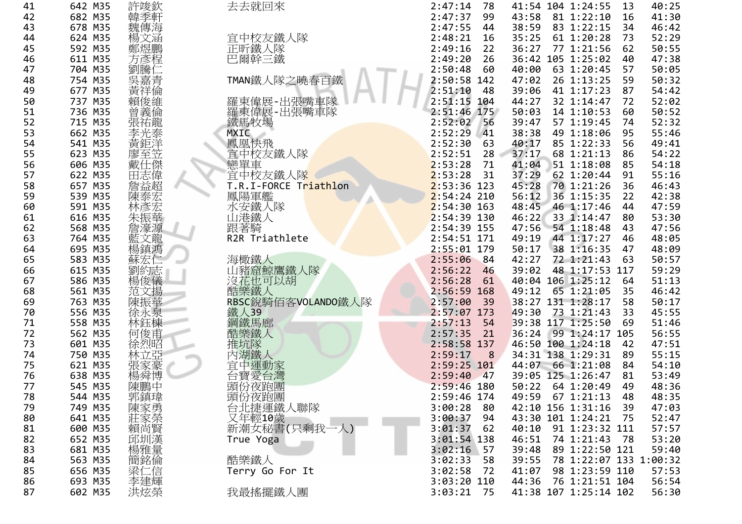| 41       | 642 M35 | 許竣欽        | 去去就回來                 | 2:47:14<br>78  | 40:25<br>41:54 104 1:24:55<br>13               |
|----------|---------|------------|-----------------------|----------------|------------------------------------------------|
| 42       | 682 M35 | 韓季軒        |                       | 2:47:37<br>99  | 81 1:22:10<br>16<br>41:30<br>43:58             |
| 43       | 678 M35 | 魏傳海        |                       | 2:47:55<br>44  | 38:59<br>83 1:22:15<br>34<br>46:42             |
| 44       | 624 M35 | 楊文涵        | 宜中校友鐵人隊               | 2:48:21<br>16  | 35:25<br>61 1:20:28<br>73<br>52:29             |
| 45       | 592 M35 | 鄭煜鵬        | 正昕鐵人隊                 | 2:49:16<br>22  | 77 1:21:56<br>50:55<br>36:27<br>62             |
| 46       | 611 M35 | 方彥程        | 巴爾幹三鐵                 | 2:49:20<br>26  | 36:42 105 1:25:02<br>47:38<br>40               |
| 47       | 704 M35 | 劉騰仁        |                       | 2:50:48<br>60  | 63 1:20:45<br>40:00<br>57<br>50:05             |
| 48       | 754 M35 | 吳嘉青        | TMAN鐵人隊之曉春百鐵          | 2:50:58<br>142 | 59<br>47:02<br>26 1:13:25<br>50:32             |
| 49       | 677 M35 | 黃祥倫        |                       | 48<br>2:51:10  | 39:06<br>41 1:17:23<br>87<br>54:42             |
| 50       | 737 M35 | 賴俊維        | 羅東偉展-出張嘴車隊            | 2:51:15 104    | 44:27<br>32 1:14:47<br>72<br>52:02             |
| 51       | 736 M35 | 曾義倫        | 羅東偉展-出張嘴車隊            | 2:51:46 175    | 50:03<br>14 1:10:53<br>60<br>50:52             |
| 52       | 715 M35 | 張祐龍        | 鐵馬牧場                  | 2:52:02<br>56  | 39:47<br>57 1:19:45<br>74<br>52:32             |
| 53       | 662 M35 | 李光泰        | <b>MXIC</b>           | 2:52:29<br>41  | 38:38<br>49 1:18:06<br>95<br>55:46             |
| 54       | 541 M35 | 黃鉅洋        | 鳳凰快飛                  | 2:52:30<br>63  | 40:17<br>85 1:22:33<br>56<br>49:41             |
| 55       | 623 M35 | 廖至笠        | 宜中校友鐵人隊               | 2:52:51<br>28  | 68 1:21:13<br>37:17<br>86<br>54:22             |
| 56       | 606 M35 | 戴仕傑        | 戀單車                   | 2:53:28<br>71  | 41:04<br>51 1:18:08<br>85<br>54:18             |
| 57       | 622 M35 | 田志偉        | 宜中校友鐵人隊               | 2:53:28<br>31  | 37:29<br>62 1:20:44<br>91<br>55:16             |
| 58       | 657 M35 | 詹益超        | T.R.I-FORCE Triathlon | $2:53:36$ 123  | 45:28<br>36<br>70 1:21:26<br>46:43             |
| 59       | 539 M35 | 陳泰宏        | 鳳陽軍艦                  | $2:54:24$ 210  | 56:12<br>36 1:15:35<br>22<br>42:38             |
| 60       | 591 M35 | 林彥宏        | 水安鐵人隊                 | $2:54:30$ 163  | 48:45<br>47:59<br>46 1:17:46<br>44             |
| 61       | 616 M35 | 朱振華        | 山港鐵人                  | 2:54:39 130    | 46:22<br>33 1:14:47<br>53:30<br>80             |
| 62       | 568 M35 |            | 跟著騎                   | 2:54:39 155    | 47:56<br>47:56<br>54 1:18:48<br>43             |
| 63       | 764 M35 | 詹濠源        | R2R Triathlete        | 2:54:51 171    | 49:19<br>44 1:17:27<br>46<br>48:05             |
|          | 695 M35 | 藍文龍        |                       | 2:55:01 179    | 50:17<br>38 1:16:35<br>47<br>48:09             |
| 64<br>65 | 583 M35 | 楊鎮鴻        |                       | 2:55:06<br>84  | 63<br>50:57                                    |
|          | 615 M35 | 蘇宏         | 海橄鐵人                  |                | 42:27<br>72 1:21:43<br>48 1:17:53 117<br>59:29 |
| 66       |         | 劉約志        | 山豬窟鯨鷹鐵人隊              | 2:56:22<br>46  | 39:02                                          |
| 67       | 586 M35 | 楊俊儀        | 沒花也可以胡                | 2:56:28<br>61  | 40:04 106 1:25:12<br>64<br>51:13               |
| 68       | 561 M35 | 范文揚        | 酷樂鐵人                  | 2:56:59 168    | 49:12<br>65 1:21:05<br>35<br>46:42             |
| 69       | 763 M35 | 陳振華        | RBSC銳騎佰客VOLANDO鐵人隊    | 2:57:00<br>39  | 38:27 131 1:28:17<br>58<br>50:17               |
| 70       | 556 M35 | 徐永泉        | 鐵人39                  | 2:57:07 173    | 33<br>45:55<br>49:30<br>73 1:21:43             |
| 71       | 558 M35 | 林鈺棟        | 鋼鐵馬廊                  | 2:57:13<br>54  | 39:38 117 1:25:50<br>69<br>51:46               |
| 72       | 562 M35 | 何俊甫        | 酷樂鐵人                  | 2:57:35<br>21  | 36:24<br>99 1:24:17 105<br>56:55               |
| 73       | 601 M35 | 徐烈昭        | 推坑隊                   | 2:58:58 137    | 46:50 100 1:24:18<br>47:51<br>42               |
| 74       | 750 M35 | 林立亞        | 內湖鐵人                  | 2:59:17<br>8   | 34:31 138 1:29:31<br>55:15<br>89               |
| 75       | 621 M35 | 張家豪        | 宜中運動家                 | 2:59:25 101    | 66 1:21:08<br>84<br>54:10<br>44:07             |
| 76       | 638 M35 | 楊舜博        | 台寶愛台灣                 | 2:59:40<br>47  | 39:05 125 1:26:47<br>81<br>53:49               |
| 77       | 545 M35 | 陳鵬中        | 頭份夜跑團                 | 2:59:46 180    | 50:22<br>64 1:20:49<br>49<br>48:36             |
| 78       | 544 M35 | 郭鎮瑋        | 頭份夜跑團                 | 2:59:46 174    | 49:59<br>67 1:21:13<br>48<br>48:35             |
| 79       | 749 M35 | 陳家勇        | 台北捷運鐵人聯隊              | 3:00:28<br>80  | 47:03<br>42:10 156 1:31:16<br>39               |
| 80       | 641 M35 | 莊家榮<br>賴尚賢 | 又年輕10歲                | 3:00:37<br>94  | 43:30 101 1:24:21<br>52:47<br>75               |
| 81       | 600 M35 |            | 新潮女秘書(只剩我一人)          | 3:01:37<br>62  | 40:10<br>91 1:23:32 111<br>57:57               |
| 82       | 652 M35 | 邱圳漢        | True Yoga             | 3:01:54 138    | 46:51<br>74 1:21:43<br>53:20<br>- 78           |
| 83       | 681 M35 | 楊雅量        |                       | 3:02:16<br>57  | 89 1:22:50 121<br>39:48<br>59:40               |
| 84       | 563 M35 | 簡銘倫        | 酷樂鐵人                  | 3:02:33<br>58  | 78 1:22:07 133 1:00:32<br>39:55                |
| 85       | 656 M35 | 梁仁信        | Terry Go For It       | 3:02:58<br>72  | 98 1:23:59 110<br>41:07<br>57:53               |
| 86       | 693 M35 | 李建輝        |                       | 3:03:20 110    | 76 1:21:51 104<br>44:36<br>56:54               |
| 87       | 602 M35 | 洪炫榮        | 我最搖擺鐵人團               | 3:03:21<br>75  | 41:38 107 1:25:14 102<br>56:30                 |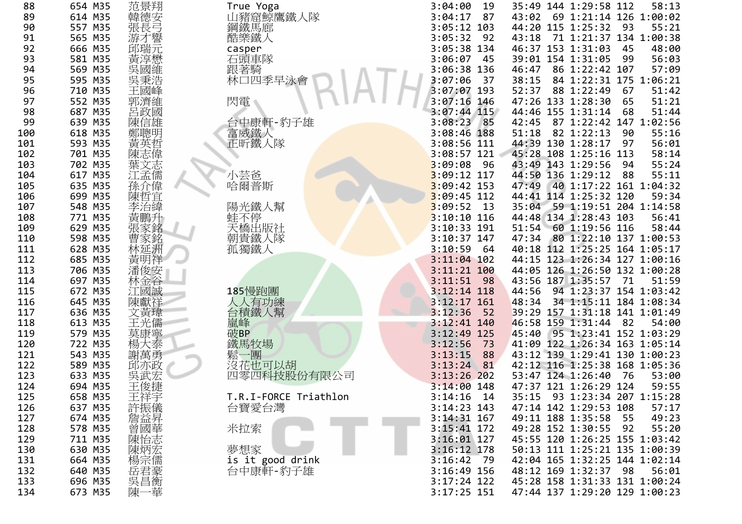| 88  | 654 M35 | 范景翔 | True Yoga             | 3:04:00<br>19             | 35:49 144 1:29:58 112<br>58:13                        |
|-----|---------|-----|-----------------------|---------------------------|-------------------------------------------------------|
| 89  | 614 M35 | 韓德安 | 山豬窟鯨鷹鐵人隊              | 3:04:17<br>87             | 69 1:21:14 126 1:00:02<br>43:02                       |
| 90  | 557 M35 | 張長弓 | 鋼鐵馬廊                  | 3:05:12 103               | 44:20 115 1:25:32<br>- 93<br>55:21                    |
| 91  | 565 M35 | 游才譽 | 酷樂鐵人                  | 3:05:32<br>- 92           | 71 1:21:37 134 1:00:38<br>43:18                       |
| 92  | 666 M35 | 邱瑞元 | casper                | 3:05:38 134               | 46:37 153 1:31:03<br>48:00<br>45                      |
| 93  | 581 M35 | 黃淳懋 | 石頭車隊                  | 3:06:07<br>- 45           | 39:01 154 1:31:05<br>56:03<br>99                      |
| 94  | 569 M35 | 吳國維 | 跟著騎                   | 3:06:38 136               | 86 1:22:42 107<br>57:09<br>46:47                      |
| 95  | 595 M35 | 吳秉浩 | 林口四季早泳會               | 3:07:06<br>- 37           | 38:15<br>84 1:22:31 175 1:06:21                       |
| 96  | 710 M35 | 王國峰 |                       | 3:07:07 193               | 52:37<br>88 1:22:49<br>51:42<br>67                    |
| 97  | 552 M35 | 郭濟維 | 閃電                    | $3:07:16$ 146             | 47:26 133 1:28:30<br>51:21<br>65                      |
| 98  | 687 M35 | 呂政國 |                       | $3:07:44$ 115             | 44:46 155 1:31:14<br>51:44<br>68                      |
| 99  | 639 M35 | 陳信雄 | 台中康軒-豹子雄              | 3:08:23 85                | 87 1:22:42 147 1:02:56<br>42:45                       |
| 100 | 618 M35 | 鄭聰明 | 富威鐵人                  | 3:08:46 188               | 51:18<br>82 1:22:13<br>90<br>55:16                    |
| 101 | 593 M35 | 黃英哲 | 正昕鐵人隊                 | 3:08:56 111               | 44:39 130 1:28:17<br>56:01<br>97                      |
| 102 | 701 M35 |     |                       | 3:08:57 121               | 45:28 108 1:25:16 113<br>58:14                        |
|     |         | 陳志偉 |                       |                           |                                                       |
| 103 | 702 M35 | 葉文志 |                       | 3:09:08<br>- 96           | 43:49 143 1:29:56<br>55:24<br>94<br>44:50 136 1:29:12 |
| 104 | 617 M35 | 江孟儒 | 小芸爸                   | <mark>3</mark> :09:12 117 | 55:11<br>88                                           |
| 105 | 635 M35 | 孫介偉 | 哈爾普斯                  | $3:09:42$ 153             | 47:49<br>40 1:17:22 161 1:04:32                       |
| 106 | 699 M35 | 陳哲宜 |                       | $3:09:45$ 112             | 44:41 114 1:25:32 120<br>59:34                        |
| 107 | 548 M35 | 李治緯 | 陽光鐵人幫                 | $3:09:52$ 13              | 35:04<br>59 1:19:51 204 1:14:58                       |
| 108 | 771 M35 | 黃鵬升 | 蛙不停                   | $3:10:10$ 116             | 44:48 134 1:28:43 103<br>56:41                        |
| 109 | 629 M35 | 張家銘 | 天橋出版社                 | 3:10:33 191               | 51:54 60 1:19:56 116<br>58:44                         |
| 110 | 598 M35 | 曹家銘 | 朝貴鐵人隊                 | 3:10:37 147               | 47:34<br>80 1:22:10 137 1:00:53                       |
| 111 | 628 M35 | 林延洲 | 孤獨鐵人                  | 3:10:59<br>- 64           | 40:18 112 1:25:25 164 1:05:17                         |
| 112 | 685 M35 | 黃明祥 |                       | $3:11:04$ 102             | 44:15 123 1:26:34 127 1:00:16                         |
| 113 | 706 M35 | 潘俊安 |                       | $3:11:21$ 100             | 44:05 126 1:26:50 132 1:00:28                         |
| 114 | 697 M35 | 林金谷 |                       | 3:11:51<br>- 98           | 43:56 187 1:35:57<br>71<br>51:59                      |
| 115 | 672 M35 | 江國誠 | 185慢跑團                | $3:12:14$ 118             | 94 1:23:37 154 1:03:42<br>44:56                       |
| 116 | 645 M35 | 陳獻祥 | 人人有功練                 | $3:12:17$ 161             | 48:34<br>34 1:15:11 184 1:08:34                       |
| 117 | 636 M35 | 文黃瑋 | 台積鐵人幫                 | 3:12:36<br>52             | 39:29 157 1:31:18 141 1:01:49                         |
| 118 | 613 M35 | 王光儒 | 嵐峰                    | $3:12:41$ 140             | 46:58 159 1:31:44<br>82<br>54:00                      |
| 119 | 579 M35 | 莫康寧 | 破BP                   | $3:12:49$ 125             | 95 1:23:41 152 1:03:29<br>45:40                       |
| 120 | 722 M35 | 楊大泰 | 鐵馬牧場                  | 3:12:56<br>73             | 41:09 122 1:26:34 163 1:05:14                         |
| 121 | 543 M35 | 謝萬勇 | 一團                    | 3:13:15<br>88             | 43:12 139 1:29:41 130 1:00:23                         |
| 122 | 589 M35 | 邱亦政 | 沒花也可以胡                | 3:13:24<br>81             | 42:12 116 1:25:38 168 1:05:36                         |
| 123 | 633 M35 | 吳武宏 | 四零四科技股份有限公司           | 3:13:26 202               | 53:47 124 1:26:40<br>- 76<br>53:00                    |
| 124 | 694 M35 | 王俊捷 |                       | $3:14:00$ 148             | 47:37 121 1:26:29 124<br>59:55                        |
| 125 | 658 M35 | 王祥宇 | T.R.I-FORCE Triathlon | 3:14:16<br>14             | 35:15<br>93 1:23:34 207 1:15:28                       |
| 126 | 637 M35 | 許振儀 | 台寶愛台灣                 | $3:14:23$ 143             | 47:14 142 1:29:53 108<br>57:17                        |
| 127 | 674 M35 | 詹益昇 |                       | $3:14:31$ 167             | 49:23<br>49:11 188 1:35:58<br>55                      |
| 128 | 578 M35 | 曾國華 | 米拉索                   | $3:15:41$ 172             | 55:20<br>49:28 152 1:30:55<br>92                      |
| 129 | 711 M35 | 陳怡志 |                       | 3:16:01 127               | 45:55 120 1:26:25 155 1:03:42                         |
| 130 | 630 M35 | 陳炳宏 | 夢想家                   | $3:16:12$ 178             | 50:13 111 1:25:21 135 1:00:39                         |
| 131 | 664 M35 |     | is it good drink      | $3:16:42$ 79              | 42:04 165 1:32:25 144 1:02:14                         |
| 132 | 640 M35 | 楊宗儒 | 台中康軒-豹子雄              | 3:16:49 156               | 48:12 169 1:32:37<br>56:01<br>- 98                    |
| 133 | 696 M35 | 吳昌衡 |                       | $3:17:24$ 122             | 45:28 158 1:31:33 131 1:00:24                         |
| 134 | 673 M35 | 陳一華 |                       | 3:17:25 151               | 47:44 137 1:29:20 129 1:00:23                         |
|     |         |     |                       |                           |                                                       |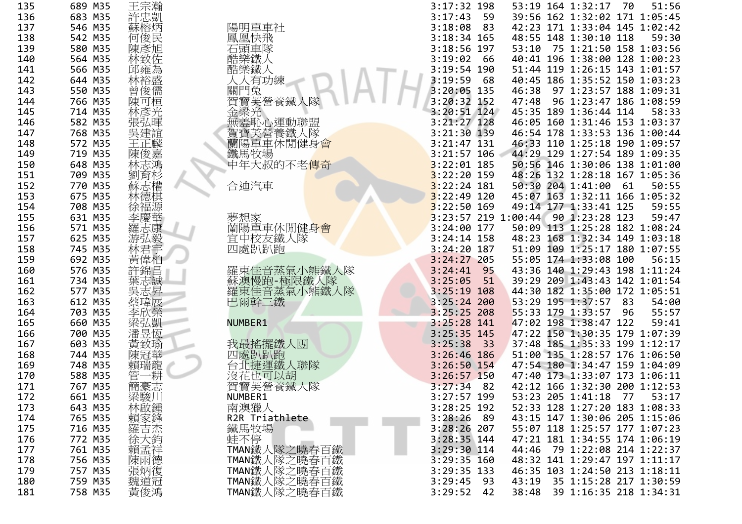| 《瀚<br>:忠凱<br>蘇榕炳<br>何俊民<br>陳彥旭<br>林致佐<br>邱雍為<br>林裕盛<br>俊儒<br>陳可相<br>託弘暉<br>支<br>陳俊<br>德<br>邫<br>錦<br>弘凱<br>栥<br>囟<br>堬<br>瑞龍<br>簡<br>梁駿川<br>林啟鍾<br>賴家鋒<br>羅吉杰<br>徐大鈞<br>賴孟祥<br>陳雨德<br>張炳復<br>魏道冠<br>黃俊鴻                                                                                                                                                                                                                                                                                                                                                                                                                                                                        |
|--------------------------------------------------------------------------------------------------------------------------------------------------------------------------------------------------------------------------------------------------------------------------------------------------------------------------------------------------------------------------------------------------------------------------------------------------------------------------------------------------------------------------------------------------------------------------------------------------------------------------------------------------------------------------------|
| 689<br>M35<br>683<br>M35<br>M35<br>546<br>M35<br>542<br>M35<br>580<br>M35<br>564<br>M35<br>566<br>M35<br>644<br>M35<br>550<br>M35<br>766<br>M35<br>714<br>M35<br>582<br>768<br>M35<br>M35<br>572<br>M35<br>719<br>M35<br>648<br>M35<br>709<br>M35<br>770<br>M35<br>675<br>M35<br>708<br>M35<br>631<br>571<br>M35<br>M35<br>625<br>745<br>M35<br>M35<br>692<br>M35<br>576<br>M35<br>734<br>577<br>M35<br>M35<br>612<br>M35<br>703<br>M35<br>660<br>M35<br>700<br>M35<br>603<br>M35<br>744<br>M35<br>748<br>M35<br>588<br>M35<br>767<br>661<br>M35<br>M35<br>643<br>765<br>M35<br>M35<br>716<br>M35<br>772<br>M35<br>761<br>M35<br>756<br>M35<br>757<br>M35<br>759<br>758<br>M35 |
| 135<br>136<br>137<br>138<br>139<br>140<br>141<br>142<br>143<br>144<br>145<br>146<br>147<br>148<br>149<br>150<br>151<br>152<br>153<br>154<br>155<br>156<br>157<br>158<br>159<br>160<br>161<br>162<br>163<br>164<br>165<br>166<br>167<br>168<br>169<br>170<br>171<br>172<br>173<br>174<br>175<br>176<br>177<br>178<br>179<br>180<br>181                                                                                                                                                                                                                                                                                                                                          |

| 陽明單車社<br>鳳凰快飛<br>石頭車隊<br>酷樂鐵人<br>酷樂鐵人<br>人有功練<br>關門兔<br>……<br>賀寶芙營養鐵人隊<br>金梁光<br>無羞恥心運動聯盟<br>賀寶芙營養鐵人隊<br>蘭陽單車休閒健身會<br>鐵馬牧場<br>中年大叔的不老 <mark>傳奇</mark> |
|-------------------------------------------------------------------------------------------------------------------------------------------------------|
| 合迪汽車                                                                                                                                                  |
| 夢想家<br>蘭陽單車休閒健身會<br>宜中校友鐵人隊<br>四處趴趴跑                                                                                                                  |
| 羅東佳音蒸氣小熊鐵人隊<br>蘇澳慢跑-極限鐵人隊<br>羅東佳音蒸氣小熊鐵人隊<br>巴爾幹三鐵                                                                                                     |
| NUMBER1                                                                                                                                               |
| 我最搖擺鐵人團<br>四處趴趴跑<br>台北捷運鐵人聯隊<br>沒花也可以胡<br>賀寶芙營養鐵人隊                                                                                                    |
| NUMBER1                                                                                                                                               |
| 南澳獵人                                                                                                                                                  |
| R2R Triathlete                                                                                                                                        |
| 鐵馬牧場<br>蛙不停                                                                                                                                           |
| TMAN鐵人隊之曉春百鐵                                                                                                                                          |
| TMAN鐵人隊之曉春百鐵                                                                                                                                          |
| TMAN鐵人隊之曉春百鐵                                                                                                                                          |
| TMAN鐵人隊之曉春百織                                                                                                                                          |

| 5 | 689 M35 | 王宗瀚        |                                | $3:17:32$ 198 |       |                     | 53:19 164 1:32:17             | 70 | 51:56 |
|---|---------|------------|--------------------------------|---------------|-------|---------------------|-------------------------------|----|-------|
| 6 | 683 M35 | 許忠凱        |                                | 3:17:43       | 59    |                     | 39:56 162 1:32:02 171 1:05:45 |    |       |
|   | 546 M35 | 蘇榕炳        | 陽明單車社                          | 3:18:08       | 83    |                     | 42:23 171 1:33:04 145 1:02:42 |    |       |
| 8 | 542 M35 | 何俊民        | 鳳凰快飛                           | 3:18:34 165   |       |                     | 48:55 148 1:30:10 118         |    | 59:30 |
| 9 | 580 M35 | 陳彥旭        | 石頭車隊                           | 3:18:56 197   |       | 53:10               | 75 1:21:50 158 1:03:56        |    |       |
| 0 | 564 M35 | 林致佐        | 「酷樂鐵人<br>酷樂鐵人<br>人見力練          | 3:19:02       | 66    |                     | 40:41 196 1:38:00 128 1:00:23 |    |       |
|   | 566 M35 | 邱雍為        |                                | 3:19:54 190   |       |                     | 51:44 119 1:26:15 143 1:01:57 |    |       |
| 2 | 644 M35 | 林裕盛        |                                | 3:19:59       | 68    |                     | 40:45 186 1:35:52 150 1:03:23 |    |       |
| 3 | 550 M35 | 曾俊儒        |                                | 3:20:05 135   |       | 46:38               | 97 1:23:57 188 1:09:31        |    |       |
| 4 | 766 M35 | 陳可桓        | 關門兔<br>賀寶芙營養鐵人隊                | 3:20:32 152   |       | 47:48               | 96 1:23:47 186 1:08:59        |    |       |
| 5 | 714 M35 | 林彥光        | 金梁光                            | 3:20:51 124   |       |                     | 45:35 189 1:36:44 114         |    | 58:33 |
| 6 | 582 M35 | 張弘暉        | 無羞恥心運動聯盟                       | 3:21:27 128   |       |                     | 46:05 160 1:31:46 153 1:03:37 |    |       |
|   | 768 M35 | 吳建誼        | 賀寶芙營養鐵人隊                       | 3:21:30 139   |       |                     | 46:54 178 1:33:53 136 1:00:44 |    |       |
| 8 | 572 M35 | 王正麟        | 蘭陽單車休閒健身會                      | 3:21:47 131   |       |                     | 46:33 110 1:25:18 190 1:09:57 |    |       |
| 9 | 719 M35 | 陳俊嘉        | 鐵馬牧場                           | 3:21:57 106   |       |                     | 44:29 129 1:27:54 189 1:09:35 |    |       |
| 0 | 648 M35 | 林志鴻        | 中年大叔的不老 <mark>傳奇</mark>        | $3:22:01$ 185 |       |                     | 50:56 146 1:30:06 138 1:01:00 |    |       |
| 1 | 709 M35 | 劉育杉        |                                | 3:22:20 159   |       |                     | 48:26 132 1:28:18 167 1:05:36 |    |       |
| 2 | 770 M35 |            | 合迪汽車                           | $3:22:24$ 181 |       |                     | 50:30 204 1:41:00             | 61 | 50:55 |
| 3 | 675 M35 | 蘇志權<br>林德棋 |                                | 3:22:49 120   |       |                     | 45:07 163 1:32:11 166 1:05:32 |    |       |
| 4 | 708 M35 | 徐福源        |                                | $3:22:50$ 169 |       |                     | 49:14 177 1:33:41 125         |    | 59:55 |
| 5 | 631 M35 | 李慶華        |                                |               |       | 3:23:57 219 1:00:44 | 90 1:23:28 123                |    | 59:47 |
| 6 | 571 M35 | 羅志康        | 夢想家<br>蘭陽單車休閒健身 <mark>會</mark> | 3:24:00 177   |       |                     | 50:09 113 1:25:28 182 1:08:24 |    |       |
|   | 625 M35 | 游弘毅        | 宜中校友鐵人隊                        | 3:24:14 158   |       |                     | 48:23 168 1:32:34 149 1:03:18 |    |       |
| 8 | 745 M35 | 林君宇        | 四處趴趴跑                          | 3:24:20 187   |       |                     | 51:09 109 1:25:17 180 1:07:55 |    |       |
| 9 | 692 M35 | 黃偉柏        |                                | 3:24:27 205   |       |                     | 55:05 174 1:33:08 100         |    | 56:15 |
| 0 | 576 M35 |            | 羅東佳音蒸氣小熊鐵人隊                    | 3:24:41       | 95    |                     | 43:36 140 1:29:43 198 1:11:24 |    |       |
|   | 734 M35 | 葉志誠        | 蘇澳慢跑-極限鐵人隊                     | 3:25:05       | 51    |                     | 39:29 209 1:43:43 142 1:01:54 |    |       |
| 2 | 577 M35 | 吳志昇        | 羅東佳音蒸氣小熊鐵人隊                    | $3:25:19$ 108 |       |                     | 44:30 182 1:35:00 172 1:05:51 |    |       |
| 3 | 612 M35 | 蔡瑋展        | 巴爾幹三鐵                          | $3:25:24$ 200 |       |                     | 53:29 195 1:37:57             | 83 | 54:00 |
| 4 | 703 M35 | 李欣榮        |                                | $3:25:25$ 208 |       |                     | 55:33 179 1:33:57             | 96 | 55:57 |
| 5 | 660 M35 | 梁弘凱        | NUMBER1                        | $3:25:28$ 141 |       |                     | 47:02 198 1:38:47 122         |    | 59:41 |
| 6 | 700 M35 | 潘昱恆        |                                | 3:25:35 145   |       |                     | 47:22 150 1:30:35 179 1:07:39 |    |       |
|   | 603 M35 | 黃致瑜        | 我最搖擺鐵人團                        | 3:25:38       | $-33$ |                     | 37:48 185 1:35:33 199 1:12:17 |    |       |
| 8 | 744 M35 | 陳冠華        | 四處趴趴跑                          | 3:26:46 186   |       |                     | 51:00 135 1:28:57 176 1:06:50 |    |       |
| 9 | 748 M35 | 賴瑞龍        | 台北捷運鐵人聯隊                       | 3:26:50 154   |       |                     | 47:54 180 1:34:47 159 1:04:09 |    |       |
| 0 | 588 M35 | ·耕<br>管    | 沒花也可以胡                         | $3:26:57$ 150 |       |                     | 47:40 173 1:33:07 173 1:06:11 |    |       |
| 1 | 767 M35 | 簡豪志        | 賀寶芙營養鐵人隊                       | $3:27:34$ 82  |       |                     | 42:12 166 1:32:30 200 1:12:53 |    |       |
| 2 | 661 M35 | 梁駿川        | NUMBER1                        | 3:27:57 199   |       |                     | 53:23 205 1:41:18             | 77 | 53:17 |
| 3 | 643 M35 |            | 南澳獵人                           | 3:28:25 192   |       |                     | 52:33 128 1:27:20 183 1:08:33 |    |       |
| 4 | 765 M35 | 林啟鍾<br>賴家鋒 | R2R Triathlete                 | 3:28:26       | - 89  |                     | 43:15 147 1:30:06 205 1:15:06 |    |       |
| 5 | 716 M35 |            | 鐵馬牧場                           | 3:28:26 207   |       |                     | 55:07 118 1:25:57 177 1:07:23 |    |       |
| 6 | 772 M35 |            | 蛙不停                            | 3:28:35 144   |       |                     | 47:21 181 1:34:55 174 1:06:19 |    |       |
| 7 | 761 M35 | 《羅徐賴語》     | TMAN鐵人隊之曉春百鐵                   | 3:29:30 114   |       | 44:46               | 79 1:22:08 214 1:22:37        |    |       |
| 8 | 756 M35 | 陳雨德        | TMAN鐵人隊之曉春百鐵                   | 3:29:35 160   |       |                     | 48:32 141 1:29:47 197 1:11:17 |    |       |
| 9 | 757 M35 | 張炳復        | TMAN鐵人隊之曉春百鐵                   | 3:29:35 133   |       |                     | 46:35 103 1:24:50 213 1:18:11 |    |       |
| 0 | 759 M35 | 魏道冠        | TMAN鐵人隊之曉春百鐵                   | 3:29:45       | - 93  | 43:19               | 35 1:15:28 217 1:30:59        |    |       |
| 1 | 758 M35 | 黃俊鴻        | TMAN鐵人隊之曉春百鐵                   | 3:29:52       | 42    | 38:48               | 39 1:16:35 218 1:34:31        |    |       |
|   |         |            |                                |               |       |                     |                               |    |       |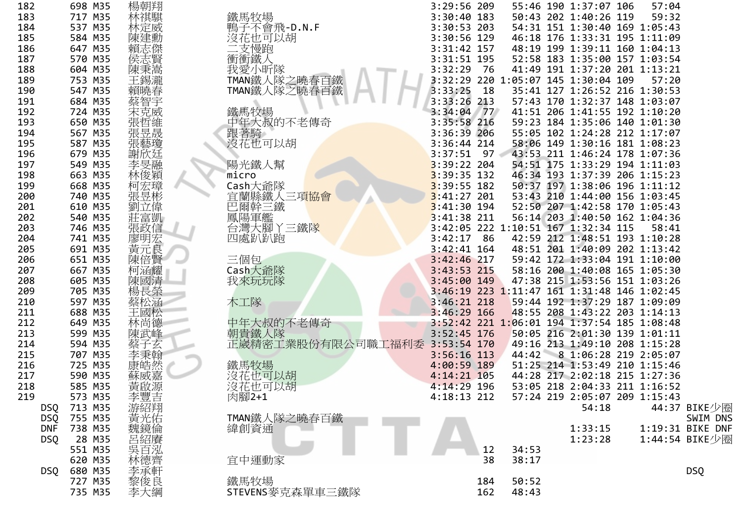| 182 |            | 698 M35 | 楊朝翔     |                               | 3:29:56 209                                 |      |       | 55:46 190 1:37:07 106         | 57:04 |                  |
|-----|------------|---------|---------|-------------------------------|---------------------------------------------|------|-------|-------------------------------|-------|------------------|
| 183 |            | 717 M35 | 林祺騏     | 鐵馬牧場                          | 3:30:40 183                                 |      |       | 50:43 202 1:40:26 119         | 59:32 |                  |
| 184 |            | 537 M35 | 林定威     | 鴨子不會飛-D.N.F                   | 3:30:53 203                                 |      |       | 54:31 151 1:30:40 169 1:05:43 |       |                  |
| 185 |            | 584 M35 | 陳建勳     | 沒花也可以胡                        | 3:30:56 129                                 |      |       | 46:18 176 1:33:31 195 1:11:09 |       |                  |
| 186 |            | 647 M35 | 賴志傑     | 支慢跑                           | 3:31:42 157                                 |      |       | 48:19 199 1:39:11 160 1:04:13 |       |                  |
| 187 |            | 570 M35 | 侯志賢     | 衝衝鐵人                          | 3:31:51 195                                 |      |       | 52:58 183 1:35:00 157 1:03:54 |       |                  |
| 188 |            | 604 M35 | 陳秉嵩     | 我愛小昕隊                         | 3:32:29                                     | - 76 |       | 41:49 191 1:37:20 201 1:13:21 |       |                  |
| 189 |            | 753 M35 | 王錫瀧     | TMAN鐵人隊之曉春百鐵                  | 3:32:29 220 1:05:07 145 1:30:04 109         |      |       |                               | 57:20 |                  |
| 190 |            | 547 M35 | 賴曉春     | TMAN鐵人隊之曉春百鐵                  | 3:33:25                                     | 18   |       | 35:41 127 1:26:52 216 1:30:53 |       |                  |
| 191 |            | 684 M35 | 蔡智宇     |                               | 3:33:26 213                                 |      |       | 57:43 170 1:32:37 148 1:03:07 |       |                  |
| 192 |            | 724 M35 | 宋克威     | 鐵馬牧場                          | 3:34:04                                     | 77   |       | 41:51 206 1:41:55 192 1:10:20 |       |                  |
| 193 |            | 650 M35 | 張哲維     | 中年大叔的不老傳奇                     | 3:35:58 216                                 |      |       | 59:23 184 1:35:06 140 1:01:30 |       |                  |
| 194 |            | 567 M35 | 張昱晟     | 跟著騎                           | 3:36:39 206                                 |      |       | 55:05 102 1:24:28 212 1:17:07 |       |                  |
| 195 |            | 587 M35 | 張藝瓊     | 沒花也可以胡                        | 3:36:44 214                                 |      |       | 58:06 149 1:30:16 181 1:08:23 |       |                  |
| 196 |            | 679 M35 | 謝欣廷     |                               | $3:37:51$ 97                                |      |       | 43:53 211 1:46:24 178 1:07:36 |       |                  |
| 197 |            | 549 M35 | 李旻融     | 陽光鐵人幫                         | 3:39:22 204                                 |      |       | 54:51 175 1:33:29 194 1:11:03 |       |                  |
| 198 |            | 663 M35 | 林俊穎     | micro                         | 3:39:35 132                                 |      |       | 46:34 193 1:37:39 206 1:15:23 |       |                  |
| 199 |            | 668 M35 | 柯宏璋     | Cash大爺隊                       | $3:39:55$ 182                               |      |       | 50:37 197 1:38:06 196 1:11:12 |       |                  |
| 200 |            | 740 M35 | 張昱彬     | 宜蘭縣鐵人三項 <mark>協會</mark>       | $3:41:27$ 201                               |      |       | 53:43 210 1:44:00 156 1:03:45 |       |                  |
| 201 |            | 610 M35 | 立偉<br>劉 | 巴爾幹三鐵                         | $3:41:30$ 194                               |      |       | 52:50 207 1:42:58 170 1:05:43 |       |                  |
| 202 |            | 540 M35 | 莊富凱     | 鳳陽軍艦                          | 3:41:38 211                                 |      |       | 56:14 203 1:40:50 162 1:04:36 |       |                  |
| 203 |            | 746 M35 | 張政信     | 台灣大腳丫三鐵隊                      | 3:42:05 222 1:10:51 167 1:32:34 115         |      |       |                               | 58:41 |                  |
| 204 |            | 741 M35 | 廖明宏     | 四處趴趴跑                         | $3:42:17$ 86                                |      |       | 42:59 212 1:48:51 193 1:10:28 |       |                  |
| 205 |            | 691 M35 | 黃元良     |                               | $3:42:41$ 164                               |      |       | 48:51 201 1:40:09 202 1:13:42 |       |                  |
| 206 |            | 651 M35 | 陳倍賢     | 三個包                           | 3:42:46 217                                 |      |       | 59:42 172 1:33:04 191 1:10:00 |       |                  |
| 207 |            | 667 M35 | 柯涵耀     | Cash大爺隊                       | $3:43:53$ 215                               |      |       | 58:16 200 1:40:08 165 1:05:30 |       |                  |
| 208 |            | 605 M35 | 陳國清     | 我來玩玩隊                         | 3:45:00 149                                 |      |       | 47:38 215 1:53:56 151 1:03:26 |       |                  |
| 209 |            | 705 M35 | 楊長榮     |                               | 3:46:19 223 1:11:47 161 1:31:48 146 1:02:45 |      |       |                               |       |                  |
| 210 |            | 597 M35 | 蔡松涵     | 木工隊                           | $3:46:21$ 218                               |      |       | 59:44 192 1:37:29 187 1:09:09 |       |                  |
| 211 |            | 688 M35 | 王國松     |                               | $3:46:29$ 166                               |      |       | 48:55 208 1:43:22 203 1:14:13 |       |                  |
| 212 |            | 649 M35 | 林尚德     | 中年大叔的不老傳奇                     | 3:52:42 221 1:06:01 194 1:37:54 185 1:08:48 |      |       |                               |       |                  |
| 213 |            | 599 M35 | 陳武峰     | 朝貴鐵人隊                         | $3:52:45$ 176                               |      |       | 50:05 216 2:01:30 139 1:01:11 |       |                  |
| 214 |            | 594 M35 | 蔡子玄     | 正崴精密工業股份有限公司職工福利委 3:53:54 170 |                                             |      |       | 49:16 213 1:49:10 208 1:15:28 |       |                  |
| 215 |            | 707 M35 | 李秉翰     |                               | 3:56:16 113                                 |      |       | 44:42 8 1:06:28 219 2:05:07   |       |                  |
| 216 |            | 725 M35 | 康皓然     | 鐵馬牧場                          | 4:00:59 189                                 |      |       | 51:25 214 1:53:49 210 1:15:46 |       |                  |
| 217 |            | 590 M35 | 蘇威嘉     | 沒花也可以胡                        | 4:14:21 105                                 |      |       | 44:28 217 2:02:18 215 1:27:36 |       |                  |
| 218 |            | 585 M35 | 黃啟源     | 沒花也可以胡                        | 4:14:29 196                                 |      |       | 53:05 218 2:04:33 211 1:16:52 |       |                  |
| 219 |            | 573 M35 |         | 肉腳2+1                         | 4:18:13 212                                 |      |       | 57:24 219 2:05:07 209 1:15:43 |       |                  |
|     | DSQ        | 713 M35 | 李豐吉     |                               |                                             |      |       | 54:18                         |       | 44:37 BIKE少圈     |
|     | <b>DSQ</b> | 755 M35 | 黃光佑     | TMAN鐵人隊之曉春百鐵                  |                                             |      |       |                               |       | SWIM DNS         |
|     | <b>DNF</b> | 738 M35 | 魏鏡倫     | 緯創資通                          |                                             |      |       | 1:33:15                       |       | 1:19:31 BIKE DNF |
|     | <b>DSQ</b> | 28 M35  | 呂紹賡     |                               |                                             |      |       | 1:23:28                       |       | 1:44:54 BIKE少圈   |
|     |            | 551 M35 | 吳百泓     |                               |                                             | 12   | 34:53 |                               |       |                  |
|     |            | 620 M35 | 林德齊     | 宜中運動家                         |                                             | 38   | 38:17 |                               |       |                  |
|     | DSQ.       | 680 M35 | 李承軒     |                               |                                             |      |       |                               |       | <b>DSQ</b>       |
|     |            | 727 M35 | 黎俊良     | 鐵馬牧場                          |                                             | 184  | 50:52 |                               |       |                  |
|     |            | 735 M35 | 李大綱     | STEVENS麥克森單車三鐵隊               |                                             | 162  | 48:43 |                               |       |                  |
|     |            |         |         |                               |                                             |      |       |                               |       |                  |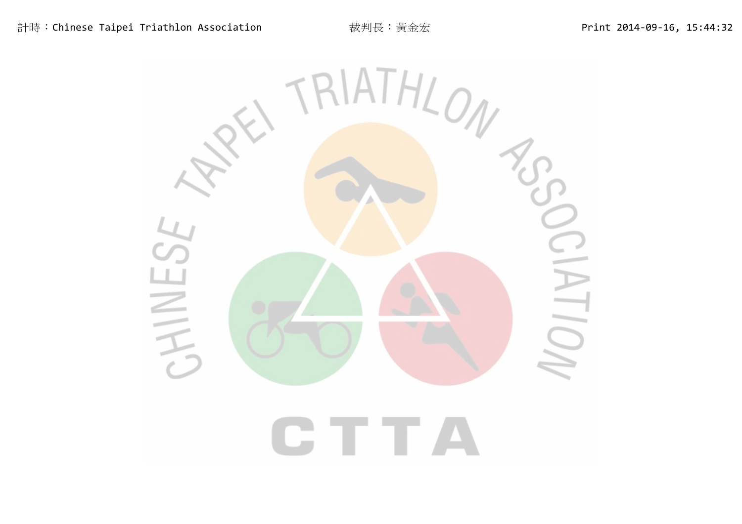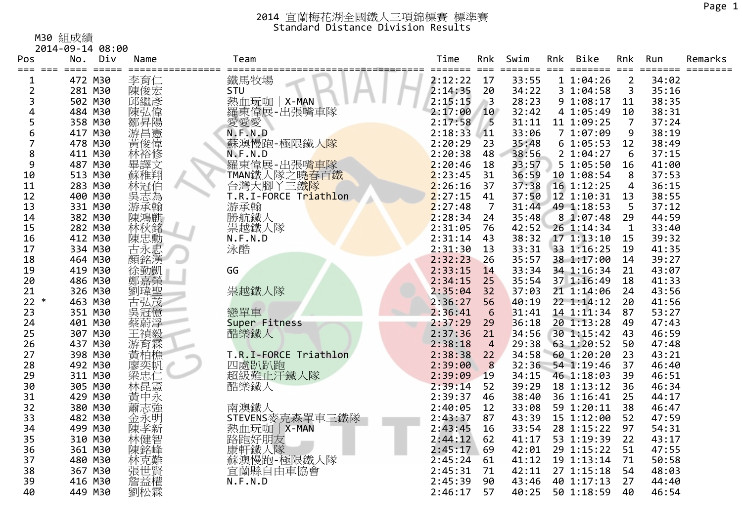M30 組成績

| Pos                 | <b>7014-09-14 00:00</b><br>Div<br>No.       | Name       | Team                                   | Time            | Rnk            | Swim          | Rnk | Bike              | Rnk            | Run           | Remarks |
|---------------------|---------------------------------------------|------------|----------------------------------------|-----------------|----------------|---------------|-----|-------------------|----------------|---------------|---------|
| === ===             | $=$ $=$ $=$ $=$ $=$<br>$== == =$<br>472 M30 | 李育仁        | 鐵馬牧場                                   | ====<br>2:12:22 | $===$<br>17    | ====<br>33:55 |     | ====<br>1 1:04:26 | $==$<br>2      | ====<br>34:02 |         |
| 1<br>$\overline{2}$ | 281 M30                                     |            | STU                                    | 2:14:35         | 20             | 34:22         |     | 3 1:04:58         | 3              | 35:16         |         |
| 3                   | 502 M30                                     | 陳俊宏<br>邱繼彥 | 熱血玩咖   X-MAN                           | 2:15:15         | $\sim$ 3       | 28:23         |     | 91:08:17          | 11             | 38:35         |         |
| 4                   | 484 M30                                     |            | 羅東偉展-出張嘴車隊                             | 2:17:00         | 10             | 32:42         |     | 4 1:05:49         | 10             | 38:31         |         |
| 5                   | 358 M30                                     | 陳弘偉<br>鄒昇陽 |                                        | 2:17:58         | 5              | 31:11         |     | 11 1:09:25        | $\overline{7}$ | 37:24         |         |
| 6                   | 417 M30                                     |            | 愛愛愛<br>N.F.N.D                         | 2:18:33         | 11             | 33:06         |     | 7 1:07:09         | 9              | 38:19         |         |
| 7                   | 478 M30                                     | 游昌憲<br>黄俊偉 | 蘇澳慢跑-極限鐵人隊                             | 2:20:29         | 23             | 35:48         |     | 61:05:53          | 12             | 38:49         |         |
| 8                   | 411 M30                                     | 林裕修        | N.F.N.D                                | 2:20:38         | 48             | 38:56         |     | 2 1:04:27         | 6              | 37:15         |         |
| 9                   | 487 M30                                     | 畢譯文        | 羅東偉展-出張嘴車隊                             | 2:20:46         | 18             | 33:57         |     | 51:05:50          | 16             | 41:00         |         |
| 10                  | 513 M30                                     | 蘇稚翔        |                                        | 2:23:45         | 31             | 36:59         |     | 10 1:08:54        | 8              | 37:53         |         |
| 11                  | 283 M30                                     | 林冠伯        | TMAN鐵人隊之曉春百鐵<br>台灣大腳丫三鐵 <mark>隊</mark> | 2:26:16         | 37             | 37:38         |     | 16 1:12:25        | $\overline{4}$ | 36:15         |         |
| 12                  | 400 M30                                     | 吳志為        | T.R.I-FORCE Triathlon                  | 2:27:15         | 41             | 37:50         |     | 12 1:10:31        | 13             | 38:55         |         |
| 13                  | 331 M30                                     | 游承翰        | 游承翰                                    | 2:27:48         | $\overline{7}$ | 31:44         |     | 49 1:18:53        | 5              | 37:12         |         |
| 14                  | 382 M30                                     | 陳鴻麒        | 勝航鐵人                                   | 2:28:34         | 24             | 35:48         |     | 81:07:48          | 29             | 44:59         |         |
| 15                  | 282 M30                                     | 林秋銘        | 祟越鐵人隊                                  | 2:31:05         | 76             | 42:52         |     | 26 1:14:34        | $\mathbf{1}$   | 33:40         |         |
| 16                  | 412 M30                                     | 陳忠勳        | N.F.N.D                                | 2:31:14         | 43             | 38:32         |     | 171:13:10         | 15             | 39:32         |         |
| 17                  | 334 M30                                     | 古永忠        | 泳酷                                     | 2:31:30         | 13             | 33:31         |     | 33 1:16:25        | 19             | 41:35         |         |
| 18                  | 464 M30                                     | 顏銘漢        |                                        | 2:32:23         | 26             | 35:57         |     | 38 1:17:00        | 14             | 39:27         |         |
| 19                  | 419 M30                                     | 徐勤凱        | GG                                     | 2:33:15         | 14             | 33:34         |     | 34 1:16:34        | 21             | 43:07         |         |
| 20                  | 486 M30                                     | 鄭嘉榮        |                                        | 2:34:15         | 25             | 35:54         |     | 37 1:16:49        | 18             | 41:33         |         |
| 21                  | 326 M30                                     | 劉瑋聖        | 祟越鐵人隊                                  | 2:35:04         | 32             | 37:03         |     | 21 1:14:06        | 24             | 43:56         |         |
| 22<br>$\ast$        | 463 M30                                     |            |                                        | 2:36:27         | 56             | 40:19         |     | 22 1:14:12        | 20             | 41:56         |         |
| 23                  | 351 M30                                     | 舌弘茂<br>吳冠億 | 戀單車                                    | 2:36:41         | 6              | 31:41         |     | 14 1:11:34        | 87             | 53:27         |         |
| 24                  | 401 M30                                     | 蔡蔚浮        | Super Fitness                          | 2:37:29         | 29             | 36:18         |     | 20 1:13:28        | 49             | 47:43         |         |
| 25                  | 307 M30                                     | 王禎毅        | 酷樂鐵人                                   | 2:37:36         | 21             | 34:56         |     | 30 1:15:42        | 43             | 46:59         |         |
| 26                  | 437 M30                                     | 游育霖        |                                        | 2:38:18         | $\overline{4}$ | 29:38         |     | 63 1:20:52        | 50             | 47:48         |         |
| 27                  | 398 M30                                     | 黃柏樵        | T.R.I-FORCE Triathlon                  | 2:38:38         | 22             | 34:58         |     | 60 1:20:20        | 23             | 43:21         |         |
| 28                  | 492 M30                                     | 廖奕帆        | 四處趴趴跑                                  | 2:39:00         | 8              | 32:36         |     | 54 1:19:46        | 37             | 46:40         |         |
| 29                  | 311 M30                                     | 梁忠仁        | 超級難止汗鐵人隊                               | 2:39:09         | 19             | 34:15         |     | 46 1:18:03        | 39             | 46:51         |         |
| 30                  | 305 M30                                     | 林昆憲        | 酷樂鐵人                                   | 2:39:14         | 52             | 39:29         |     | 18 1:13:12        | 36             | 46:34         |         |
| 31                  | 429 M30                                     | 黃中永        |                                        | 2:39:37         | 46             | 38:40         |     | 36 1:16:41        | 25             | 44:17         |         |
| 32                  | 380 M30                                     | 蕭志強        | 南澳鐵人                                   | 2:40:05         | 12             | 33:08         |     | 59 1:20:11        | 38             | 46:47         |         |
| 33                  | 482 M30                                     | 金永明        | STEVENS麥克森單車三鐵隊                        | 2:43:37         | 87             | 43:39         |     | 15 1:12:00        | 52             | 47:59         |         |
| 34                  | 499 M30                                     | 陳孝新<br>林健智 | 熱血玩咖   X-MAN                           | 2:43:45         | 16             | 33:54         |     | 28 1:15:22        | 97             | 54:31         |         |
| 35                  | 310 M30                                     |            |                                        | 2:44:12         | 62             | 41:17         |     | 53 1:19:39        | 22             | 43:17         |         |
| 36                  | 361 M30                                     | 陳銘峰        | 、路跑好朋友<br>康軒鐵人隊<br>蘇澳慢跑 極限鐵人隊          | 2:45:17         | 69             | 42:01         |     | 29 1:15:22        | 51             | 47:55         |         |
| 37                  | 480 M30                                     | 林克難        |                                        | 2:45:24         | 61             | 41:12         |     | 19 1:13:14        | 71             | 50:58         |         |
| 38                  | 367 M30                                     | 張世賢        | 宜蘭縣自由車協會                               | 2:45:31         | 71             | 42:11         |     | 27 1:15:18        | 54             | 48:03         |         |
| 39                  | 416 M30                                     | 詹益權        | N.F.N.D                                | 2:45:39         | 90             | 43:46         |     | 40 1:17:13        | 27             | 44:40         |         |
| 40                  | 449 M30                                     | 劉松霖        |                                        | 2:46:17         | 57             | 40:25         |     | 50 1:18:59        | 40             | 46:54         |         |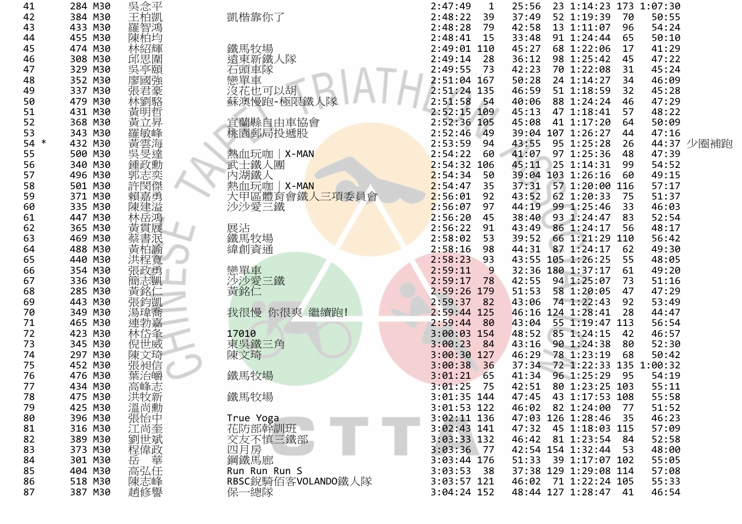| 41      | 284 M30 |            |                                           | 2:47:49<br>1              | 25:56 | 23 1:14:23 173 1:07:30 |     |       |            |
|---------|---------|------------|-------------------------------------------|---------------------------|-------|------------------------|-----|-------|------------|
| 42      | 384 M30 | 吳念平<br>王柏凱 | 凱楷靠你了                                     | 2:48:22<br>39             | 37:49 | 52 1:19:39             | 70  | 50:55 |            |
| 43      | 433 M30 | 羅智鴻        |                                           | 2:48:28<br>79             | 42:58 | 13 1:11:07             | 96  | 54:24 |            |
| 44      | 455 M30 | 陳柏均        |                                           | 2:48:41<br>15             | 33:48 | 91 1:24:44             | 65  | 50:10 |            |
| 45      | 474 M30 | 林紹輝        | 鐵馬牧場                                      | 2:49:01 110               | 45:27 | 68 1:22:06             | 17  | 41:29 |            |
| 46      | 308 M30 | 邱思圍        | 遠東新鐵人隊                                    | 2:49:14<br>28             | 36:12 | 98 1:25:42             | 45  | 47:22 |            |
| 47      | 329 M30 | 吳亭頤        | 石頭車隊                                      | 2:49:55<br>73             | 42:23 | 70 1:22:08             | 31  | 45:24 |            |
| 48      | 352 M30 | 廖國強        | 戀單車                                       | 2:51:04 167               | 50:28 | 24 1:14:27             | 34  | 46:09 |            |
| 49      | 337 M30 |            | 沒花也可以胡                                    | 2:51:24 135               | 46:59 | 51 1:18:59             | 32  | 45:28 |            |
| 50      | 479 M30 | 張君豪<br>林劉駱 | 蘇澳慢跑-極限鐵人隊                                | 2:51:58<br>54             | 40:06 | 88 1:24:24             | 46  | 47:29 |            |
|         | 431 M30 |            |                                           | 2:52:15 109               |       | 47 1:18:41             | 57  | 48:22 |            |
| 51      |         | 黃明哲        |                                           |                           | 45:13 | 41 1:17:20             |     |       |            |
| 52      | 368 M30 | 黃立昇        | 宜蘭縣自由車協會                                  | 2:52:36 105               | 45:08 |                        | 64  | 50:09 |            |
| 53      | 343 M30 | 羅敏峰        | 桃園郵局投遞股                                   | 2:52:46<br>49             |       | 39:04 107 1:26:27      | 44  | 47:16 |            |
| ∗<br>54 | 432 M30 | 黃雲海<br>吳旻達 |                                           | 2:53:59<br>94             | 43:55 | 95 1:25:28             | 26  |       | 44:37 少圈補跑 |
| 55      | 500 M30 |            | 熱血玩咖   X-MAN                              | 2:54:22<br>60             | 41:07 | 97 1:25:36             | 48  | 47:39 |            |
| 56      | 340 M30 | 鍾政勳        | 武士鐵人團                                     | 2:54:32 106               | 45:11 | 25 1:14:31             | 99  | 54:52 |            |
| 57      | 496 M30 | 郭志奕        | 內湖鐵人                                      | 2:54:34<br>50             | 39:04 | 103 1:26:16            | 60  | 49:15 |            |
| 58      | 501 M30 |            | 熱血玩咖 X-M <mark>AN</mark><br>大甲區體育會鐵人三項委員會 | 2:54:47<br>35             | 37:31 | 57 1:20:00 116         |     | 57:17 |            |
| 59      | 371 M30 | 賴嘉勇<br>陳建溢 |                                           | 2:56:01<br>92             | 43:52 | 62 1:20:33             | 75  | 51:37 |            |
| 60      | 335 M30 |            | 沙沙愛三鐵                                     | 2:56:07<br>97             | 44:19 | 99 1:25:46             | 33  | 46:03 |            |
| 61      | 447 M30 | 林岳鴻        |                                           | 2:56:20<br>45             | 38:40 | 93 1:24:47             | 83  | 52:54 |            |
| 62      | 365 M30 | 黃貫展        | 展沾                                        | 2:56:22<br>91             | 43:49 | 86 1:24:17             | 56  | 48:17 |            |
| 63      | 469 M30 | 蔡書泯        | 鐵馬牧場                                      | 2:58:02<br>53             | 39:52 | 66 1:21:29 110         |     | 56:42 |            |
| 64      | 488 M30 | 黃柏諭        | 緯創資通                                      | 2:58:16<br>98             | 44:31 | 87 1:24:17             | 62  | 49:30 |            |
| 65      | 440 M30 | 洪程寬        |                                           | 2:58:23<br>93             |       | 43:55 105 1:26:25      | 55  | 48:05 |            |
| 66      | 354 M30 | 張政勇        | 戀單車                                       | 2:59:11<br>$\overline{9}$ |       | 32:36 180 1:37:17      | 61  | 49:20 |            |
| 67      | 336 M30 | 簡志凱        | 沙沙愛三鐵                                     | 2:59:17<br>78             | 42:55 | 94 1:25:07             | 73  | 51:16 |            |
| 68      | 285 M30 | 黃銘仁        | 黃銘仁                                       | 2:59:26 179               | 51:53 | 58 1:20:05             | 47  | 47:29 |            |
| 69      | 443 M30 | 張鈞凱        |                                           | 2:59:37<br>82             | 43:06 | 74 1:22:43             | 92  | 53:49 |            |
| 70      | 349 M30 |            | 我很慢 你很爽 繼續跑!                              | 2:59:44 125               |       | 46:16 124 1:28:41      | 28  | 44:47 |            |
| 71      | 465 M30 | ·湯連林?      |                                           | 2:59:44<br>80             | 43:04 | 55 1:19:47             | 113 | 56:54 |            |
| 72      | 423 M30 |            | 17010                                     | 3:00:03 154               | 48:52 | 85 1:24:15             | 42  | 46:57 |            |
| 73      | 345 M30 |            |                                           | 3:00:23<br>84             | 43:16 | 90 1:24:38             | 80  | 52:30 |            |
|         | 297 M30 | 倪世威        | 東吳鐵三角                                     |                           |       | 78 1:23:19             |     | 50:42 |            |
| 74      |         | 陳文琦        | 陳文琦                                       | 3:00:30 127               | 46:29 |                        | 68  |       |            |
| 75      | 452 M30 | 張昶信        |                                           | 3:00:38<br>36             | 37:34 | 72 1:22:33 135 1:00:32 |     |       |            |
| 76      | 476 M30 | 葉治皭        | 鐵馬牧場                                      | 3:01:21<br>- 65           | 41:34 | 96 1:25:29             | 95  | 54:19 |            |
| 77      | 434 M30 | 高峰志        |                                           | 3:01:25<br>75             | 42:51 | 80 1:23:25 103         |     | 55:11 |            |
| 78      | 475 M30 | 洪溫張        | 鐵馬牧場                                      | 3:01:35 144               |       | 47:45 43 1:17:53 108   |     | 55:58 |            |
| 79      | 425 M30 |            |                                           | 3:01:53 122               | 46:02 | 82 1:24:00             | -77 | 51:52 |            |
| 80      | 396 M30 |            | True Yoga                                 | 3:02:11 136               |       | 47:03 126 1:28:46      | 35  | 46:23 |            |
| 81      | 316 M30 | 江尚奎        | 花防部幹訓班                                    | 3:02:43 141               | 47:32 | 45 1:18:03 115         |     | 57:09 |            |
| 82      | 389 M30 | 劉世斌        | 交友不慎三鐵部                                   | 3:03:33 132               | 46:42 | 81 1:23:54             | -84 | 52:58 |            |
| 83      | 373 M30 |            | 四月房                                       | 3:03:36 77                |       | 42:54 154 1:32:44      | -53 | 48:00 |            |
| 84      | 301 M30 | 程偉政華       | 鋼鐵馬廊                                      | 3:03:44 176               | 51:33 | 39 1:17:07 102         |     | 55:05 |            |
| 85      | 404 M30 | 高弘任        | Run Run Run S                             | 3:03:53<br>- 38           |       | 37:38 129 1:29:08 114  |     | 57:08 |            |
| 86      | 518 M30 | 陳志峰        | RBSC銳騎佰客VOLANDO鐵人隊                        | 3:03:57 121               |       | 46:02 71 1:22:24 105   |     | 55:33 |            |
| 87      | 387 M30 | 趙修譽        | 保一總隊                                      | 3:04:24 152               |       | 48:44 127 1:28:47      | 41  | 46:54 |            |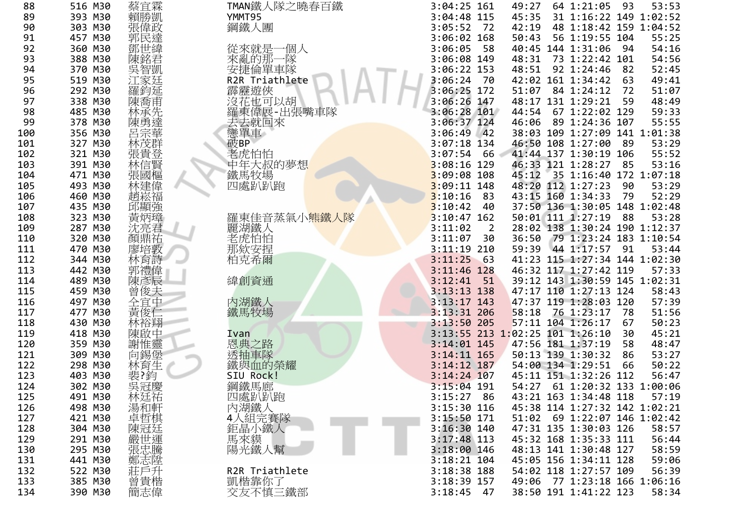| 88  | 516 M30 | 蔡宜霖   | TMAN鐵人隊之曉春百鐵              | 3:04:25 161     | 53:53<br>49:27<br>64 1:21:05<br>93             |
|-----|---------|-------|---------------------------|-----------------|------------------------------------------------|
| 89  | 393 M30 | 賴勝凱   | YMMT95                    | 3:04:48 115     | 31 1:16:22 149 1:02:52<br>45:35                |
| 90  | 303 M30 | 張偉政   | 鋼鐵人團                      | 3:05:52<br>72   | 48 1:18:42 159 1:04:52<br>42:19                |
| 91  | 457 M30 | 郭民達   |                           | 3:06:02 168     | 50:43<br>56 1:19:55<br>104<br>55:25            |
| 92  | 360 M30 | 鄧世緯   | 從來就是一個人                   | 3:06:05<br>- 58 | 40:45 144 1:31:06<br>54:16<br>-94              |
| 93  | 388 M30 | 陳銘君   | 來亂的那一隊                    | 3:06:08 149     | 48:31<br>73 1:22:42 101<br>54:56               |
| 94  | 370 M30 | 吳智凱   | 安捷倫單車隊                    | 3:06:22 153     | 92 1:24:46<br>52:45<br>48:51<br>-82            |
| 95  | 519 M30 | 江家廷   | R2R Triathlete            | 3:06:24<br>- 70 | 42:02 161 1:34:42<br>49:41<br>63               |
|     |         |       |                           |                 | 51:07<br>84 1:24:12<br>72                      |
| 96  | 292 M30 | 羅鈞延   | 霹靂遊俠                      | 3:06:25 172     | 51:07                                          |
| 97  | 338 M30 | 陳喬甫   | 沒花也可以胡                    | 3:06:26 147     | 48:17 131 1:29:21<br>48:49<br>59               |
| 98  | 485 M30 | 林承先   | 羅東偉展-出張嘴車隊                | 3:06:28 101     | 67 1:22:02 129<br>59:33<br>44:54               |
| 99  | 378 M30 | 陳勇達   | 去去就回來<br>戀單車              | 3:06:37 124     | 89 1:24:36 107<br>55:55<br>46:06               |
| 100 | 356 M30 | 呂宗華   |                           | 3:06:49<br>42   | 38:03 109 1:27:09<br>141 1:01:38               |
| 101 | 327 M30 | 林茂群   | 破BP                       | 3:07:18 134     | 46:50 108 1:27:00<br>53:29<br>-89              |
| 102 | 321 M30 | 張貴登   | 老虎怕怕                      | 3:07:54<br>- 66 | 41:44 137 1:30:19<br>55:52<br>106              |
| 103 | 391 M30 | 林信賢   | 中年大叔的夢想                   | $3:08:16$ 129   | 46:33 121 1:28:27<br>53:16<br>85               |
| 104 | 471 M30 | 張國樞   | 鐵馬牧場                      | $3:09:08$ 108   | 35 1:16:40 172 1:07:18<br>45:12                |
| 105 | 493 M30 | 林建偉   | 四處趴趴跑                     | $3:09:11$ 148   | 48:20 112 1:27:23<br>53:29<br>90               |
| 106 | 460 M30 | 趙崧福   |                           | 3:10:16<br>83   | 43:15 160 1:34:33<br>52:29<br>79               |
| 107 | 435 M30 | 邱顯強   |                           | 3:10:42<br>40   | 37:50 136 1:30:05 148 1:02:48                  |
| 108 | 323 M30 | 黃炳璋   | 羅東佳音蒸氣小 <mark>熊鐵人隊</mark> | $3:10:47$ 162   | 50:01 111 1:27:19<br>53:28<br>88               |
| 109 | 287 M30 | 沈亮君   | 麗湖鐵人                      | 3:11:02<br>2    | 28:02 138 1:30:24 190 1:12:37                  |
| 110 | 320 M30 | 顏鼎祐   | 老虎怕怕                      | 3:11:07<br>30   | 79 1:23:24 183 1:10:54<br>36:50                |
| 111 | 470 M30 | 廖培敦   | 那欸安捏                      | 3:11:19 210     | 44 1:17:57<br>59:39<br>53:44<br>91             |
| 112 | 344 M30 | 林育詩   | 柏克希爾                      | 3:11:25<br>63   | 41:23 115 1:27:34 144 1:02:30                  |
| 113 | 442 M30 | 郭禮偉   |                           | 3:11:46 128     | 46:32 117 1:27:42 119<br>57:33                 |
| 114 | 489 M30 | 陳彥辰   | 緯創資通                      | 3:12:41<br>51   | 39:12 143 1:30:59 145 1:02:31                  |
| 115 | 459 M30 | 曾俊夫   |                           | $3:13:13$ 138   | 47:17 110 1:27:13<br>124<br>58:43              |
| 116 | 497 M30 | 仝宜中   | 內湖鐵人                      | $3:13:17$ 143   | 47:37 119 1:28:03 120<br>57:39                 |
| 117 | 477 M30 | 黃俊仁   | 鐵馬牧場                      | $3:13:31$ 206   | 58:18<br>76 1:23:17<br>51:56<br>-78            |
| 118 | 430 M30 | 林裕翔   |                           | 3:13:50 205     | 57:11 104 1:26:17<br>50:23<br>67               |
| 119 | 418 M30 |       |                           |                 | 3:13:55 213 1:02:25 101 1:26:10<br>45:21<br>30 |
|     |         | 陳啟中   | Ivan                      | $3:14:01$ 145   | 58<br>48:47                                    |
| 120 | 359 M30 | 謝惟靈   | 恩典之路                      |                 | 47:56 181 1:37:19                              |
| 121 | 309 M30 | 向錫堡   | 透抽車隊                      | $3:14:11$ 165   | 50:13 139 1:30:32<br>53:27<br>86               |
| 122 | 298 M30 | 林育生   | 鐵與血的榮耀                    | $3:14:12$ 187   | 54:00 134 1:29:51<br>50:22<br>66               |
| 123 | 403 M30 | 裴?鈞   | SIU Rock!                 | $3:14:24$ 107   | 45:11 151 1:32:26 112<br>56:47                 |
| 124 | 302 M30 | 吳冠慶   | 鋼鐵馬廊                      | $3:15:04$ 191   | 54:27<br>61 1:20:32 133 1:00:06                |
| 125 | 491 M30 | 林廷祐   | 四處趴趴跑                     | $3:15:27$ 86    | 43:21 163 1:34:48 118<br>57:19                 |
| 126 | 498 M30 | 湯和軒   | 內湖鐵人                      | 3:15:30 116     | 45:38 114 1:27:32 142 1:02:21                  |
| 127 | 421 M30 | 卓哲棋   | 4人組完賽隊                    | 3:15:50 171     | 51:02 69 1:22:07 146 1:02:42                   |
| 128 | 304 M30 |       | 鉅晶小鐵人                     | $3:16:30$ 140   | 47:31 135 1:30:03 126<br>58:57                 |
| 129 | 291 M30 | 陳嚴張鄭# | 馬來貘<br>陽光鐵人幫              | $3:17:48$ 113   | 45:32 168 1:35:33 111<br>56:44                 |
| 130 | 295 M30 |       |                           | 3:18:00 146     | 48:13 141 1:30:48 127<br>58:59                 |
| 131 | 441 M30 |       |                           | $3:18:21$ 104   | 45:05 156 1:34:11 128<br>59:06                 |
| 132 | 522 M30 | 莊戶升   | R2R Triathlete            | 3:18:38 188     | 54:02 118 1:27:57 109<br>56:39                 |
| 133 | 385 M30 | 曾貴楷   | 凱楷靠你了                     | 3:18:39 157     | 77 1:23:18 166 1:06:16<br>49:06                |
| 134 | 390 M30 | 簡志偉   | 交友不慎三鐵部                   | 3:18:45<br>47   | 38:50 191 1:41:22 123<br>58:34                 |
|     |         |       |                           |                 |                                                |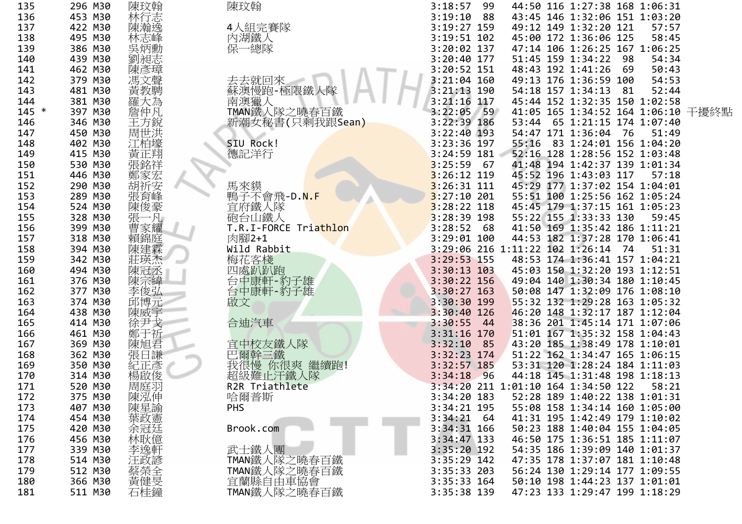| 135     | 296 M30 | 陳玟翰 | 陳玟翰                   | 3:18:57<br>99                       |                   | 44:50 116 1:27:38 168 1:06:31 |                                    |  |
|---------|---------|-----|-----------------------|-------------------------------------|-------------------|-------------------------------|------------------------------------|--|
| 136     | 453 M30 | 林行志 |                       | 3:19:10<br>88                       |                   | 43:45 146 1:32:06 151 1:03:20 |                                    |  |
| 137     | 422 M30 | 陳瀚逸 | 4人組完賽隊                | 3:19:27 159                         |                   | 49:12 149 1:32:20 121         | 57:57                              |  |
| 138     | 495 M30 | 林志峰 | 內湖鐵人                  | 3:19:51 102                         |                   | 45:00 172 1:36:06 125         | 58:45                              |  |
| 139     | 386 M30 | 吳炳勳 | 保一總隊                  | 3:20:02 137                         |                   | 47:14 106 1:26:25 167 1:06:25 |                                    |  |
| 140     | 439 M30 | 劉昶志 |                       | 3:20:40 177                         |                   | 51:45 159 1:34:22 98          | 54:34                              |  |
| 141     | 462 M30 | 陳彥璋 |                       | 3:20:52 151                         | 48:43 192 1:41:26 |                               | 50:43<br>- 69                      |  |
| 142     | 379 M30 | 馮文聲 | 去去就回來                 | $3:21:04$ 160                       |                   | 49:13 176 1:36:59 100         | 54:53                              |  |
| 143     | 481 M30 | 黃教騁 | 蘇澳慢跑-極限鐵人隊            | $3:21:13$ 190                       | 54:18 157 1:34:13 |                               | 52:44<br>- 81                      |  |
| 144     | 381 M30 | 羅大為 | 南澳獵人                  | $3:21:16$ 117                       |                   | 45:44 152 1:32:35 150 1:02:58 |                                    |  |
| $145 *$ | 397 M30 | 詹仲凡 | TMAN鐵人隊之曉春百鐵          | $3:22:05$ 59                        |                   |                               | 41:05 165 1:34:52 164 1:06:10 干擾終點 |  |
| 146     | 346 M30 | 王方銳 | 新潮女秘書(只剩我跟Sean)       | 3:22:39 186                         | 53:44             | 65 1:21:15 174 1:07:40        |                                    |  |
| 147     | 450 M30 | 周世洪 |                       | 3:22:40 193                         |                   | 54:47 171 1:36:04 76          | 51:49                              |  |
| 148     | 402 M30 | 江柏壕 | SIU Rock!             | 3:23:36 197                         | 55:16             | 83 1:24:01 156 1:04:20        |                                    |  |
| 149     | 415 M30 | 黃正翔 | 德記洋行                  | $3:24:59$ 181                       |                   | 52:16 128 1:28:56 152 1:03:48 |                                    |  |
| 150     | 530 M30 | 張銘祥 |                       | $3:25:59$ 67                        |                   |                               | 41:48 194 1:42:37 139 1:01:34      |  |
| 151     | 446 M30 | 鄭家宏 |                       | 3:26:12 119                         |                   | 45:52 196 1:43:03 117         | 57:18                              |  |
| 152     | 290 M30 | 胡祈安 | 馬來貘                   | $3:26:31$ 111                       |                   | 45:29 177 1:37:02 154 1:04:01 |                                    |  |
| 153     | 289 M30 | 張育峰 | 鴨子不會飛-D.N.F           | $3:27:10$ 201                       |                   |                               | 55:51 100 1:25:56 162 1:05:24      |  |
| 154     | 524 M30 | 陳俊豪 | 宜府鐵人隊                 | $3:28:22$ 118                       |                   | 45:45 179 1:37:15 161 1:05:23 |                                    |  |
| 155     | 328 M30 | 張一凡 | 砲台山鐵人                 | 3:28:39 198                         |                   | 55:22 155 1:33:33 130         | 59:45                              |  |
| 156     | 399 M30 | 曹家耀 | T.R.I-FORCE Triathlon | 3:28:52 68                          |                   | 41:50 169 1:35:42 186 1:11:21 |                                    |  |
| 157     | 318 M30 | 賴錦庭 | 肉腳2+1                 | 3:29:01 100                         |                   | 44:53 182 1:37:28 170 1:06:41 |                                    |  |
| 158     | 394 M30 | 陳建霖 | Wild Rabbit           | 3:29:06 216 1:11:22 102 1:26:14 74  |                   |                               | 51:31                              |  |
| 159     | 342 M30 | 莊瑛杰 | 梅花客棧                  | 3:29:53 155                         |                   | 48:53 174 1:36:41 157 1:04:21 |                                    |  |
| 160     | 494 M30 | 陳冠丞 | 四處趴趴跑                 | $3:30:13$ 103                       |                   | 45:03 150 1:32:20 193 1:12:51 |                                    |  |
| 161     | 376 M30 | 陳宗緯 | 台中康軒-豹子雄              | 3:30:22 156                         |                   | 49:04 140 1:30:34 180 1:10:45 |                                    |  |
| 162     | 377 M30 | 李俊弘 | 台中康軒-豹子雄              | 3:30:27 163                         |                   | 50:08 147 1:32:09 176 1:08:10 |                                    |  |
| 163     | 374 M30 | 邱博元 | 啟文                    | 3:30:30 199                         |                   | 55:32 132 1:29:28 163 1:05:32 |                                    |  |
| 164     | 438 M30 | 陳威宇 |                       | 3:30:40 126                         |                   |                               | 46:20 148 1:32:17 187 1:12:04      |  |
| 165     | 414 M30 | 徐尹戈 | 合迪汽車                  | $3:30:55$ 44                        |                   | 38:36 201 1:45:14 171 1:07:06 |                                    |  |
| 166     | 461 M30 | 鄭于祈 |                       | $3:31:16$ 170                       |                   | 51:01 167 1:35:32 158 1:04:43 |                                    |  |
| 167     | 369 M30 | 陳旭君 | 宜中校友鐵人隊               | $3:32:10$ 85                        |                   | 43:20 185 1:38:49 178 1:10:01 |                                    |  |
| 168     | 362 M30 | 張日謙 | 巴爾幹三鐵                 | 3:32:23 174                         |                   | 51:22 162 1:34:47 165 1:06:15 |                                    |  |
| 169     | 350 M30 | 紀正彥 | 我很慢 你很爽 繼續跑!          | 3:32:57 185                         |                   | 53:31 120 1:28:24 184 1:11:03 |                                    |  |
| 170     | 314 M30 | 楊啟俊 | 超級難止汗鐵人隊              | $3:34:18$ 96                        |                   | 44:18 145 1:31:48 198 1:18:13 |                                    |  |
| 171     | 520 M30 | 周庭羽 | R2R Triathlete        | 3:34:20 211 1:01:10 164 1:34:50 122 |                   |                               | 58:21                              |  |
| 172     | 375 M30 | 陳泓伸 | 哈爾普斯                  | 3:34:20 183                         |                   | 52:28 189 1:40:22 138 1:01:31 |                                    |  |
| 173     | 407 M30 | 陳星諭 | <b>PHS</b>            | 3:34:21 195                         |                   | 55:08 158 1:34:14 160 1:05:00 |                                    |  |
| 174     | 454 M30 | 葉政憲 |                       | 3:34:21<br>- 64                     |                   | 41:31 195 1:42:49 179 1:10:02 |                                    |  |
| 175     | 420 M30 | 余冠廷 | Brook.com             | 3:34:31 166                         |                   | 50:23 188 1:40:04 155 1:04:05 |                                    |  |
| 176     | 456 M30 | 林耿億 |                       | 3:34:47 133                         |                   | 46:50 175 1:36:51 185 1:11:07 |                                    |  |
| 177     | 339 M30 | 李逸軒 | 武士鐵人團                 | 3:35:20 192                         |                   | 54:35 186 1:39:09 140 1:01:37 |                                    |  |
| 178     | 514 M30 | 汪政諺 | TMAN鐵人隊之曉春百鐵          | 3:35:29 142                         |                   | 47:35 178 1:37:07 181 1:10:48 |                                    |  |
| 179     | 512 M30 | 蔡榮全 | TMAN鐵人隊之曉春百鐵          | 3:35:33 203                         |                   | 56:24 130 1:29:14 177 1:09:55 |                                    |  |
| 180     | 366 M30 | 黃健旻 | 宜蘭縣自由車協會              | 3:35:33 164                         |                   | 50:10 198 1:44:23 137 1:01:01 |                                    |  |
| 181     | 511 M30 | 石桂鐘 | TMAN鐵人隊之曉春百鐵          | 3:35:38 139                         |                   | 47:23 133 1:29:47 199 1:18:29 |                                    |  |
|         |         |     |                       |                                     |                   |                               |                                    |  |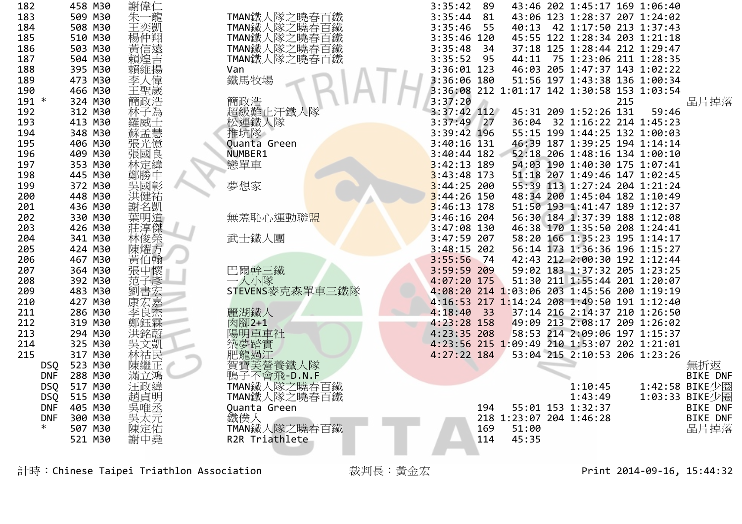| 182        |            | 458 M30            | 謝偉仁        |                  | 43:46 202 1:45:17 169 1:06:40<br>3:35:42<br>89                                                   |
|------------|------------|--------------------|------------|------------------|--------------------------------------------------------------------------------------------------|
| 183        |            | 509 M30            | 一龍<br>朱-   | TMAN鐵人隊之曉春百鐵     | 3:35:44<br>43:06 123 1:28:37 207 1:24:02<br>81                                                   |
| 184        |            | 508 M30            | 王奕凱        | TMAN鐵人隊之曉春百鐵     | 3:35:46<br>55<br>42 1:17:50 213 1:37:43<br>40:13                                                 |
| 185        |            | 510 M30            | 楊仲翔        | TMAN鐵人隊之曉春百鐵     | 3:35:46 120<br>45:55 122 1:28:34 203 1:21:18                                                     |
| 186        |            | 503 M30            | 黃信遠        | TMAN鐵人隊之曉春百鐵     | 3:35:48<br>37:18 125 1:28:44 212 1:29:47<br>34                                                   |
| 187        |            | 504 M30            | 賴煌吉        | TMAN鐵人隊之曉春百鐵     | 3:35:52 95<br>44:11 75 1:23:06 211 1:28:35                                                       |
| 188        |            | 395 M30            |            | Van              | 3:36:01 123<br>46:03 205 1:47:37 143 1:02:22                                                     |
| 189        |            | 473 M30            |            | 鐵馬牧場             | 3:36:06 180<br>51:56 197 1:43:38 136 1:00:34                                                     |
| 190        |            | 466 M30            | 王聖崴        |                  | 3:36:08 212 1:01:17 142 1:30:58 153 1:03:54                                                      |
| $191 *$    |            | 324 M30            | 簡政浩        | 簡政浩              | 晶片掉落<br>3:37:20<br>215                                                                           |
| 192        |            | 312 M30            | 林子為        | 超級難止汗鐵人隊         | 45:31 209 1:52:26 131<br>3:37:42 112<br>59:46                                                    |
| 193        |            | 413 M30            | 羅威士        | 松運鐵人隊            | $3:37:49$ 27<br>36:04 32 1:16:22 214 1:45:23                                                     |
| 194        |            | 348 M30            | 蘇孟慧        | 推坑隊              | 3:39:42 196<br>55:15 199 1:44:25 132 1:00:03                                                     |
| 195        |            | 406 M30            | 張光億        | Quanta Green     | 46:39 187 1:39:25 194 1:14:14<br>3:40:16 131                                                     |
| 196        |            | 409 M30            | 張國良        | NUMBER1          | 52:18 206 1:48:16 134 1:00:10<br>3:40:44 182                                                     |
| 197        |            | 353 M30            | 林定緯        | 戀單車              | $3:42:13$ 189<br>54:03 190 1:40:30 175 1:07:41                                                   |
| 198        |            | 445 M30            | 鄭勝中        |                  | $3:43:48$ 173<br>51:18 207 1:49:46 147 1:02:45                                                   |
| 199        |            | 372 M30            | 吳國彰        | 夢想家              | $3:44:25$ 200<br>55:39 113 1:27:24 204 1:21:24                                                   |
| 200        |            | 448 M30            | 洪健祐        |                  | 48:34 200 1:45:04 182 1:10:49<br>$3:44:26$ 150                                                   |
| 201        |            | 436 M30            | 名凱         |                  | $3:46:13$ 178<br>51:50 193 1:41:47 189 1:12:37                                                   |
| 202        |            | 330 M30            | 葉明道        | 無羞恥心運動聯 <u>盟</u> | $3:46:16$ 204<br>56:30 184 1:37:39 188 1:12:08                                                   |
| 203        |            | 426 M30            | 莊淳傑        |                  | 3:47:08 130<br>46:38 170 1:35:50 208 1:24:41                                                     |
| 204        |            | 341 M30            | 林俊榮        | 武士鐵人團            | 3:47:59 207<br>58:20 166 1:35:23 195 1:14:17                                                     |
| 205        |            | 424 M30            | 陳燿方        |                  | 3:48:15 202<br>56:14 173 1:36:36 196 1:15:27                                                     |
| 206        |            | 467 M30            | 伯翰         |                  | 3:55:56 74<br>42:43 212 2:00:30 192 1:12:44                                                      |
| 207        |            | 364 M30            | 張中懷        | 巴爾幹三鐵            | 3:59:59 209<br>59:02 183 1:37:32 205 1:23:25                                                     |
| 208        |            | 392 M30            |            | 一人小隊             | 4:07:20 175<br>51:30 211 1:55:44 201 1:20:07<br>4:08:20 214 1:03:06 203 1:45:56 200 1:19:19      |
| 209        |            | 483 M30            | 書宏         | STEVENS麥克森單車三鐵隊  |                                                                                                  |
| 210<br>211 |            | 427 M30<br>286 M30 | 康宏嘉        | 麗湖鐵人             | 4:16:53 217 1:14:24 208 1:49:50 191 1:12:40<br>4:18:40<br>37:14 216 2:14:37 210 1:26:50<br>$-33$ |
| 212        |            | 319 M30            | 李良杰<br>鄭鈺霖 | 肉腳2+1            | 49:09 213 2:08:17 209 1:26:02<br>4:23:28 158                                                     |
| 213        |            | 294 M30            | 洪銘蔚        | 陽明單車社            | 4:23:35 208<br>58:53 214 2:09:06 197 1:15:37                                                     |
| 214        |            | 325 M30            | 吳文凱        | 築夢踏實             | 4:23:56 215 1:09:49 210 1:53:07 202 1:21:01                                                      |
| 215        |            | 317 M30            | 林祜民        | 肥龍過江             | 4:27:22 184<br>53:04 215 2:10:53 206 1:23:26                                                     |
|            | DSQ        | 523 M30            | 陳繼正        | 賀寶芙營養鐵人隊         | 無折返                                                                                              |
|            | <b>DNF</b> | 288 M30            | 滿立鴻        | 鴨子不會飛-D.N.F      | <b>BIKE DNF</b>                                                                                  |
|            | <b>DSQ</b> | 517 M30            | 汪政緯        | TMAN鐵人隊之曉春百鐵     | 1:42:58 BIKE少圈<br>1:10:45                                                                        |
|            | <b>DSQ</b> | 515 M30            | 趙貞明        | TMAN鐵人隊之曉春百鐵     | 1:03:33 BIKE少圈<br>1:43:49                                                                        |
|            | <b>DNF</b> | 405 M30            | 吳唯丞        | Quanta Green     | 55:01 153 1:32:37<br><b>BIKE DNF</b><br>194                                                      |
|            | <b>DNF</b> | 300 M30            | 吳太元        | 鐵僕人              | <b>BIKE DNF</b><br>218 1:23:07 204 1:46:28                                                       |
|            | $\ast$     | 507 M30            | 陳定佑        | TMAN鐵人隊之曉春百鐵     | 晶片掉落<br>169<br>51:00                                                                             |
|            |            | 521 M30            | 謝中堯        | R2R Triathlete   | 45:35<br>114                                                                                     |
|            |            |                    |            |                  |                                                                                                  |
|            |            |                    |            |                  |                                                                                                  |

計時:Chinese Taipei Triathlon Association 裁判長:黃金宏 Print 2014-09-16, 15:44:32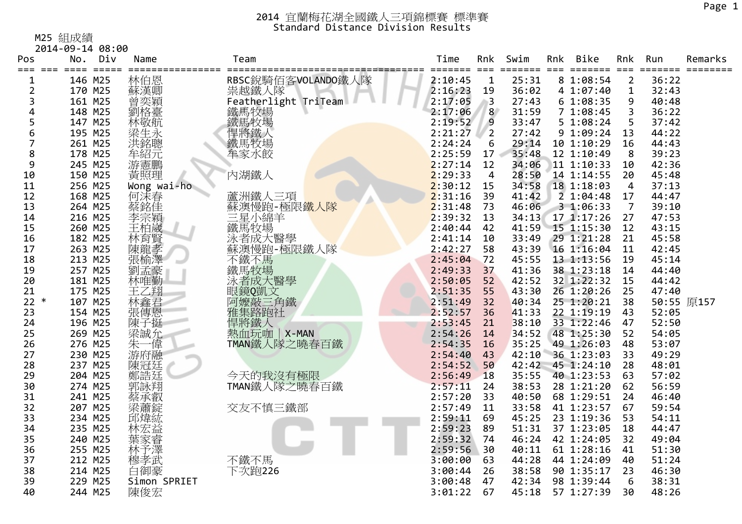M25 組成績

|                | 2014-09-14 08:00                                 |              |                          |                 |                      |       |     |            |                |                 |         |
|----------------|--------------------------------------------------|--------------|--------------------------|-----------------|----------------------|-------|-----|------------|----------------|-----------------|---------|
| Pos            | Div<br>No.                                       | Name         | Team                     | Time            | Rnk                  | Swim  | Rnk | Bike       | Rnk            | Run             | Remarks |
| $===$<br>1     | $=$ $=$ $=$ $=$ $=$<br>$====$<br>$==$<br>146 M25 | 林伯恩          | RBSC銳騎佰客VOLANDO鐵人隊       | ====<br>2:10:45 | $==$<br>$\mathbf{1}$ | 25:31 |     | 8 1:08:54  | $\overline{2}$ | $====$<br>36:22 |         |
| $\overline{2}$ | 170 M25                                          | 蘇漢卿          | 祟越鐵人隊                    | 2:16:23         | 19                   | 36:02 |     | 4 1:07:40  | $\mathbf{1}$   | 32:43           |         |
| 3              | 161 M25                                          | 曾奕穎          | Featherlight TriTeam     | 2:17:05         | $\overline{3}$       | 27:43 |     | 61:08:35   | 9              | 40:48           |         |
| 4              | 148 M25                                          |              |                          | 2:17:06         | 8 <sup>1</sup>       | 31:59 |     | 7 1:08:45  | 3              | 36:22           |         |
| 5              | 147 M25                                          | 劉格臺<br>林敬航   | 鐵馬牧場<br>鐵馬牧場             | 2:19:52         | 9                    | 33:47 |     | 5 1:08:24  | 5              | 37:42           |         |
| 6              | 195 M25                                          | 梁生永          |                          | 2:21:27         | $\overline{2}$       | 27:42 |     | 91:09:24   | 13             | 44:22           |         |
| 7              | 261 M25                                          | 洪銘聰          | 悍將鐵人場                    | 2:24:24         | 6                    | 29:14 |     | 10 1:10:29 | 16             | 44:43           |         |
| 8              | 178 M25                                          |              | 牟家水餃                     | 2:25:59         | 17                   | 35:48 |     | 12 1:10:49 | 8              | 39:23           |         |
| 9              | 245 M25                                          | 牟紹元<br>游憲鵬   |                          | 2:27:14         | 12                   | 34:06 |     | 11 1:10:33 | 10             | 42:36           |         |
| 10             | 150 M25                                          | 黃照理          | 內湖鐵人                     | 2:29:33         | $\overline{4}$       | 28:50 |     | 14 1:14:55 | 20             | 45:48           |         |
| 11             | 256 M25                                          | Wong wai-ho  |                          | 2:30:12         | 15                   | 34:58 |     | 18 1:18:03 | 4              | 37:13           |         |
| 12             | 168 M25                                          |              | 蘆洲鐵人三項<br>蘇澳慢跑-極限鐵人隊     | 2:31:16         | 39                   | 41:42 |     | 2 1:04:48  | 17             | 44:47           |         |
| 13             | 264 M25                                          | 何沫春<br>蔡銘佳   |                          | 2:31:48         | 73                   | 46:06 |     | 3 1:06:33  | $\overline{7}$ | 39:10           |         |
| 14             | 216 M25                                          | 李宗穎          | 【三星小綿羊】<br>三星小綿羊<br>鐵馬牧場 | 2:39:32         | 13                   | 34:13 |     | 17 1:17:26 | 27             | 47:53           |         |
| 15             | 260 M25                                          |              |                          | 2:40:44         | 42                   | 41:59 |     | 15 1:15:30 | 12             | 43:15           |         |
| 16             | 182 M25                                          | 林育賢          | 泳者成大醫學                   | 2:41:14         | 10                   | 33:49 |     | 29 1:21:28 | 21             | 45:58           |         |
| 17             | 263 M25                                          | 陳龍孝          | 蘇澳慢跑-極限鐵人隊               | 2:42:27         | 58                   | 43:39 |     | 16 1:16:04 | 11             | 42:45           |         |
| 18             | 213 M25                                          | 張榆澤          | 不鐵不馬                     | 2:45:04         | 72                   | 45:55 |     | 13 1:13:56 | 19             | 45:14           |         |
| 19             | 257 M25                                          | 劉孟豪          | 鐵馬牧場                     | 2:49:33         | 37                   | 41:36 |     | 38 1:23:18 | 14             | 44:40           |         |
| 20             | 181 M25                                          | 林唯勤<br>王乙翔   | 泳者成大醫學                   | 2:50:05         | 52                   | 42:52 |     | 32 1:22:32 | 15             | 44:42           |         |
| 21             | 175 M25                                          |              |                          | 2:51:35         | 55                   | 43:30 |     | 26 1:20:26 | 25             | 47:40           |         |
| $\ast$<br>22   | 107 M25                                          | 林張傳子:        | 眼鏡Q凱文<br>阿嬤敲三角鐵          | 2:51:49         | 32                   | 40:34 |     | 25 1:20:21 | 38             | 50:55 原157      |         |
| 23             | 154 M25                                          |              | 雅集路跑社                    | 2:52:57         | 36                   | 41:33 |     | 22 1:19:19 | 43             | 52:05           |         |
| 24             | 196 M25                                          |              | 悍將鐵人                     | 2:53:45         | 21                   | 38:10 |     | 33 1:22:46 | 47             | 52:50           |         |
| 25             | 269 M25                                          | 梁誠允          | 熱血玩咖   X-MAN             | 2:54:26         | 14                   | 34:52 |     | 48 1:25:30 | 52             | 54:05           |         |
| 26             | 276 M25                                          | 朱一偉          | TMAN鐵人隊之曉春百鐵             | 2:54:35         | 16                   | 35:25 |     | 49 1:26:03 | 48             | 53:07           |         |
| 27             | 230 M25                                          | 游府融          |                          | 2:54:40         | 43                   | 42:10 |     | 36 1:23:03 | 33             | 49:29           |         |
| 28             | 237 M25                                          | 陳冠廷          |                          | 2:54:52         | 50                   | 42:42 |     | 45 1:24:10 | 28             | 48:01           |         |
| 29             | 204 M25                                          |              | 今天的我沒有極限                 | 2:56:49         | 18                   | 35:55 |     | 40 1:23:53 | 63             | 57:02           |         |
| 30             | 274 M25                                          | 郭詠翔          | TMAN鐵人隊之曉春百鐵             | 2:57:11         | 24                   | 38:53 |     | 28 1:21:20 | 62             | 56:59           |         |
| 31             | 241 M25                                          | 蔡承叡          |                          | 2:57:20         | 33                   | 40:50 |     | 68 1:29:51 | 24             | 46:40           |         |
| 32             | 207 M25                                          | 梁蕭錠          | 交友不慎三鐵部                  | 2:57:49         | 11                   | 33:58 |     | 41 1:23:57 | 67             | 59:54           |         |
| 33             | 234 M25                                          | 邱煒紘          |                          | 2:59:11         | 69                   | 45:25 |     | 23 1:19:36 | 53             | 54:11           |         |
| 34             | 235 M25                                          | 林宏益          |                          | 2:59:23         | 89                   | 51:31 |     | 37 1:23:05 | 18             | 44:47           |         |
| 35             | 240 M25                                          | 葉家睿          |                          | 2:59:32         | 74                   | 46:24 |     | 42 1:24:05 | 32             | 49:04           |         |
| 36             | 255 M25                                          | 林予澤          |                          | 2:59:56         | 30                   | 40:11 |     | 61 1:28:16 | 41             | 51:30           |         |
| 37             | 212 M25                                          | 穆孝武          | 不鐵不馬                     | 3:00:00         | 63                   | 44:28 |     | 44 1:24:09 | 40             | 51:24           |         |
| 38             | 214 M25                                          | 白御豪          | 下次跑226                   | 3:00:44         | 26                   | 38:58 |     | 90 1:35:17 | 23             | 46:30           |         |
| 39             | 229 M25                                          | Simon SPRIET |                          | 3:00:48         | 47                   | 42:34 |     | 98 1:39:44 | 6              | 38:31           |         |
| 40             | 244 M25                                          | 陳俊宏          |                          | 3:01:22         | 67                   | 45:18 |     | 57 1:27:39 | 30             | 48:26           |         |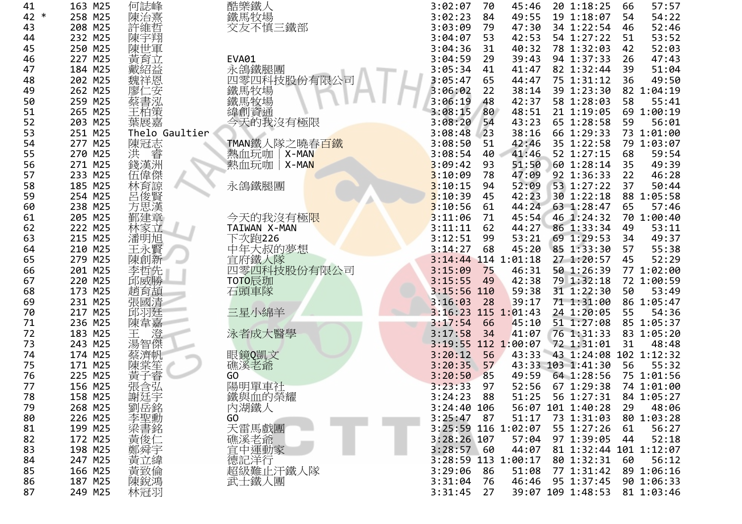| 41   | 163 M25 | 何誌峰                                                           | 酷樂鐵人<br>鐵馬牧場<br>交友不慎三鐵部                                                                                                                      | 3:02:07             | 70 | 45:46               | 20 1:18:25             | 66 | 57:57       |
|------|---------|---------------------------------------------------------------|----------------------------------------------------------------------------------------------------------------------------------------------|---------------------|----|---------------------|------------------------|----|-------------|
| 42 * | 258 M25 | 陳治熹                                                           |                                                                                                                                              | 3:02:23             | 84 | 49:55               | 19 1:18:07             | 54 | 54:22       |
| 43   | 208 M25 | 許維哲                                                           |                                                                                                                                              | 3:03:09             | 79 | 47:30               | 34 1:22:54             | 46 | 52:46       |
| 44   | 232 M25 | 陳宇翔                                                           |                                                                                                                                              | 3:04:07             | 53 | 42:53               | 54 1:27:22             | 51 | 53:52       |
| 45   | 250 M25 | 陳世軍                                                           |                                                                                                                                              | 3:04:36             | 31 | 40:32               | 78 1:32:03             | 42 | 52:03       |
| 46   | 227 M25 | 黃育立                                                           | <b>EVA01</b>                                                                                                                                 | 3:04:59             | 29 | 39:43               | 94 1:37:33             | 26 | 47:43       |
| 47   | 184 M25 | 戴紹益                                                           | 永鴿鐵腿團                                                                                                                                        | 3:05:34             | 41 | 41:47               | 82 1:32:44             | 39 | 51:04       |
| 48   | 202 M25 | 魏祥恩                                                           | 四零四科技股份有限公司                                                                                                                                  | 3:05:47             | 65 | 44:47               | 75 1:31:12             | 36 | 49:50       |
| 49   | 262 M25 |                                                               |                                                                                                                                              | 3:06:02             | 22 | 38:14               | 39 1:23:30             |    | 82 1:04:19  |
| 50   | 259 M25 | 廖仁安<br>蔡書泓                                                    |                                                                                                                                              | 3:06:19             | 48 | 42:37               | 58 1:28:03             | 58 | 55:41       |
| 51   | 265 M25 | 王柏策                                                           | 「鐵鐵馬<br><br><br><br><br><br><br><br><br><br><br><br><br><br><br><br><br><br><br><br><br><br><br><br><br><br><br><br><br><br><br><br><br><br> | 3:08:15             | 80 | 48:51               | 21 1:19:05             |    | 69 1:00:19  |
| 52   | 203 M25 | 葉展嘉                                                           | 今天的我沒有極限                                                                                                                                     | 3:08:20             | 54 | 43:23               | 65 1:28:58             | 59 | 56:01       |
| 53   | 251 M25 | Thelo Gaultier                                                |                                                                                                                                              | 3:08:48             | 23 | 38:16               | 66 1:29:33             |    | 73 1:01:00  |
| 54   | 277 M25 |                                                               | TMAN鐵人隊之曉春百鐵                                                                                                                                 | 3:08:50             | 51 | 42:46               | 35 1:22:58             |    | 79 1:03:07  |
| 55   | 270 M25 | 陳冠志                                                           | 熱血玩咖<br>X-MAN                                                                                                                                | 3:08:54             | 40 | 41:46               | 52 1:27:15             | 68 | 59:54       |
| 56   | 271 M25 | 洪 睿洲                                                          | X-MAN<br>熱血玩咖                                                                                                                                | 3:09:42             | 93 | 51:50               | 60 1:28:14             | 35 | 49:39       |
| 57   | 233 M25 | 伍偉傑                                                           |                                                                                                                                              | 3:10:09             | 78 | 47:09               | 92 1:36:33             | 22 | 46:28       |
| 58   | 185 M25 |                                                               | 永鴿鐵腿團                                                                                                                                        | 3:10:15             | 94 | 52:09               | 53 1:27:22             | 37 | 50:44       |
| 59   | 254 M25 | 林育諒                                                           |                                                                                                                                              | 3:10:39             | 45 | 42:23               | 30 1:22:18             |    | 88 1:05:58  |
| 60   | 238 M25 | 方思漢                                                           |                                                                                                                                              | 3:10:56             | 61 | 44:24               | 63 1:28:47             | 65 | 57:46       |
| 61   | 205 M25 | 鄞建章                                                           | 今天的我沒有極限                                                                                                                                     | 3:11:06             | 71 | 45:54               | 46 1:24:32             |    | 70 1:00:40  |
| 62   | 222 M25 | 林家立                                                           | TAIWAN X-MAN                                                                                                                                 | 3:11:11             | 62 | 44:27               | 86 1:33:34             | 49 | 53:11       |
| 63   | 215 M25 | 潘明旭                                                           | 下次跑226                                                                                                                                       | 3:12:51             | 99 | 53:21               | 69 1:29:53             | 34 | 49:37       |
| 64   | 210 M25 | 王永賢                                                           |                                                                                                                                              | 3:14:27             | 68 | 45:20               | 85 1:33:30             | 57 | 55:38       |
| 65   | 279 M25 | 陳創新                                                           | 中年大叔的夢想<br>宜府鐵人隊                                                                                                                             |                     |    | 3:14:44 114 1:01:18 | 27 1:20:57             | 45 | 52:29       |
| 66   | 201 M25 | 李哲先                                                           | 四零四科技股份有限公司                                                                                                                                  | 3:15:09             | 75 | 46:31               | 50 1:26:39             |    | 77 1:02:00  |
| 67   | 220 M25 | 邱威勝                                                           | TOTO辰珈                                                                                                                                       | 3:15:55             | 49 | 42:38               | 79 1:32:18             |    | 72 1:00:59  |
| 68   | 173 M25 | 趙育頡                                                           | 石頭車隊                                                                                                                                         | $3:15:56$ 110       |    | 59:38               | 31 1:22:30             | 50 | 53:49       |
| 69   | 231 M25 | 張國清                                                           |                                                                                                                                              | 3:16:03             | 28 | 39:17               | 71 1:31:00             |    | 86 1:05:47  |
| 70   | 217 M25 | 邱羽廷                                                           | 三星小綿羊                                                                                                                                        | 3:16:23 115 1:01:43 |    |                     | 24 1:20:05             | 55 | 54:36       |
| 71   | 236 M25 | 陳韋嘉                                                           |                                                                                                                                              | 3:17:54             | 66 | 45:10               | 51 1:27:08             |    | 85 1:05:37  |
| 72   | 183 M25 |                                                               | 泳者成大醫學                                                                                                                                       | 3:17:58             | 34 | 41:07               | 76 1:31:33             |    | 83 1:05:20  |
| 73   | 243 M25 | 王 澄<br>湯智傑                                                    |                                                                                                                                              | 3:19:55             |    | 112 1:00:07         | 72 1:31:01             | 31 | 48:48       |
| 74   | 174 M25 | 蔡濟帆                                                           | 眼鏡Q凱文                                                                                                                                        | 3:20:12             | 56 | 43:33               | 43 1:24:08             |    | 102 1:12:32 |
| 75   | 171 M25 | 陳棠笙                                                           | 礁溪老爺                                                                                                                                         | 3:20:35             | 57 |                     | 43:33 103 1:41:30      | 56 | 55:32       |
| 76   | 225 M25 | 黃子睿                                                           | GO                                                                                                                                           | 3:20:50             | 85 | 49:59               | 64 1:28:56             |    | 75 1:01:56  |
| 77   | 156 M25 | 張含弘                                                           | 陽明單車社                                                                                                                                        | 3:23:33             | 97 | 52:56               | 67 1:29:38             |    | 74 1:01:00  |
| 78   | 158 M25 |                                                               | 鐵與血的榮耀                                                                                                                                       | 3:24:23             | 88 | 51:25               | 56 1:27:31             |    | 84 1:05:27  |
| 79   | 268 M25 |                                                               | 內湖鐵人                                                                                                                                         | 3:24:40 106         |    |                     | 56:07 101 1:40:28      | 29 | 48:06       |
| 80   | 226 M25 |                                                               | GO                                                                                                                                           | $3:25:47$ 87        |    | 51:17               | 73 1:31:03             |    | 80 1:03:28  |
| 81   | 199 M25 |                                                               | 天雷馬戲團                                                                                                                                        |                     |    | 3:25:59 116 1:02:07 | 55 1:27:26             | 61 | 56:27       |
| 82   | 172 M25 |                                                               | 〈礁室建築社会の開発者、全運動家<br>富溪中記行<br>超級と共に出現した                                                                                                       | 3:28:26 107         |    | 57:04               | 97 1:39:05             | 44 | 52:18       |
| 83   | 198 M25 |                                                               |                                                                                                                                              | 3:28:57 60          |    | 44:07               | 81 1:32:44 101 1:12:07 |    |             |
| 84   | 247 M25 |                                                               |                                                                                                                                              |                     |    | 3:28:59 113 1:00:17 | 80 1:32:31             | 60 | 56:12       |
| 85   | 166 M25 |                                                               |                                                                                                                                              | 3:29:06             | 86 | 51:08               | 77 1:31:42             |    | 89 1:06:16  |
| 86   | 187 M25 | <sup> 於謝劉李梁黃鄭黃黃陳林  1廷岳聖書俊舜立致銳[1] <br/> 1年の「『朝鮮」  1999年。</sup> | 武士鐵人團                                                                                                                                        | 3:31:04             | 76 | 46:46               | 95 1:37:45             |    | 90 1:06:33  |
| 87   | 249 M25 | 林冠羽                                                           |                                                                                                                                              | 3:31:45             | 27 |                     | 39:07 109 1:48:53      |    | 81 1:03:46  |
|      |         |                                                               |                                                                                                                                              |                     |    |                     |                        |    |             |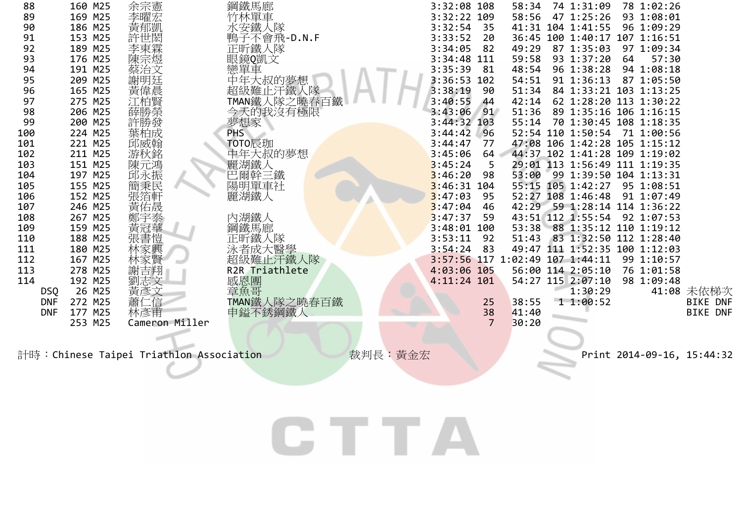| 88         | 160 M25 | 余宗憲                                      | 鋼鐵馬廊                     | 3:32:08 108   |     | 58:34                           | 74 1:31:09                    |    | 78 1:02:26  |                            |
|------------|---------|------------------------------------------|--------------------------|---------------|-----|---------------------------------|-------------------------------|----|-------------|----------------------------|
| 89         | 169 M25 | 李曜宏                                      | j林單車                     | 3:32:22 109   |     | 58:56                           | 47 1:25:26                    |    | 93 1:08:01  |                            |
| 90         | 186 M25 | 黃郁剴                                      | 水安鐵人隊                    | 3:32:54       | 35  |                                 | 41:31 104 1:41:55             |    | 96 1:09:29  |                            |
| 91         | 153 M25 | 許世閣                                      | 鴨子不會飛-D.N.F              | 3:33:52       | 20  |                                 | 36:45 100 1:40:17             |    | 107 1:16:51 |                            |
| 92         | 189 M25 | 李東霖                                      | 正昕鐵人隊                    | 3:34:05       | 82  | 49:29                           | 87 1:35:03                    |    | 97 1:09:34  |                            |
| 93         | 176 M25 | 陳宗煜                                      | 眼鏡Q凱文                    | 3:34:48 111   |     | 59:58                           | 93 1:37:20                    | 64 | 57:30       |                            |
| 94         | 191 M25 | 蔡治文                                      | 戀單重                      | 3:35:39       | 81  | 48:54                           | 96 1:38:28                    |    | 94 1:08:18  |                            |
| 95         | 209 M25 | 謝明廷                                      | 中年大叔的夢想                  | 3:36:53       | 102 | 54:51                           | 91 1:36:13                    |    | 87 1:05:50  |                            |
| 96         | 165 M25 | 一<br>黃偉晨<br>江柏賢                          | 超級難止汗鐵入隊<br>TMAN鐵人隊之曉春百鐵 | 3:38:19       | 90  | 51:34                           | 84 1:33:21 103 1:13:25        |    |             |                            |
| 97         | 275 M25 |                                          |                          | 3:40:55       | 44  | 42:14                           | 62 1:28:20 113 1:30:22        |    |             |                            |
| 98         | 206 M25 | 薛勝榮                                      | 今天的我沒有極限                 | 3:43:06       | 91  | 51:36                           | 89 1:35:16 106 1:16:15        |    |             |                            |
| 99         | 200 M25 | 許勝發                                      | 夢想家                      | 3:44:32 103   |     | 55:14                           | 70 1:30:45 108 1:18:35        |    |             |                            |
| 100        | 224 M25 | 葉柏成                                      | <b>PHS</b>               | 3:44:42       | 96  |                                 | 52:54 110 1:50:54             |    | 71 1:00:56  |                            |
| 101        | 221 M25 | 邱威翰                                      | TOTO辰珈                   | 3:44:47       | 77  |                                 | 47:08 106 1:42:28 105 1:15:12 |    |             |                            |
| 102        | 211 M25 | 游秋銘                                      | 中年大叔的夢想                  | 3:45:06       | 64  |                                 | 44:37 102 1:41:28 109 1:19:02 |    |             |                            |
| 103        | 151 M25 | 陳元鴻                                      | 麗湖鐵人                     | 3:45:24       | 5   |                                 | 29:01 113 1:56:49 111 1:19:35 |    |             |                            |
| 104        | 197 M25 | 邱永振                                      | 巴爾幹三鐵                    | 3:46:20       | 98  | 53:00                           | 99 1:39:50 104 1:13:31        |    |             |                            |
| 105        | 155 M25 | 簡秉民                                      | 陽明單車社                    | $3:46:31$ 104 |     |                                 | 55:15 105 1:42:27             |    | 95 1:08:51  |                            |
| 106        | 152 M25 |                                          | 麗湖鐵人                     | 3:47:03       | 95  |                                 | 52:27 108 1:46:48             |    | 91 1:07:49  |                            |
| 107        | 246 M25 |                                          |                          | 3:47:04       | 46  |                                 | 42:29 59 1:28:14 114 1:36:22  |    |             |                            |
| 108        | 267 M25 |                                          | 內湖鐵人                     | 3:47:37       | 59  |                                 | 43:51 112 1:55:54             |    | 92 1:07:53  |                            |
| 109        | 159 M25 | 黃冠華                                      | 鋼鐵馬廊                     | 3:48:01 100   |     | 53:38                           | 88 1:35:12 110 1:19:12        |    |             |                            |
| 110        | 188 M25 |                                          | 正听鐵人隊                    | 3:53:11       | 92  | 51:43                           | 83 1:32:50                    |    | 112 1:28:40 |                            |
| 111        | 180 M25 |                                          | 泳者成大醫學                   | 3:54:24       | 83  |                                 | 49:47 111 1:52:35             |    | 100 1:12:03 |                            |
| 112        | 167 M25 |                                          | 超級難止汗鐵人隊                 |               |     | 3:57:56 117 1:02:49 107 1:44:11 |                               |    | 99 1:10:57  |                            |
| 113        | 278 M25 |                                          | R2R Triathlete           | 4:03:06 105   |     |                                 | 56:00 114 2:05:10             |    | 76 1:01:58  |                            |
| 114        | 192 M25 | 劉志文                                      |                          | 4:11:24 101   |     |                                 | 54:27 115 2:07:10             |    | 98 1:09:48  |                            |
| DSQ        | 26 M25  | 黃彥仁<br>蕭仁信                               | 感恩團<br>章魚哥               |               |     |                                 | 1:30:29                       |    |             | 41:08 未依梯次                 |
| <b>DNF</b> | 272 M25 |                                          | TMAN鐵人隊之曉春百鐵<br>申鎰不銹鋼鐵人  |               | 25  | 38:55                           | 1 1:00:52                     |    |             | <b>BIKE DNF</b>            |
| <b>DNF</b> | 177 M25 | 林彥甫                                      |                          |               | 38  | 41:40                           |                               |    |             | <b>BIKE DNF</b>            |
|            | 253 M25 | Cameron Miller                           |                          |               | 7   | 30:20                           |                               |    |             |                            |
|            |         |                                          |                          |               |     |                                 |                               |    |             |                            |
|            |         |                                          |                          |               |     |                                 |                               |    |             |                            |
|            |         | 計時: Chinese Taipei Triathlon Association | 裁判長:黃金宏                  |               |     |                                 |                               |    |             | Print 2014-09-16, 15:44:32 |
|            |         |                                          |                          |               |     |                                 |                               |    |             |                            |
|            |         |                                          |                          |               |     |                                 |                               |    |             |                            |
|            |         |                                          |                          |               |     |                                 |                               |    |             |                            |
|            |         |                                          |                          |               |     |                                 |                               |    |             |                            |

CTTA